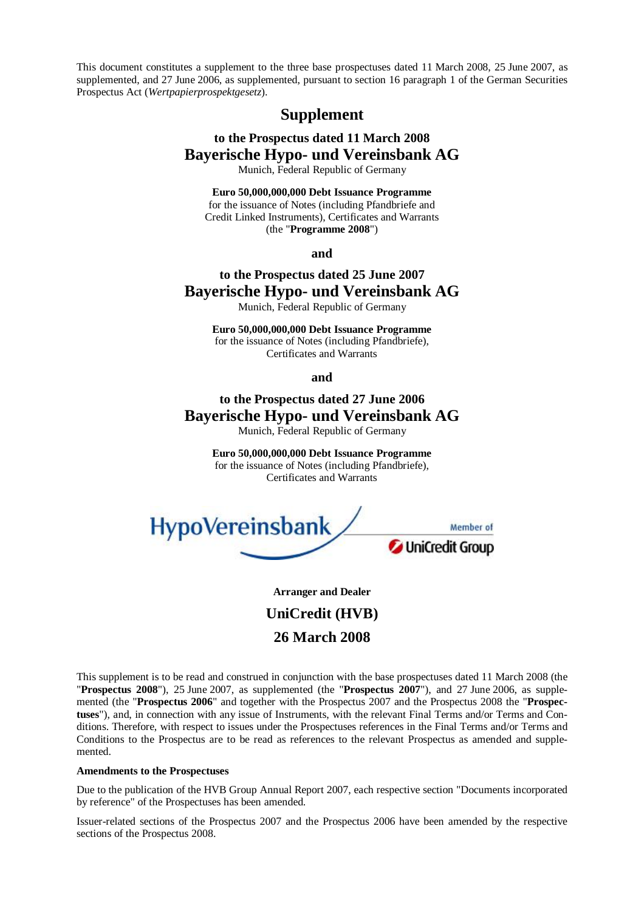This document constitutes a supplement to the three base prospectuses dated 11 March 2008, 25 June 2007, as supplemented, and 27 June 2006, as supplemented, pursuant to section 16 paragraph 1 of the German Securities Prospectus Act (*Wertpapierprospektgesetz*).

# **Supplement**

# **to the Prospectus dated 11 March 2008 Bayerische Hypo- und Vereinsbank AG**

Munich, Federal Republic of Germany

**Euro 50,000,000,000 Debt Issuance Programme**  for the issuance of Notes (including Pfandbriefe and Credit Linked Instruments), Certificates and Warrants (the "**Programme 2008**")

**and** 

# **to the Prospectus dated 25 June 2007 Bayerische Hypo- und Vereinsbank AG**

Munich, Federal Republic of Germany

**Euro 50,000,000,000 Debt Issuance Programme**  for the issuance of Notes (including Pfandbriefe), Certificates and Warrants

**and** 

# **to the Prospectus dated 27 June 2006 Bayerische Hypo- und Vereinsbank AG**  Munich, Federal Republic of Germany

**Euro 50,000,000,000 Debt Issuance Programme**  for the issuance of Notes (including Pfandbriefe), Certificates and Warrants



**Arranger and Dealer UniCredit (HVB) 26 March 2008** 

This supplement is to be read and construed in conjunction with the base prospectuses dated 11 March 2008 (the "**Prospectus 2008**"), 25 June 2007, as supplemented (the "**Prospectus 2007**"), and 27 June 2006, as supplemented (the "**Prospectus 2006**" and together with the Prospectus 2007 and the Prospectus 2008 the "**Prospectuses**"), and, in connection with any issue of Instruments, with the relevant Final Terms and/or Terms and Conditions. Therefore, with respect to issues under the Prospectuses references in the Final Terms and/or Terms and Conditions to the Prospectus are to be read as references to the relevant Prospectus as amended and supplemented.

## **Amendments to the Prospectuses**

Due to the publication of the HVB Group Annual Report 2007, each respective section "Documents incorporated by reference" of the Prospectuses has been amended.

Issuer-related sections of the Prospectus 2007 and the Prospectus 2006 have been amended by the respective sections of the Prospectus 2008.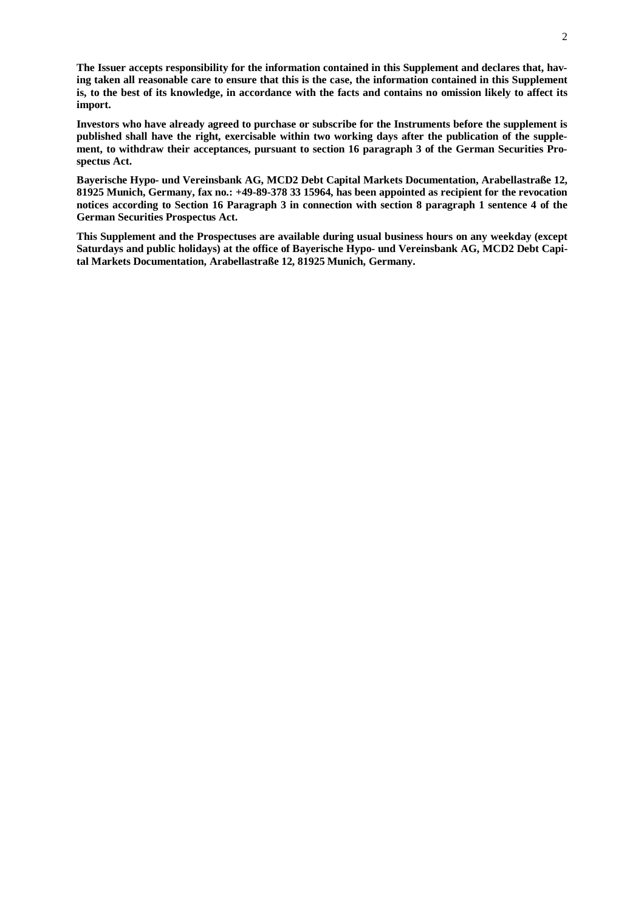**The Issuer accepts responsibility for the information contained in this Supplement and declares that, hav**ing taken all reasonable care to ensure that this is the case, the information contained in this Supplement is, to the best of its knowledge, in accordance with the facts and contains no omission likely to affect its **import.** 

**Investors who have already agreed to purchase or subscribe for the Instruments before the supplement is published shall have the right, exercisable within two working days after the publication of the supplement, to withdraw their acceptances, pursuant to section 16 paragraph 3 of the German Securities Prospectus Act.** 

**Bayerische Hypo- und Vereinsbank AG, MCD2 Debt Capital Markets Documentation, Arabellastraße 12, 81925 Munich, Germany, fax no.: +49-89-378 33 15964, has been appointed as recipient for the revocation**  notices according to Section 16 Paragraph 3 in connection with section 8 paragraph 1 sentence 4 of the **German Securities Prospectus Act.** 

**This Supplement and the Prospectuses are available during usual business hours on any weekday (except Saturdays and public holidays) at the office of Bayerische Hypo- und Vereinsbank AG, MCD2 Debt Capital Markets Documentation, Arabellastraße 12, 81925 Munich, Germany.**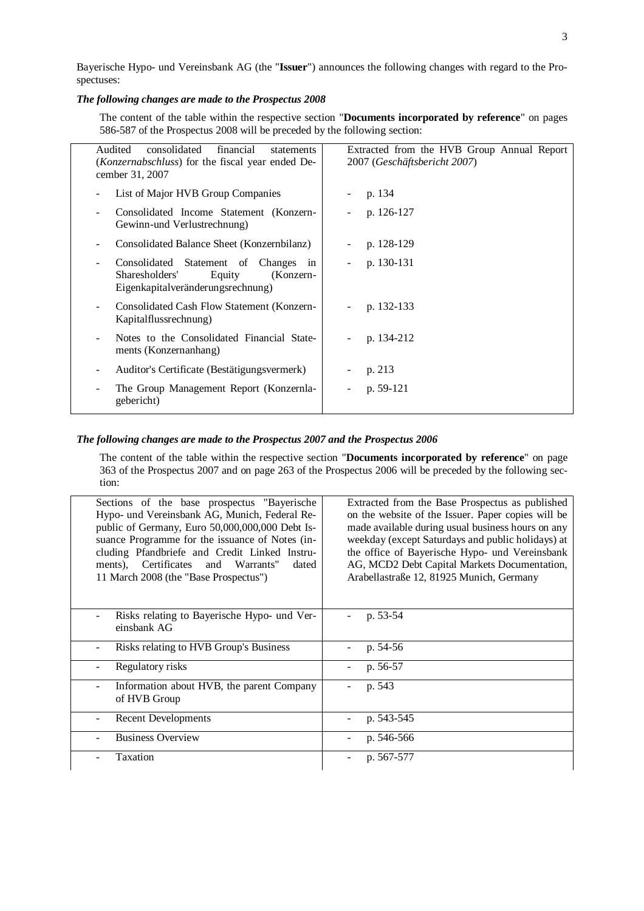Bayerische Hypo- und Vereinsbank AG (the "**Issuer**") announces the following changes with regard to the Prospectuses:

## *The following changes are made to the Prospectus 2008*

The content of the table within the respective section "**Documents incorporated by reference**" on pages 586-587 of the Prospectus 2008 will be preceded by the following section:

| Audited<br>consolidated<br>financial<br>statements<br>( <i>Konzernabschluss</i> ) for the fiscal year ended De-<br>cember 31, 2007 | Extracted from the HVB Group Annual Report<br>2007 (Geschäftsbericht 2007) |
|------------------------------------------------------------------------------------------------------------------------------------|----------------------------------------------------------------------------|
| List of Major HVB Group Companies                                                                                                  | p. 134                                                                     |
| Consolidated Income Statement (Konzern-<br>Gewinn-und Verlustrechnung)                                                             | p. 126-127                                                                 |
| Consolidated Balance Sheet (Konzernbilanz)                                                                                         | p. 128-129                                                                 |
| Consolidated Statement of Changes in<br>Sharesholders'<br>Equity<br>(Konzern-<br>Eigenkapitalveränderungsrechnung)                 | p. 130-131                                                                 |
| Consolidated Cash Flow Statement (Konzern-<br>Kapitalflussrechnung)                                                                | p. 132-133                                                                 |
| Notes to the Consolidated Financial State-<br>ments (Konzernanhang)                                                                | p. 134-212                                                                 |
| Auditor's Certificate (Bestätigungsvermerk)<br>-                                                                                   | p. 213                                                                     |
| The Group Management Report (Konzernla-<br>gebericht)                                                                              | p. 59-121                                                                  |

## *The following changes are made to the Prospectus 2007 and the Prospectus 2006*

The content of the table within the respective section "**Documents incorporated by reference**" on page 363 of the Prospectus 2007 and on page 263 of the Prospectus 2006 will be preceded by the following section:

| Sections of the base prospectus "Bayerische"<br>Hypo- und Vereinsbank AG, Munich, Federal Re-<br>public of Germany, Euro 50,000,000,000 Debt Is-<br>suance Programme for the issuance of Notes (in-<br>cluding Pfandbriefe and Credit Linked Instru-<br>ments), Certificates and Warrants"<br>dated<br>11 March 2008 (the "Base Prospectus") | Extracted from the Base Prospectus as published<br>on the website of the Issuer. Paper copies will be<br>made available during usual business hours on any<br>weekday (except Saturdays and public holidays) at<br>the office of Bayerische Hypo- und Vereinsbank<br>AG, MCD2 Debt Capital Markets Documentation,<br>Arabellastraße 12, 81925 Munich, Germany |
|----------------------------------------------------------------------------------------------------------------------------------------------------------------------------------------------------------------------------------------------------------------------------------------------------------------------------------------------|---------------------------------------------------------------------------------------------------------------------------------------------------------------------------------------------------------------------------------------------------------------------------------------------------------------------------------------------------------------|
| Risks relating to Bayerische Hypo- und Ver-<br>einsbank AG                                                                                                                                                                                                                                                                                   | p. 53-54                                                                                                                                                                                                                                                                                                                                                      |
| Risks relating to HVB Group's Business                                                                                                                                                                                                                                                                                                       | p. $54-56$                                                                                                                                                                                                                                                                                                                                                    |
| Regulatory risks                                                                                                                                                                                                                                                                                                                             | p. 56-57                                                                                                                                                                                                                                                                                                                                                      |
| Information about HVB, the parent Company<br>of HVB Group                                                                                                                                                                                                                                                                                    | p. 543                                                                                                                                                                                                                                                                                                                                                        |
| <b>Recent Developments</b>                                                                                                                                                                                                                                                                                                                   | p. 543-545                                                                                                                                                                                                                                                                                                                                                    |
| <b>Business Overview</b>                                                                                                                                                                                                                                                                                                                     | p. 546-566                                                                                                                                                                                                                                                                                                                                                    |
| Taxation                                                                                                                                                                                                                                                                                                                                     | p. 567-577                                                                                                                                                                                                                                                                                                                                                    |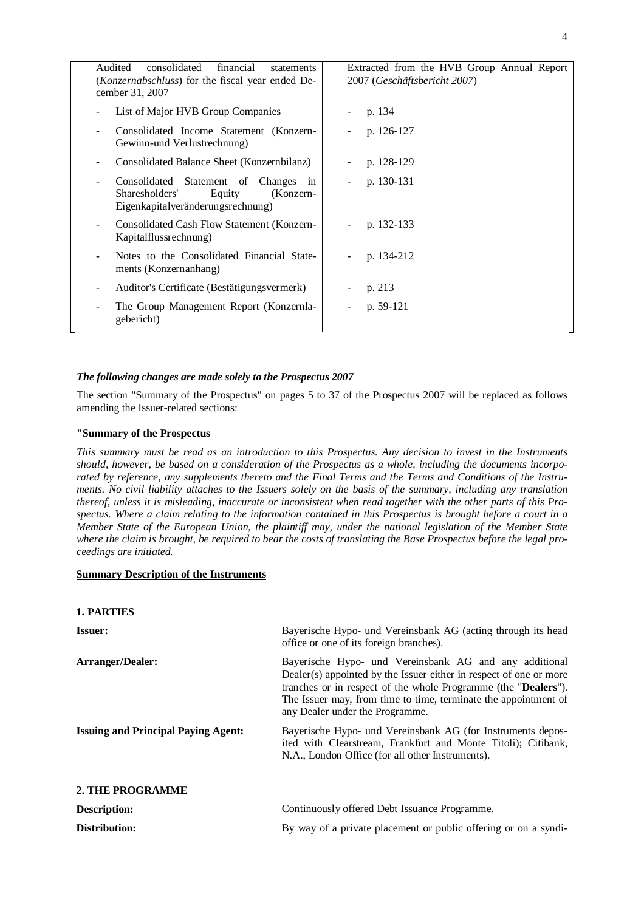| Audited<br>consolidated<br>financial<br>statements<br>( <i>Konzernabschluss</i> ) for the fiscal year ended De-<br>cember 31, 2007             | Extracted from the HVB Group Annual Report<br>2007 (Geschäftsbericht 2007) |
|------------------------------------------------------------------------------------------------------------------------------------------------|----------------------------------------------------------------------------|
| List of Major HVB Group Companies                                                                                                              | p. 134                                                                     |
| Consolidated Income Statement (Konzern-<br>Gewinn-und Verlustrechnung)                                                                         | p. 126-127                                                                 |
| Consolidated Balance Sheet (Konzernbilanz)                                                                                                     | p. 128-129                                                                 |
| Consolidated Statement of Changes in<br>$\overline{\phantom{a}}$<br>Sharesholders'<br>Equity<br>(Konzern-<br>Eigenkapitalveränderungsrechnung) | p. 130-131<br>$\overline{\phantom{a}}$                                     |
| Consolidated Cash Flow Statement (Konzern-<br>$\overline{\phantom{a}}$<br>Kapitalflussrechnung)                                                | p. 132-133                                                                 |
| Notes to the Consolidated Financial State-<br>ments (Konzernanhang)                                                                            | p. 134-212                                                                 |
| Auditor's Certificate (Bestätigungsvermerk)                                                                                                    | p. 213                                                                     |
| The Group Management Report (Konzernla-<br>gebericht)                                                                                          | p. $59-121$                                                                |

## *The following changes are made solely to the Prospectus 2007*

The section "Summary of the Prospectus" on pages 5 to 37 of the Prospectus 2007 will be replaced as follows amending the Issuer-related sections:

## **"Summary of the Prospectus**

This summary must be read as an introduction to this Prospectus. Any decision to invest in the Instruments should, however, be based on a consideration of the Prospectus as a whole, including the documents incorporated by reference, any supplements thereto and the Final Terms and the Terms and Conditions of the Instruments. No civil liability attaches to the Issuers solely on the basis of the summary, including any translation thereof, unless it is misleading, inaccurate or inconsistent when read together with the other parts of this Prospectus. Where a claim relating to the information contained in this Prospectus is brought before a court in a Member State of the European Union, the plaintiff may, under the national legislation of the Member State where the claim is brought, be required to bear the costs of translating the Base Prospectus before the legal pro*ceedings are initiated.* 

## **Summary Description of the Instruments**

| <b>1. PARTIES</b>                          |                                                                                                                                                                                                                                                                                                               |
|--------------------------------------------|---------------------------------------------------------------------------------------------------------------------------------------------------------------------------------------------------------------------------------------------------------------------------------------------------------------|
| <b>Issuer:</b>                             | Bayerische Hypo- und Vereinsbank AG (acting through its head<br>office or one of its foreign branches).                                                                                                                                                                                                       |
| <b>Arranger/Dealer:</b>                    | Bayerische Hypo- und Vereinsbank AG and any additional<br>Dealer(s) appointed by the Issuer either in respect of one or more<br>tranches or in respect of the whole Programme (the " <b>Dealers</b> ").<br>The Issuer may, from time to time, terminate the appointment of<br>any Dealer under the Programme. |
| <b>Issuing and Principal Paying Agent:</b> | Bayerische Hypo- und Vereinsbank AG (for Instruments depos-<br>ited with Clearstream, Frankfurt and Monte Titoli); Citibank,<br>N.A., London Office (for all other Instruments).                                                                                                                              |
| 2. THE PROGRAMME                           |                                                                                                                                                                                                                                                                                                               |
| <b>Description:</b>                        | Continuously offered Debt Issuance Programme.                                                                                                                                                                                                                                                                 |
| Distribution:                              | By way of a private placement or public offering or on a syndi-                                                                                                                                                                                                                                               |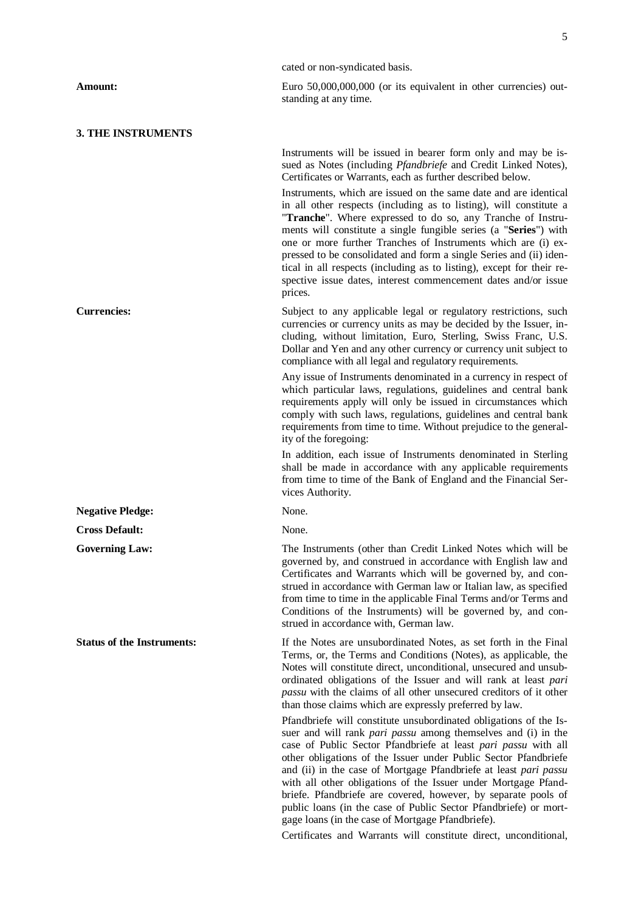|                                   | cated or non-syndicated basis.                                                                                                                                                                                                                                                                                                                                                                                                                                                                                                                                                                                                                                                      |  |  |
|-----------------------------------|-------------------------------------------------------------------------------------------------------------------------------------------------------------------------------------------------------------------------------------------------------------------------------------------------------------------------------------------------------------------------------------------------------------------------------------------------------------------------------------------------------------------------------------------------------------------------------------------------------------------------------------------------------------------------------------|--|--|
| Amount:                           | Euro 50,000,000,000 (or its equivalent in other currencies) out-<br>standing at any time.                                                                                                                                                                                                                                                                                                                                                                                                                                                                                                                                                                                           |  |  |
| <b>3. THE INSTRUMENTS</b>         |                                                                                                                                                                                                                                                                                                                                                                                                                                                                                                                                                                                                                                                                                     |  |  |
|                                   | Instruments will be issued in bearer form only and may be is-<br>sued as Notes (including Pfandbriefe and Credit Linked Notes),<br>Certificates or Warrants, each as further described below.                                                                                                                                                                                                                                                                                                                                                                                                                                                                                       |  |  |
|                                   | Instruments, which are issued on the same date and are identical<br>in all other respects (including as to listing), will constitute a<br>"Tranche". Where expressed to do so, any Tranche of Instru-<br>ments will constitute a single fungible series (a "Series") with<br>one or more further Tranches of Instruments which are (i) ex-<br>pressed to be consolidated and form a single Series and (ii) iden-<br>tical in all respects (including as to listing), except for their re-<br>spective issue dates, interest commencement dates and/or issue<br>prices.                                                                                                              |  |  |
| <b>Currencies:</b>                | Subject to any applicable legal or regulatory restrictions, such<br>currencies or currency units as may be decided by the Issuer, in-<br>cluding, without limitation, Euro, Sterling, Swiss Franc, U.S.<br>Dollar and Yen and any other currency or currency unit subject to<br>compliance with all legal and regulatory requirements.                                                                                                                                                                                                                                                                                                                                              |  |  |
|                                   | Any issue of Instruments denominated in a currency in respect of<br>which particular laws, regulations, guidelines and central bank<br>requirements apply will only be issued in circumstances which<br>comply with such laws, regulations, guidelines and central bank<br>requirements from time to time. Without prejudice to the general-<br>ity of the foregoing:                                                                                                                                                                                                                                                                                                               |  |  |
|                                   | In addition, each issue of Instruments denominated in Sterling<br>shall be made in accordance with any applicable requirements<br>from time to time of the Bank of England and the Financial Ser-<br>vices Authority.                                                                                                                                                                                                                                                                                                                                                                                                                                                               |  |  |
| <b>Negative Pledge:</b>           | None.                                                                                                                                                                                                                                                                                                                                                                                                                                                                                                                                                                                                                                                                               |  |  |
| <b>Cross Default:</b>             | None.                                                                                                                                                                                                                                                                                                                                                                                                                                                                                                                                                                                                                                                                               |  |  |
| <b>Governing Law:</b>             | The Instruments (other than Credit Linked Notes which will be<br>governed by, and construed in accordance with English law and<br>Certificates and Warrants which will be governed by, and con-<br>strued in accordance with German law or Italian law, as specified<br>from time to time in the applicable Final Terms and/or Terms and<br>Conditions of the Instruments) will be governed by, and con-<br>strued in accordance with, German law.                                                                                                                                                                                                                                  |  |  |
| <b>Status of the Instruments:</b> | If the Notes are unsubordinated Notes, as set forth in the Final<br>Terms, or, the Terms and Conditions (Notes), as applicable, the<br>Notes will constitute direct, unconditional, unsecured and unsub-<br>ordinated obligations of the Issuer and will rank at least pari<br><i>passu</i> with the claims of all other unsecured creditors of it other<br>than those claims which are expressly preferred by law.                                                                                                                                                                                                                                                                 |  |  |
|                                   | Pfandbriefe will constitute unsubordinated obligations of the Is-<br>suer and will rank <i>pari passu</i> among themselves and (i) in the<br>case of Public Sector Pfandbriefe at least pari passu with all<br>other obligations of the Issuer under Public Sector Pfandbriefe<br>and (ii) in the case of Mortgage Pfandbriefe at least pari passu<br>with all other obligations of the Issuer under Mortgage Pfand-<br>briefe. Pfandbriefe are covered, however, by separate pools of<br>public loans (in the case of Public Sector Pfandbriefe) or mort-<br>gage loans (in the case of Mortgage Pfandbriefe).<br>Certificates and Warrants will constitute direct, unconditional, |  |  |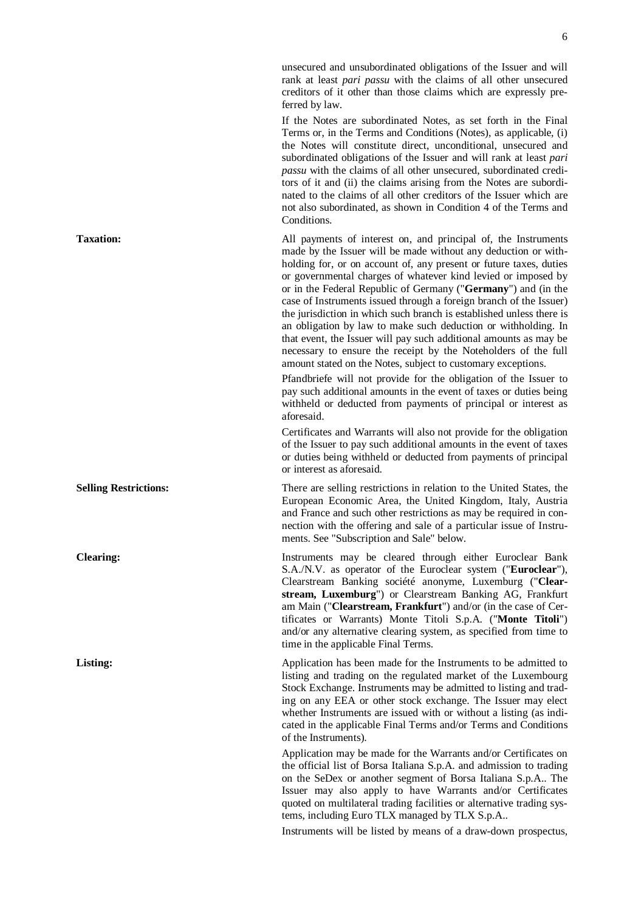rank at least *pari passu* with the claims of all other unsecured creditors of it other than those claims which are expressly preferred by law. If the Notes are subordinated Notes, as set forth in the Final Terms or, in the Terms and Conditions (Notes), as applicable, (i) the Notes will constitute direct, unconditional, unsecured and subordinated obligations of the Issuer and will rank at least *pari passu* with the claims of all other unsecured, subordinated creditors of it and (ii) the claims arising from the Notes are subordinated to the claims of all other creditors of the Issuer which are not also subordinated, as shown in Condition 4 of the Terms and Conditions. **Taxation:** All payments of interest on, and principal of, the Instruments made by the Issuer will be made without any deduction or withholding for, or on account of, any present or future taxes, duties or governmental charges of whatever kind levied or imposed by or in the Federal Republic of Germany ("**Germany**") and (in the case of Instruments issued through a foreign branch of the Issuer) the jurisdiction in which such branch is established unless there is an obligation by law to make such deduction or withholding. In that event, the Issuer will pay such additional amounts as may be necessary to ensure the receipt by the Noteholders of the full amount stated on the Notes, subject to customary exceptions.

unsecured and unsubordinated obligations of the Issuer and will

Pfandbriefe will not provide for the obligation of the Issuer to pay such additional amounts in the event of taxes or duties being withheld or deducted from payments of principal or interest as aforesaid.

Certificates and Warrants will also not provide for the obligation of the Issuer to pay such additional amounts in the event of taxes or duties being withheld or deducted from payments of principal or interest as aforesaid.

**Selling Restrictions:** There are selling restrictions in relation to the United States, the European Economic Area, the United Kingdom, Italy, Austria and France and such other restrictions as may be required in connection with the offering and sale of a particular issue of Instruments. See "Subscription and Sale" below.

**Clearing:** Instruments may be cleared through either Euroclear Bank S.A./N.V. as operator of the Euroclear system ("**Euroclear**"), Clearstream Banking société anonyme, Luxemburg ("**Clearstream, Luxemburg**") or Clearstream Banking AG, Frankfurt am Main ("**Clearstream, Frankfurt**") and/or (in the case of Certificates or Warrants) Monte Titoli S.p.A. ("**Monte Titoli**") and/or any alternative clearing system, as specified from time to time in the applicable Final Terms.

**Listing: Application has been made for the Instruments to be admitted to** listing and trading on the regulated market of the Luxembourg Stock Exchange. Instruments may be admitted to listing and trading on any EEA or other stock exchange. The Issuer may elect whether Instruments are issued with or without a listing (as indicated in the applicable Final Terms and/or Terms and Conditions of the Instruments).

> Application may be made for the Warrants and/or Certificates on the official list of Borsa Italiana S.p.A. and admission to trading on the SeDex or another segment of Borsa Italiana S.p.A.. The Issuer may also apply to have Warrants and/or Certificates quoted on multilateral trading facilities or alternative trading systems, including Euro TLX managed by TLX S.p.A..

> Instruments will be listed by means of a draw-down prospectus,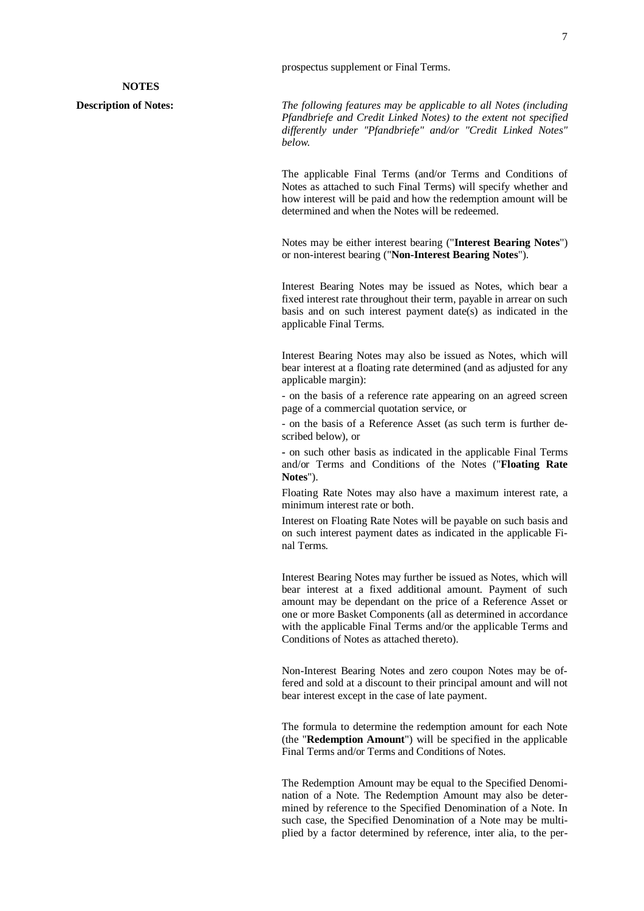#### **NOTES**

**Description of Notes:** *The following features may be applicable to all Notes (including Pfandbriefe and Credit Linked Notes) to the extent not specified differently under "Pfandbriefe" and/or "Credit Linked Notes" below.* 

> The applicable Final Terms (and/or Terms and Conditions of Notes as attached to such Final Terms) will specify whether and how interest will be paid and how the redemption amount will be determined and when the Notes will be redeemed.

> Notes may be either interest bearing ("**Interest Bearing Notes**") or non-interest bearing ("**Non-Interest Bearing Notes**").

> Interest Bearing Notes may be issued as Notes, which bear a fixed interest rate throughout their term, payable in arrear on such basis and on such interest payment date(s) as indicated in the applicable Final Terms.

> Interest Bearing Notes may also be issued as Notes, which will bear interest at a floating rate determined (and as adjusted for any applicable margin):

> - on the basis of a reference rate appearing on an agreed screen page of a commercial quotation service, or

> - on the basis of a Reference Asset (as such term is further described below), or

> **-** on such other basis as indicated in the applicable Final Terms and/or Terms and Conditions of the Notes ("**Floating Rate Notes**").

> Floating Rate Notes may also have a maximum interest rate, a minimum interest rate or both.

> Interest on Floating Rate Notes will be payable on such basis and on such interest payment dates as indicated in the applicable Final Terms.

> Interest Bearing Notes may further be issued as Notes, which will bear interest at a fixed additional amount. Payment of such amount may be dependant on the price of a Reference Asset or one or more Basket Components (all as determined in accordance with the applicable Final Terms and/or the applicable Terms and Conditions of Notes as attached thereto).

> Non-Interest Bearing Notes and zero coupon Notes may be offered and sold at a discount to their principal amount and will not bear interest except in the case of late payment.

> The formula to determine the redemption amount for each Note (the "**Redemption Amount**") will be specified in the applicable Final Terms and/or Terms and Conditions of Notes.

> The Redemption Amount may be equal to the Specified Denomination of a Note. The Redemption Amount may also be determined by reference to the Specified Denomination of a Note. In such case, the Specified Denomination of a Note may be multiplied by a factor determined by reference, inter alia, to the per-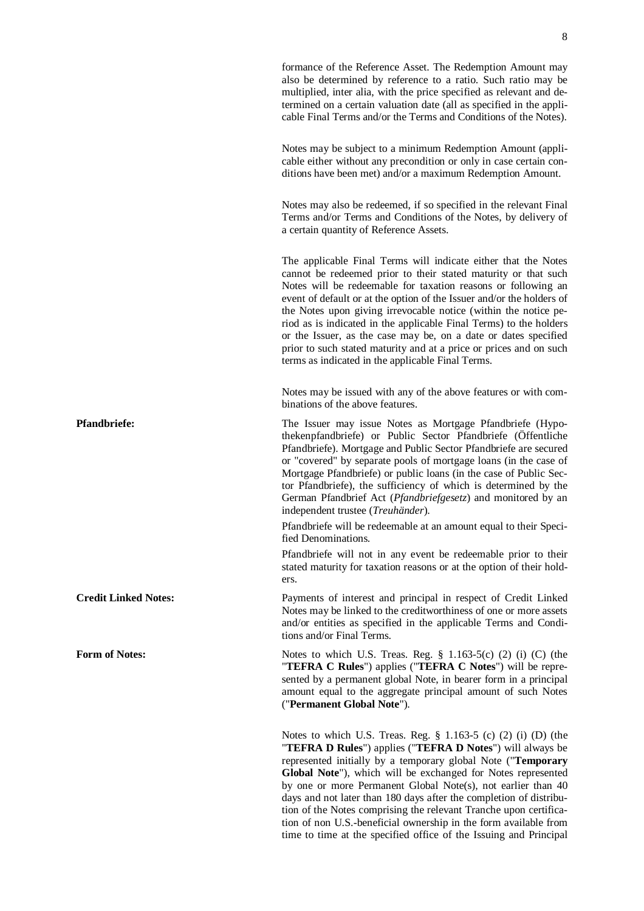|                             | formance of the Reference Asset. The Redemption Amount may<br>also be determined by reference to a ratio. Such ratio may be<br>multiplied, inter alia, with the price specified as relevant and de-<br>termined on a certain valuation date (all as specified in the appli-<br>cable Final Terms and/or the Terms and Conditions of the Notes).                                                                                                                                                                                                                                                                    |
|-----------------------------|--------------------------------------------------------------------------------------------------------------------------------------------------------------------------------------------------------------------------------------------------------------------------------------------------------------------------------------------------------------------------------------------------------------------------------------------------------------------------------------------------------------------------------------------------------------------------------------------------------------------|
|                             | Notes may be subject to a minimum Redemption Amount (appli-<br>cable either without any precondition or only in case certain con-<br>ditions have been met) and/or a maximum Redemption Amount.                                                                                                                                                                                                                                                                                                                                                                                                                    |
|                             | Notes may also be redeemed, if so specified in the relevant Final<br>Terms and/or Terms and Conditions of the Notes, by delivery of<br>a certain quantity of Reference Assets.                                                                                                                                                                                                                                                                                                                                                                                                                                     |
|                             | The applicable Final Terms will indicate either that the Notes<br>cannot be redeemed prior to their stated maturity or that such<br>Notes will be redeemable for taxation reasons or following an<br>event of default or at the option of the Issuer and/or the holders of<br>the Notes upon giving irrevocable notice (within the notice pe-<br>riod as is indicated in the applicable Final Terms) to the holders<br>or the Issuer, as the case may be, on a date or dates specified<br>prior to such stated maturity and at a price or prices and on such<br>terms as indicated in the applicable Final Terms.  |
|                             | Notes may be issued with any of the above features or with com-<br>binations of the above features.                                                                                                                                                                                                                                                                                                                                                                                                                                                                                                                |
| <b>Pfandbriefe:</b>         | The Issuer may issue Notes as Mortgage Pfandbriefe (Hypo-<br>thekenpfandbriefe) or Public Sector Pfandbriefe (Öffentliche<br>Pfandbriefe). Mortgage and Public Sector Pfandbriefe are secured<br>or "covered" by separate pools of mortgage loans (in the case of<br>Mortgage Pfandbriefe) or public loans (in the case of Public Sec-<br>tor Pfandbriefe), the sufficiency of which is determined by the<br>German Pfandbrief Act (Pfandbriefgesetz) and monitored by an<br>independent trustee ( <i>Treuhänder</i> ).                                                                                            |
|                             | Pfandbriefe will be redeemable at an amount equal to their Speci-<br>fied Denominations.                                                                                                                                                                                                                                                                                                                                                                                                                                                                                                                           |
|                             | Pfandbriefe will not in any event be redeemable prior to their<br>stated maturity for taxation reasons or at the option of their hold-<br>ers.                                                                                                                                                                                                                                                                                                                                                                                                                                                                     |
| <b>Credit Linked Notes:</b> | Payments of interest and principal in respect of Credit Linked<br>Notes may be linked to the creditworthiness of one or more assets<br>and/or entities as specified in the applicable Terms and Condi-<br>tions and/or Final Terms.                                                                                                                                                                                                                                                                                                                                                                                |
| <b>Form of Notes:</b>       | Notes to which U.S. Treas. Reg. $\S$ 1.163-5(c) (2) (i) (C) (the<br>"TEFRA C Rules") applies ("TEFRA C Notes") will be repre-<br>sented by a permanent global Note, in bearer form in a principal<br>amount equal to the aggregate principal amount of such Notes<br>("Permanent Global Note").                                                                                                                                                                                                                                                                                                                    |
|                             | Notes to which U.S. Treas. Reg. $\S$ 1.163-5 (c) (2) (i) (D) (the<br>"TEFRA D Rules") applies ("TEFRA D Notes") will always be<br>represented initially by a temporary global Note ("Temporary<br>Global Note"), which will be exchanged for Notes represented<br>by one or more Permanent Global Note(s), not earlier than 40<br>days and not later than 180 days after the completion of distribu-<br>tion of the Notes comprising the relevant Tranche upon certifica-<br>tion of non U.S.-beneficial ownership in the form available from<br>time to time at the specified office of the Issuing and Principal |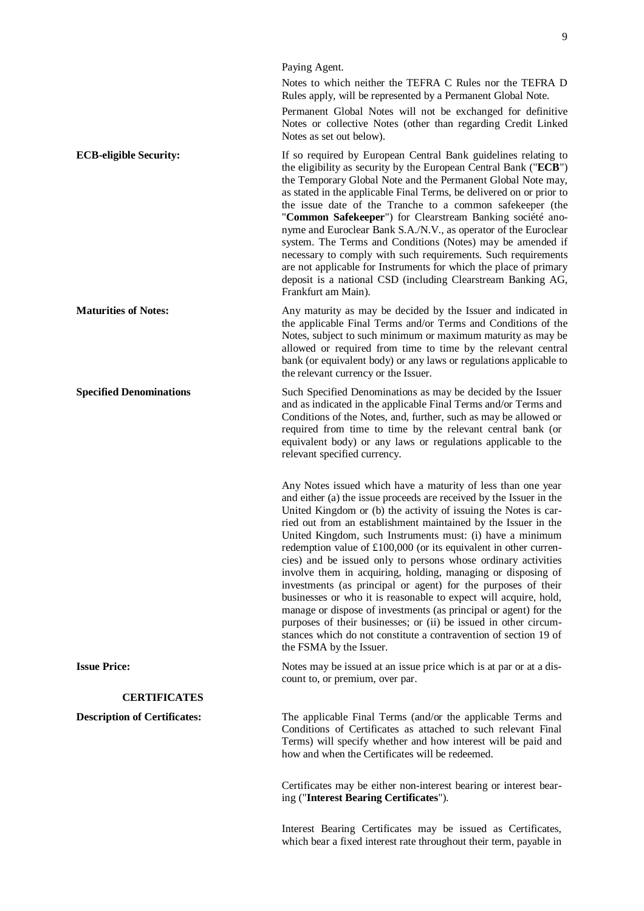Paying Agent. Notes to which neither the TEFRA C Rules nor the TEFRA D Rules apply, will be represented by a Permanent Global Note. Permanent Global Notes will not be exchanged for definitive Notes or collective Notes (other than regarding Credit Linked Notes as set out below). **ECB-eligible Security:** If so required by European Central Bank guidelines relating to the eligibility as security by the European Central Bank ("**ECB**") the Temporary Global Note and the Permanent Global Note may, as stated in the applicable Final Terms, be delivered on or prior to the issue date of the Tranche to a common safekeeper (the "**Common Safekeeper**") for Clearstream Banking société anonyme and Euroclear Bank S.A./N.V., as operator of the Euroclear system. The Terms and Conditions (Notes) may be amended if necessary to comply with such requirements. Such requirements are not applicable for Instruments for which the place of primary deposit is a national CSD (including Clearstream Banking AG, Frankfurt am Main). **Maturities of Notes:** Any maturity as may be decided by the Issuer and indicated in the applicable Final Terms and/or Terms and Conditions of the Notes, subject to such minimum or maximum maturity as may be allowed or required from time to time by the relevant central bank (or equivalent body) or any laws or regulations applicable to the relevant currency or the Issuer. **Specified Denominations Such Specified Denominations as may be decided by the Issuer** and as indicated in the applicable Final Terms and/or Terms and Conditions of the Notes, and, further, such as may be allowed or required from time to time by the relevant central bank (or equivalent body) or any laws or regulations applicable to the relevant specified currency. Any Notes issued which have a maturity of less than one year and either (a) the issue proceeds are received by the Issuer in the United Kingdom or (b) the activity of issuing the Notes is carried out from an establishment maintained by the Issuer in the United Kingdom, such Instruments must: (i) have a minimum redemption value of £100,000 (or its equivalent in other currencies) and be issued only to persons whose ordinary activities involve them in acquiring, holding, managing or disposing of investments (as principal or agent) for the purposes of their businesses or who it is reasonable to expect will acquire, hold, manage or dispose of investments (as principal or agent) for the purposes of their businesses; or (ii) be issued in other circumstances which do not constitute a contravention of section 19 of the FSMA by the Issuer. **Issue Price:** Notes may be issued at an issue price which is at par or at a discount to, or premium, over par. **CERTIFICATES Description of Certificates:** The applicable Final Terms (and/or the applicable Terms and Conditions of Certificates as attached to such relevant Final Terms) will specify whether and how interest will be paid and how and when the Certificates will be redeemed.

> Certificates may be either non-interest bearing or interest bearing ("**Interest Bearing Certificates**").

> Interest Bearing Certificates may be issued as Certificates, which bear a fixed interest rate throughout their term, payable in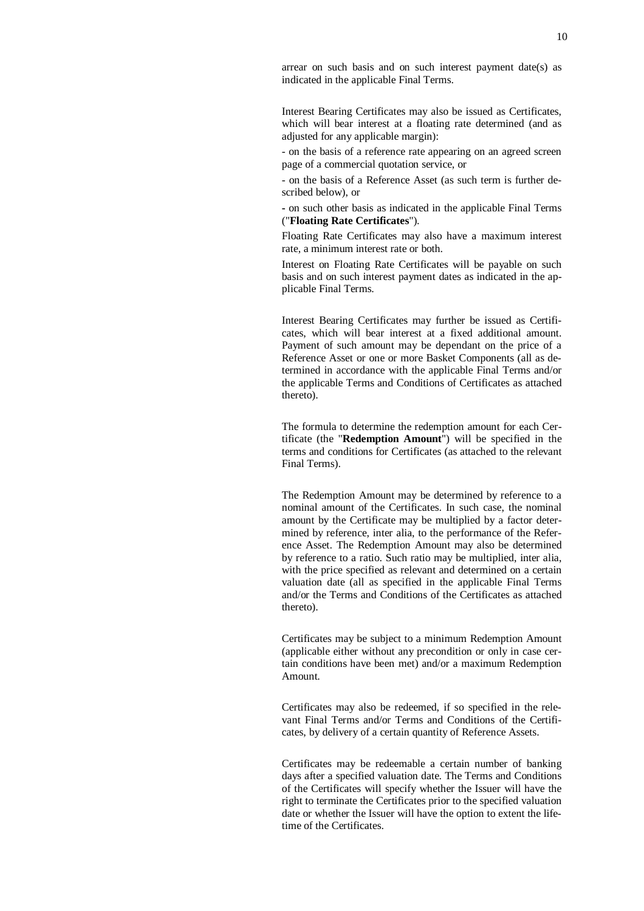arrear on such basis and on such interest payment date(s) as indicated in the applicable Final Terms.

Interest Bearing Certificates may also be issued as Certificates, which will bear interest at a floating rate determined (and as adjusted for any applicable margin):

- on the basis of a reference rate appearing on an agreed screen page of a commercial quotation service, or

- on the basis of a Reference Asset (as such term is further described below), or

**-** on such other basis as indicated in the applicable Final Terms ("**Floating Rate Certificates**").

Floating Rate Certificates may also have a maximum interest rate, a minimum interest rate or both.

Interest on Floating Rate Certificates will be payable on such basis and on such interest payment dates as indicated in the applicable Final Terms.

Interest Bearing Certificates may further be issued as Certificates, which will bear interest at a fixed additional amount. Payment of such amount may be dependant on the price of a Reference Asset or one or more Basket Components (all as determined in accordance with the applicable Final Terms and/or the applicable Terms and Conditions of Certificates as attached thereto).

The formula to determine the redemption amount for each Certificate (the "**Redemption Amount**") will be specified in the terms and conditions for Certificates (as attached to the relevant Final Terms).

The Redemption Amount may be determined by reference to a nominal amount of the Certificates. In such case, the nominal amount by the Certificate may be multiplied by a factor determined by reference, inter alia, to the performance of the Reference Asset. The Redemption Amount may also be determined by reference to a ratio. Such ratio may be multiplied, inter alia, with the price specified as relevant and determined on a certain valuation date (all as specified in the applicable Final Terms and/or the Terms and Conditions of the Certificates as attached thereto).

Certificates may be subject to a minimum Redemption Amount (applicable either without any precondition or only in case certain conditions have been met) and/or a maximum Redemption Amount.

Certificates may also be redeemed, if so specified in the relevant Final Terms and/or Terms and Conditions of the Certificates, by delivery of a certain quantity of Reference Assets.

Certificates may be redeemable a certain number of banking days after a specified valuation date. The Terms and Conditions of the Certificates will specify whether the Issuer will have the right to terminate the Certificates prior to the specified valuation date or whether the Issuer will have the option to extent the lifetime of the Certificates.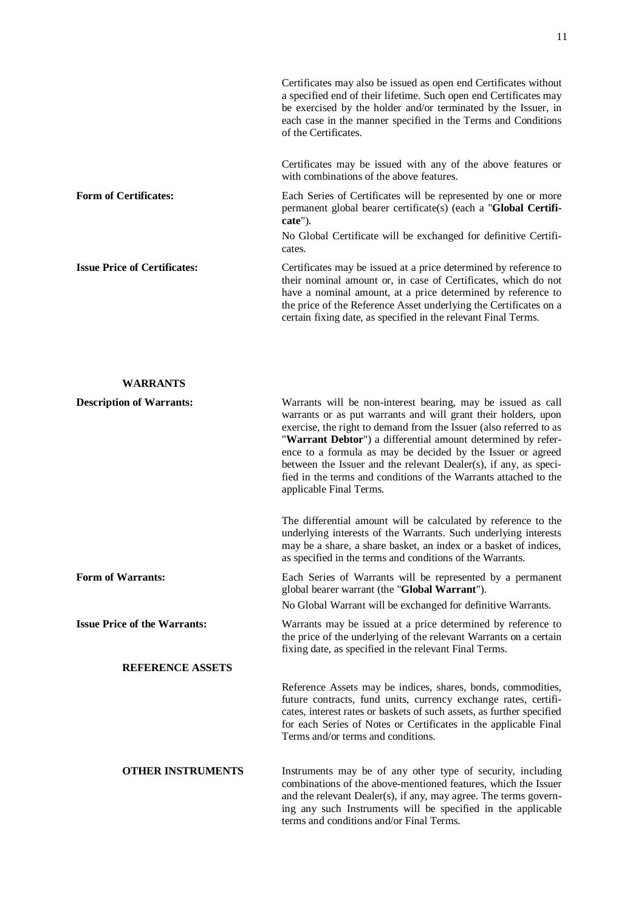|                                     | Certificates may also be issued as open end Certificates without<br>a specified end of their lifetime. Such open end Certificates may<br>be exercised by the holder and/or terminated by the Issuer, in<br>each case in the manner specified in the Terms and Conditions<br>of the Certificates.                                          |
|-------------------------------------|-------------------------------------------------------------------------------------------------------------------------------------------------------------------------------------------------------------------------------------------------------------------------------------------------------------------------------------------|
|                                     | Certificates may be issued with any of the above features or<br>with combinations of the above features.                                                                                                                                                                                                                                  |
| <b>Form of Certificates:</b>        | Each Series of Certificates will be represented by one or more<br>permanent global bearer certificate(s) (each a " <b>Global Certifi-</b><br>cate").                                                                                                                                                                                      |
|                                     | No Global Certificate will be exchanged for definitive Certifi-<br>cates.                                                                                                                                                                                                                                                                 |
| <b>Issue Price of Certificates:</b> | Certificates may be issued at a price determined by reference to<br>their nominal amount or, in case of Certificates, which do not<br>have a nominal amount, at a price determined by reference to<br>the price of the Reference Asset underlying the Certificates on a<br>certain fixing date, as specified in the relevant Final Terms. |

## **WARRANTS**

| <b>Description of Warrants:</b>     | Warrants will be non-interest bearing, may be issued as call<br>warrants or as put warrants and will grant their holders, upon<br>exercise, the right to demand from the Issuer (also referred to as<br>"Warrant Debtor") a differential amount determined by refer-<br>ence to a formula as may be decided by the Issuer or agreed<br>between the Issuer and the relevant Dealer(s), if any, as speci-<br>fied in the terms and conditions of the Warrants attached to the<br>applicable Final Terms. |
|-------------------------------------|--------------------------------------------------------------------------------------------------------------------------------------------------------------------------------------------------------------------------------------------------------------------------------------------------------------------------------------------------------------------------------------------------------------------------------------------------------------------------------------------------------|
|                                     | The differential amount will be calculated by reference to the<br>underlying interests of the Warrants. Such underlying interests<br>may be a share, a share basket, an index or a basket of indices,<br>as specified in the terms and conditions of the Warrants.                                                                                                                                                                                                                                     |
| <b>Form of Warrants:</b>            | Each Series of Warrants will be represented by a permanent<br>global bearer warrant (the "Global Warrant").                                                                                                                                                                                                                                                                                                                                                                                            |
|                                     | No Global Warrant will be exchanged for definitive Warrants.                                                                                                                                                                                                                                                                                                                                                                                                                                           |
| <b>Issue Price of the Warrants:</b> | Warrants may be issued at a price determined by reference to<br>the price of the underlying of the relevant Warrants on a certain<br>fixing date, as specified in the relevant Final Terms.                                                                                                                                                                                                                                                                                                            |
| <b>REFERENCE ASSETS</b>             |                                                                                                                                                                                                                                                                                                                                                                                                                                                                                                        |
|                                     | Reference Assets may be indices, shares, bonds, commodities,<br>future contracts, fund units, currency exchange rates, certifi-<br>cates, interest rates or baskets of such assets, as further specified<br>for each Series of Notes or Certificates in the applicable Final<br>Terms and/or terms and conditions.                                                                                                                                                                                     |
| <b>OTHER INSTRUMENTS</b>            | Instruments may be of any other type of security, including<br>combinations of the above-mentioned features, which the Issuer<br>and the relevant Dealer(s), if any, may agree. The terms govern-<br>ing any such Instruments will be specified in the applicable<br>terms and conditions and/or Final Terms.                                                                                                                                                                                          |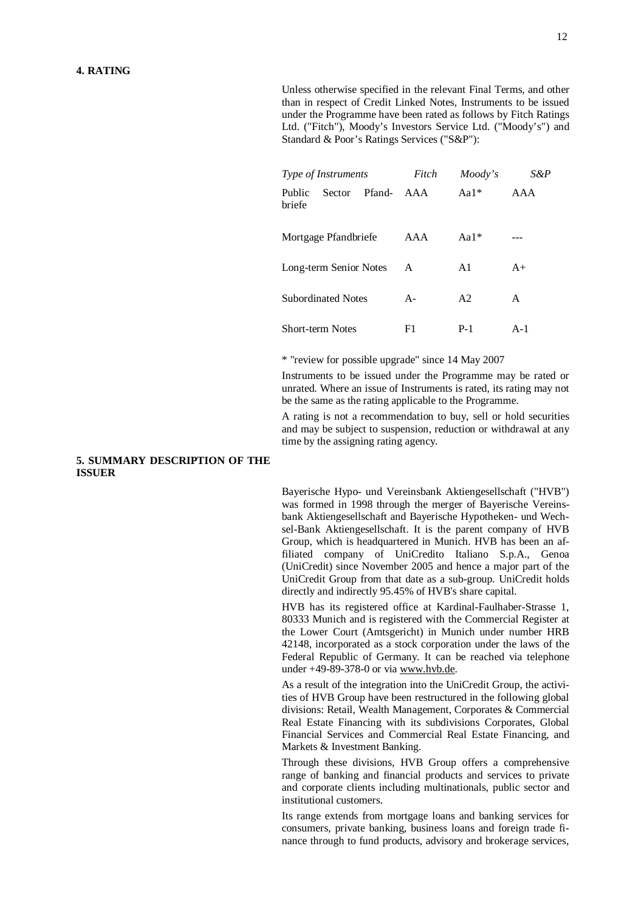Unless otherwise specified in the relevant Final Terms, and other than in respect of Credit Linked Notes, Instruments to be issued under the Programme have been rated as follows by Fitch Ratings Ltd. ("Fitch"), Moody's Investors Service Ltd. ("Moody's") and Standard & Poor's Ratings Services ("S&P"):

| Type of Instruments |                           | Fitch  | Moody's | S&P            |       |
|---------------------|---------------------------|--------|---------|----------------|-------|
| Public<br>briefe    | Sector                    | Pfand- | AAA     | Aa $1*$        | AAA   |
|                     | Mortgage Pfandbriefe      |        | AAA     | Aa $1*$        |       |
|                     | Long-term Senior Notes    |        | A       | A1             | $A+$  |
|                     | <b>Subordinated Notes</b> |        | $A -$   | A <sub>2</sub> | A     |
|                     | <b>Short-term Notes</b>   |        | F1      | $P-1$          | $A-1$ |

\* "review for possible upgrade" since 14 May 2007

Instruments to be issued under the Programme may be rated or unrated. Where an issue of Instruments is rated, its rating may not be the same as the rating applicable to the Programme.

A rating is not a recommendation to buy, sell or hold securities and may be subject to suspension, reduction or withdrawal at any time by the assigning rating agency.

## **5. SUMMARY DESCRIPTION OF THE ISSUER**

Bayerische Hypo- und Vereinsbank Aktiengesellschaft ("HVB") was formed in 1998 through the merger of Bayerische Vereinsbank Aktiengesellschaft and Bayerische Hypotheken- und Wechsel-Bank Aktiengesellschaft. It is the parent company of HVB Group, which is headquartered in Munich. HVB has been an affiliated company of UniCredito Italiano S.p.A., Genoa (UniCredit) since November 2005 and hence a major part of the UniCredit Group from that date as a sub-group. UniCredit holds directly and indirectly 95.45% of HVB's share capital.

HVB has its registered office at Kardinal-Faulhaber-Strasse 1, 80333 Munich and is registered with the Commercial Register at the Lower Court (Amtsgericht) in Munich under number HRB 42148, incorporated as a stock corporation under the laws of the Federal Republic of Germany. It can be reached via telephone under +49-89-378-0 or via [www.hvb.de](http://www.hvb.de).

As a result of the integration into the UniCredit Group, the activities of HVB Group have been restructured in the following global divisions: Retail, Wealth Management, Corporates & Commercial Real Estate Financing with its subdivisions Corporates, Global Financial Services and Commercial Real Estate Financing, and Markets & Investment Banking.

Through these divisions, HVB Group offers a comprehensive range of banking and financial products and services to private and corporate clients including multinationals, public sector and institutional customers.

Its range extends from mortgage loans and banking services for consumers, private banking, business loans and foreign trade finance through to fund products, advisory and brokerage services,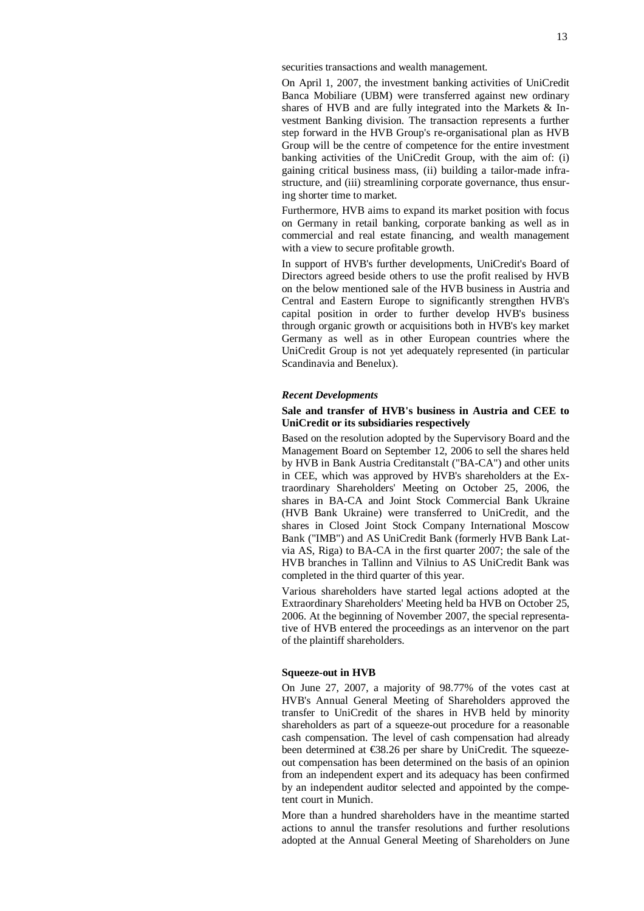securities transactions and wealth management.

On April 1, 2007, the investment banking activities of UniCredit Banca Mobiliare (UBM) were transferred against new ordinary shares of HVB and are fully integrated into the Markets & Investment Banking division. The transaction represents a further step forward in the HVB Group's re-organisational plan as HVB Group will be the centre of competence for the entire investment banking activities of the UniCredit Group, with the aim of: (i) gaining critical business mass, (ii) building a tailor-made infrastructure, and (iii) streamlining corporate governance, thus ensuring shorter time to market.

Furthermore, HVB aims to expand its market position with focus on Germany in retail banking, corporate banking as well as in commercial and real estate financing, and wealth management with a view to secure profitable growth.

In support of HVB's further developments, UniCredit's Board of Directors agreed beside others to use the profit realised by HVB on the below mentioned sale of the HVB business in Austria and Central and Eastern Europe to significantly strengthen HVB's capital position in order to further develop HVB's business through organic growth or acquisitions both in HVB's key market Germany as well as in other European countries where the UniCredit Group is not yet adequately represented (in particular Scandinavia and Benelux).

#### *Recent Developments*

## **Sale and transfer of HVB's business in Austria and CEE to UniCredit or its subsidiaries respectively**

Based on the resolution adopted by the Supervisory Board and the Management Board on September 12, 2006 to sell the shares held by HVB in Bank Austria Creditanstalt ("BA-CA") and other units in CEE, which was approved by HVB's shareholders at the Extraordinary Shareholders' Meeting on October 25, 2006, the shares in BA-CA and Joint Stock Commercial Bank Ukraine (HVB Bank Ukraine) were transferred to UniCredit, and the shares in Closed Joint Stock Company International Moscow Bank ("IMB") and AS UniCredit Bank (formerly HVB Bank Latvia AS, Riga) to BA-CA in the first quarter 2007; the sale of the HVB branches in Tallinn and Vilnius to AS UniCredit Bank was completed in the third quarter of this year.

Various shareholders have started legal actions adopted at the Extraordinary Shareholders' Meeting held ba HVB on October 25, 2006. At the beginning of November 2007, the special representative of HVB entered the proceedings as an intervenor on the part of the plaintiff shareholders.

### **Squeeze-out in HVB**

On June 27, 2007, a majority of 98.77% of the votes cast at HVB's Annual General Meeting of Shareholders approved the transfer to UniCredit of the shares in HVB held by minority shareholders as part of a squeeze-out procedure for a reasonable cash compensation. The level of cash compensation had already been determined at €38.26 per share by UniCredit. The squeezeout compensation has been determined on the basis of an opinion from an independent expert and its adequacy has been confirmed by an independent auditor selected and appointed by the competent court in Munich.

More than a hundred shareholders have in the meantime started actions to annul the transfer resolutions and further resolutions adopted at the Annual General Meeting of Shareholders on June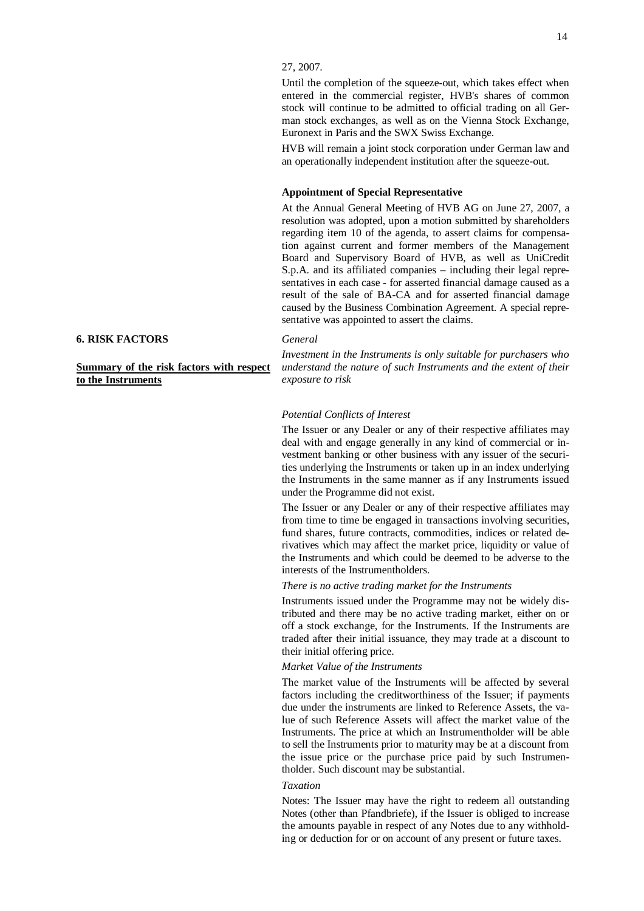Until the completion of the squeeze-out, which takes effect when entered in the commercial register, HVB's shares of common stock will continue to be admitted to official trading on all German stock exchanges, as well as on the Vienna Stock Exchange, Euronext in Paris and the SWX Swiss Exchange.

HVB will remain a joint stock corporation under German law and an operationally independent institution after the squeeze-out.

#### **Appointment of Special Representative**

At the Annual General Meeting of HVB AG on June 27, 2007, a resolution was adopted, upon a motion submitted by shareholders regarding item 10 of the agenda, to assert claims for compensation against current and former members of the Management Board and Supervisory Board of HVB, as well as UniCredit S.p.A. and its affiliated companies – including their legal representatives in each case - for asserted financial damage caused as a result of the sale of BA-CA and for asserted financial damage caused by the Business Combination Agreement. A special representative was appointed to assert the claims.

#### *General*

*Investment in the Instruments is only suitable for purchasers who understand the nature of such Instruments and the extent of their exposure to risk* 

#### *Potential Conflicts of Interest*

The Issuer or any Dealer or any of their respective affiliates may deal with and engage generally in any kind of commercial or investment banking or other business with any issuer of the securities underlying the Instruments or taken up in an index underlying the Instruments in the same manner as if any Instruments issued under the Programme did not exist.

The Issuer or any Dealer or any of their respective affiliates may from time to time be engaged in transactions involving securities, fund shares, future contracts, commodities, indices or related derivatives which may affect the market price, liquidity or value of the Instruments and which could be deemed to be adverse to the interests of the Instrumentholders.

*There is no active trading market for the Instruments* 

Instruments issued under the Programme may not be widely distributed and there may be no active trading market, either on or off a stock exchange, for the Instruments. If the Instruments are traded after their initial issuance, they may trade at a discount to their initial offering price.

## *Market Value of the Instruments*

The market value of the Instruments will be affected by several factors including the creditworthiness of the Issuer; if payments due under the instruments are linked to Reference Assets, the value of such Reference Assets will affect the market value of the Instruments. The price at which an Instrumentholder will be able to sell the Instruments prior to maturity may be at a discount from the issue price or the purchase price paid by such Instrumentholder. Such discount may be substantial.

#### *Taxation*

Notes: The Issuer may have the right to redeem all outstanding Notes (other than Pfandbriefe), if the Issuer is obliged to increase the amounts payable in respect of any Notes due to any withholding or deduction for or on account of any present or future taxes.

#### **6. RISK FACTORS**

**Summary of the risk factors with respect to the Instruments**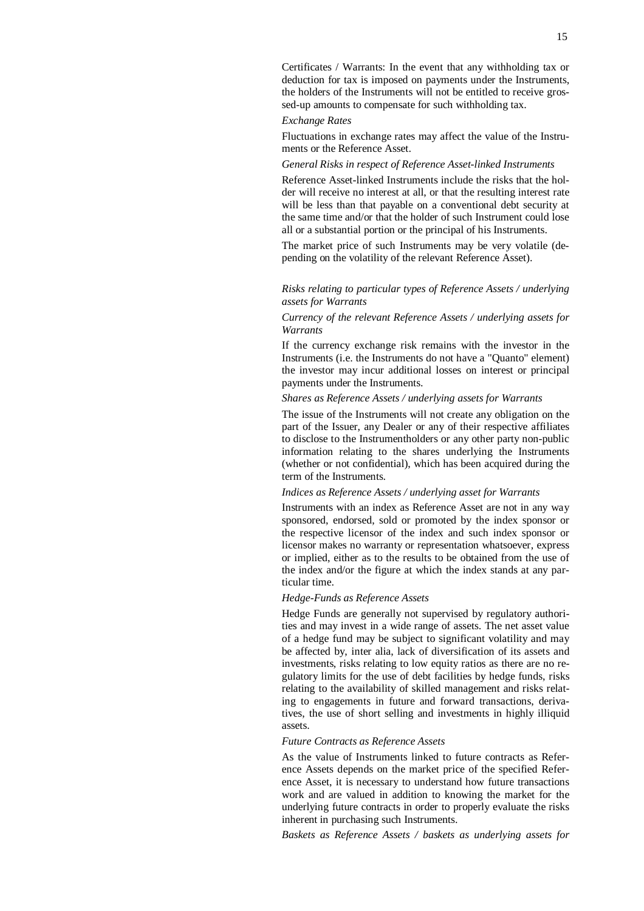Certificates / Warrants: In the event that any withholding tax or deduction for tax is imposed on payments under the Instruments, the holders of the Instruments will not be entitled to receive grossed-up amounts to compensate for such withholding tax.

## *Exchange Rates*

Fluctuations in exchange rates may affect the value of the Instruments or the Reference Asset.

#### *General Risks in respect of Reference Asset-linked Instruments*

Reference Asset-linked Instruments include the risks that the holder will receive no interest at all, or that the resulting interest rate will be less than that payable on a conventional debt security at the same time and/or that the holder of such Instrument could lose all or a substantial portion or the principal of his Instruments.

The market price of such Instruments may be very volatile (depending on the volatility of the relevant Reference Asset).

## *Risks relating to particular types of Reference Assets / underlying assets for Warrants*

## *Currency of the relevant Reference Assets / underlying assets for Warrants*

If the currency exchange risk remains with the investor in the Instruments (i.e. the Instruments do not have a "Quanto" element) the investor may incur additional losses on interest or principal payments under the Instruments.

## *Shares as Reference Assets / underlying assets for Warrants*

The issue of the Instruments will not create any obligation on the part of the Issuer, any Dealer or any of their respective affiliates to disclose to the Instrumentholders or any other party non-public information relating to the shares underlying the Instruments (whether or not confidential), which has been acquired during the term of the Instruments.

## *Indices as Reference Assets / underlying asset for Warrants*

Instruments with an index as Reference Asset are not in any way sponsored, endorsed, sold or promoted by the index sponsor or the respective licensor of the index and such index sponsor or licensor makes no warranty or representation whatsoever, express or implied, either as to the results to be obtained from the use of the index and/or the figure at which the index stands at any particular time.

## *Hedge-Funds as Reference Assets*

Hedge Funds are generally not supervised by regulatory authorities and may invest in a wide range of assets. The net asset value of a hedge fund may be subject to significant volatility and may be affected by, inter alia, lack of diversification of its assets and investments, risks relating to low equity ratios as there are no regulatory limits for the use of debt facilities by hedge funds, risks relating to the availability of skilled management and risks relating to engagements in future and forward transactions, derivatives, the use of short selling and investments in highly illiquid assets.

## *Future Contracts as Reference Assets*

As the value of Instruments linked to future contracts as Reference Assets depends on the market price of the specified Reference Asset, it is necessary to understand how future transactions work and are valued in addition to knowing the market for the underlying future contracts in order to properly evaluate the risks inherent in purchasing such Instruments.

*Baskets as Reference Assets / baskets as underlying assets for*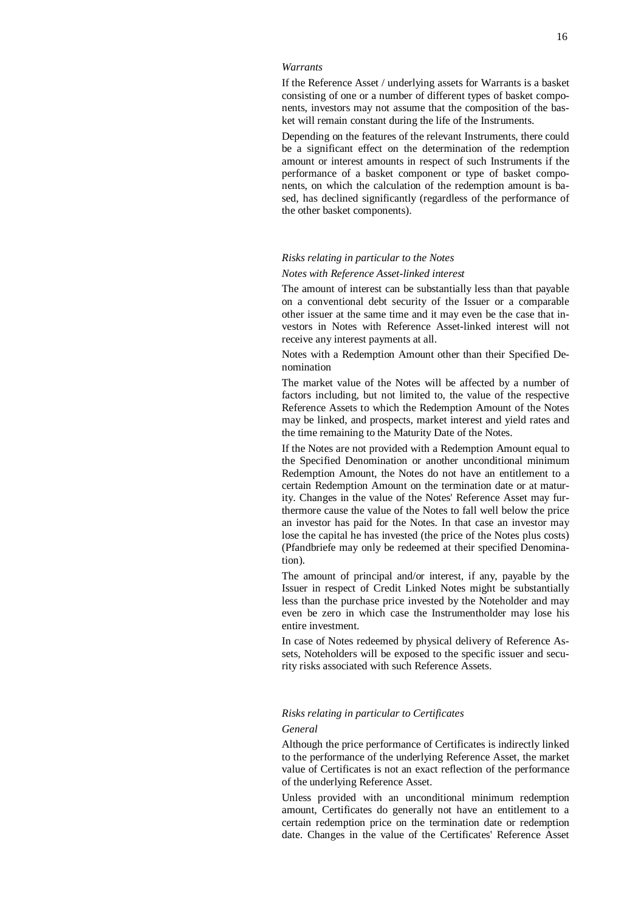#### *Warrants*

If the Reference Asset / underlying assets for Warrants is a basket consisting of one or a number of different types of basket components, investors may not assume that the composition of the basket will remain constant during the life of the Instruments.

Depending on the features of the relevant Instruments, there could be a significant effect on the determination of the redemption amount or interest amounts in respect of such Instruments if the performance of a basket component or type of basket components, on which the calculation of the redemption amount is based, has declined significantly (regardless of the performance of the other basket components).

#### *Risks relating in particular to the Notes*

#### *Notes with Reference Asset-linked interest*

The amount of interest can be substantially less than that payable on a conventional debt security of the Issuer or a comparable other issuer at the same time and it may even be the case that investors in Notes with Reference Asset-linked interest will not receive any interest payments at all.

Notes with a Redemption Amount other than their Specified Denomination

The market value of the Notes will be affected by a number of factors including, but not limited to, the value of the respective Reference Assets to which the Redemption Amount of the Notes may be linked, and prospects, market interest and yield rates and the time remaining to the Maturity Date of the Notes.

If the Notes are not provided with a Redemption Amount equal to the Specified Denomination or another unconditional minimum Redemption Amount, the Notes do not have an entitlement to a certain Redemption Amount on the termination date or at maturity. Changes in the value of the Notes' Reference Asset may furthermore cause the value of the Notes to fall well below the price an investor has paid for the Notes. In that case an investor may lose the capital he has invested (the price of the Notes plus costs) (Pfandbriefe may only be redeemed at their specified Denomination).

The amount of principal and/or interest, if any, payable by the Issuer in respect of Credit Linked Notes might be substantially less than the purchase price invested by the Noteholder and may even be zero in which case the Instrumentholder may lose his entire investment.

In case of Notes redeemed by physical delivery of Reference Assets, Noteholders will be exposed to the specific issuer and security risks associated with such Reference Assets.

### *Risks relating in particular to Certificates*

## *General*

Although the price performance of Certificates is indirectly linked to the performance of the underlying Reference Asset, the market value of Certificates is not an exact reflection of the performance of the underlying Reference Asset.

Unless provided with an unconditional minimum redemption amount, Certificates do generally not have an entitlement to a certain redemption price on the termination date or redemption date. Changes in the value of the Certificates' Reference Asset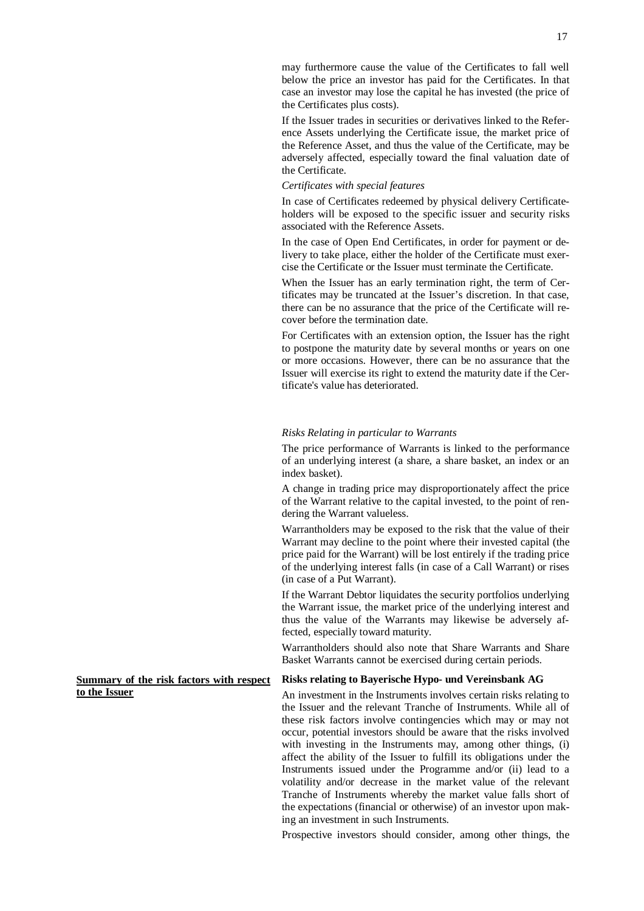may furthermore cause the value of the Certificates to fall well below the price an investor has paid for the Certificates. In that case an investor may lose the capital he has invested (the price of the Certificates plus costs).

If the Issuer trades in securities or derivatives linked to the Reference Assets underlying the Certificate issue, the market price of the Reference Asset, and thus the value of the Certificate, may be adversely affected, especially toward the final valuation date of the Certificate.

## *Certificates with special features*

In case of Certificates redeemed by physical delivery Certificateholders will be exposed to the specific issuer and security risks associated with the Reference Assets.

In the case of Open End Certificates, in order for payment or delivery to take place, either the holder of the Certificate must exercise the Certificate or the Issuer must terminate the Certificate.

When the Issuer has an early termination right, the term of Certificates may be truncated at the Issuer's discretion. In that case, there can be no assurance that the price of the Certificate will recover before the termination date.

For Certificates with an extension option, the Issuer has the right to postpone the maturity date by several months or years on one or more occasions. However, there can be no assurance that the Issuer will exercise its right to extend the maturity date if the Certificate's value has deteriorated.

#### *Risks Relating in particular to Warrants*

The price performance of Warrants is linked to the performance of an underlying interest (a share, a share basket, an index or an index basket).

A change in trading price may disproportionately affect the price of the Warrant relative to the capital invested, to the point of rendering the Warrant valueless.

Warrantholders may be exposed to the risk that the value of their Warrant may decline to the point where their invested capital (the price paid for the Warrant) will be lost entirely if the trading price of the underlying interest falls (in case of a Call Warrant) or rises (in case of a Put Warrant).

If the Warrant Debtor liquidates the security portfolios underlying the Warrant issue, the market price of the underlying interest and thus the value of the Warrants may likewise be adversely affected, especially toward maturity.

Warrantholders should also note that Share Warrants and Share Basket Warrants cannot be exercised during certain periods.

#### **Risks relating to Bayerische Hypo- und Vereinsbank AG**

An investment in the Instruments involves certain risks relating to the Issuer and the relevant Tranche of Instruments. While all of these risk factors involve contingencies which may or may not occur, potential investors should be aware that the risks involved with investing in the Instruments may, among other things, (i) affect the ability of the Issuer to fulfill its obligations under the Instruments issued under the Programme and/or (ii) lead to a volatility and/or decrease in the market value of the relevant Tranche of Instruments whereby the market value falls short of the expectations (financial or otherwise) of an investor upon making an investment in such Instruments.

Prospective investors should consider, among other things, the

**Summary of the risk factors with respect to the Issuer**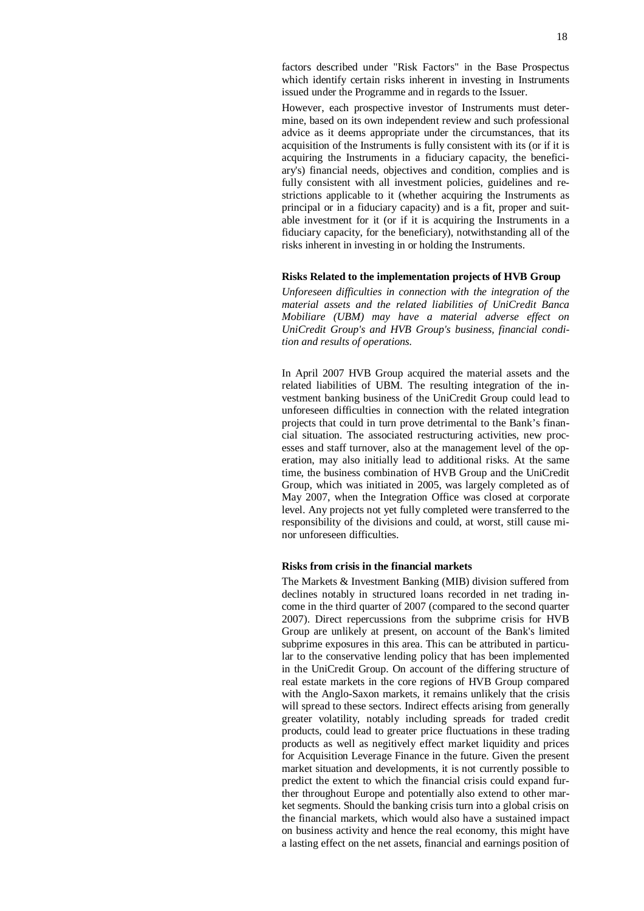However, each prospective investor of Instruments must determine, based on its own independent review and such professional advice as it deems appropriate under the circumstances, that its acquisition of the Instruments is fully consistent with its (or if it is acquiring the Instruments in a fiduciary capacity, the beneficiary's) financial needs, objectives and condition, complies and is fully consistent with all investment policies, guidelines and restrictions applicable to it (whether acquiring the Instruments as principal or in a fiduciary capacity) and is a fit, proper and suitable investment for it (or if it is acquiring the Instruments in a fiduciary capacity, for the beneficiary), notwithstanding all of the risks inherent in investing in or holding the Instruments.

### **Risks Related to the implementation projects of HVB Group**

*Unforeseen difficulties in connection with the integration of the material assets and the related liabilities of UniCredit Banca Mobiliare (UBM) may have a material adverse effect on UniCredit Group's and HVB Group's business, financial condition and results of operations.* 

In April 2007 HVB Group acquired the material assets and the related liabilities of UBM. The resulting integration of the investment banking business of the UniCredit Group could lead to unforeseen difficulties in connection with the related integration projects that could in turn prove detrimental to the Bank's financial situation. The associated restructuring activities, new processes and staff turnover, also at the management level of the operation, may also initially lead to additional risks. At the same time, the business combination of HVB Group and the UniCredit Group, which was initiated in 2005, was largely completed as of May 2007, when the Integration Office was closed at corporate level. Any projects not yet fully completed were transferred to the responsibility of the divisions and could, at worst, still cause minor unforeseen difficulties.

### **Risks from crisis in the financial markets**

The Markets & Investment Banking (MIB) division suffered from declines notably in structured loans recorded in net trading income in the third quarter of 2007 (compared to the second quarter 2007). Direct repercussions from the subprime crisis for HVB Group are unlikely at present, on account of the Bank's limited subprime exposures in this area. This can be attributed in particular to the conservative lending policy that has been implemented in the UniCredit Group. On account of the differing structure of real estate markets in the core regions of HVB Group compared with the Anglo-Saxon markets, it remains unlikely that the crisis will spread to these sectors. Indirect effects arising from generally greater volatility, notably including spreads for traded credit products, could lead to greater price fluctuations in these trading products as well as negitively effect market liquidity and prices for Acquisition Leverage Finance in the future. Given the present market situation and developments, it is not currently possible to predict the extent to which the financial crisis could expand further throughout Europe and potentially also extend to other market segments. Should the banking crisis turn into a global crisis on the financial markets, which would also have a sustained impact on business activity and hence the real economy, this might have a lasting effect on the net assets, financial and earnings position of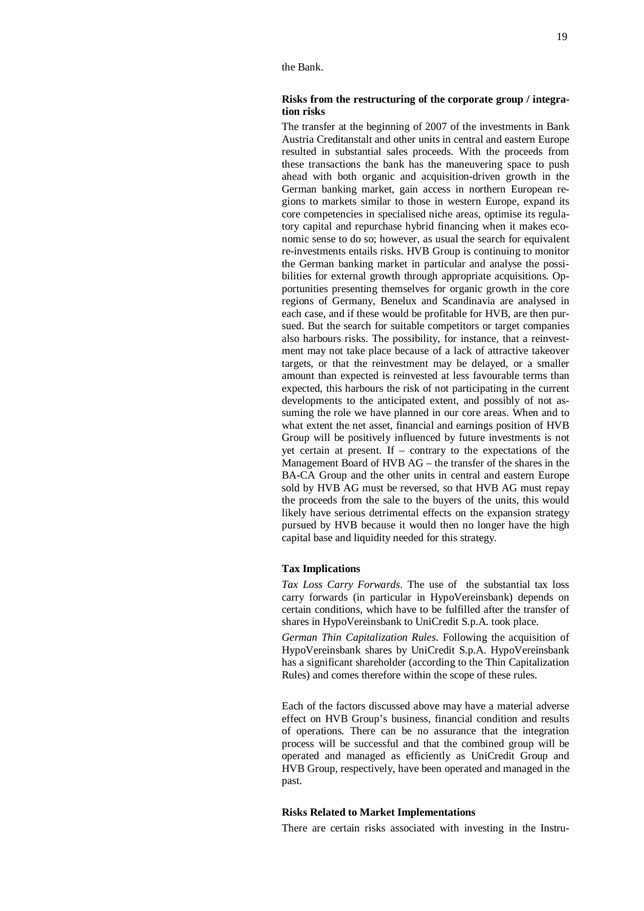## **Risks from the restructuring of the corporate group / integration risks**

The transfer at the beginning of 2007 of the investments in Bank Austria Creditanstalt and other units in central and eastern Europe resulted in substantial sales proceeds. With the proceeds from these transactions the bank has the maneuvering space to push ahead with both organic and acquisition-driven growth in the German banking market, gain access in northern European regions to markets similar to those in western Europe, expand its core competencies in specialised niche areas, optimise its regulatory capital and repurchase hybrid financing when it makes economic sense to do so; however, as usual the search for equivalent re-investments entails risks. HVB Group is continuing to monitor the German banking market in particular and analyse the possibilities for external growth through appropriate acquisitions. Opportunities presenting themselves for organic growth in the core regions of Germany, Benelux and Scandinavia are analysed in each case, and if these would be profitable for HVB, are then pursued. But the search for suitable competitors or target companies also harbours risks. The possibility, for instance, that a reinvestment may not take place because of a lack of attractive takeover targets, or that the reinvestment may be delayed, or a smaller amount than expected is reinvested at less favourable terms than expected, this harbours the risk of not participating in the current developments to the anticipated extent, and possibly of not assuming the role we have planned in our core areas. When and to what extent the net asset, financial and earnings position of HVB Group will be positively influenced by future investments is not yet certain at present. If – contrary to the expectations of the Management Board of HVB AG – the transfer of the shares in the BA-CA Group and the other units in central and eastern Europe sold by HVB AG must be reversed, so that HVB AG must repay the proceeds from the sale to the buyers of the units, this would likely have serious detrimental effects on the expansion strategy pursued by HVB because it would then no longer have the high capital base and liquidity needed for this strategy.

#### **Tax Implications**

*Tax Loss Carry Forwards*. The use of the substantial tax loss carry forwards (in particular in HypoVereinsbank) depends on certain conditions, which have to be fulfilled after the transfer of shares in HypoVereinsbank to UniCredit S.p.A. took place.

*German Thin Capitalization Rules*. Following the acquisition of HypoVereinsbank shares by UniCredit S.p.A. HypoVereinsbank has a significant shareholder (according to the Thin Capitalization Rules) and comes therefore within the scope of these rules.

Each of the factors discussed above may have a material adverse effect on HVB Group's business, financial condition and results of operations. There can be no assurance that the integration process will be successful and that the combined group will be operated and managed as efficiently as UniCredit Group and HVB Group, respectively, have been operated and managed in the past.

## **Risks Related to Market Implementations**

There are certain risks associated with investing in the Instru-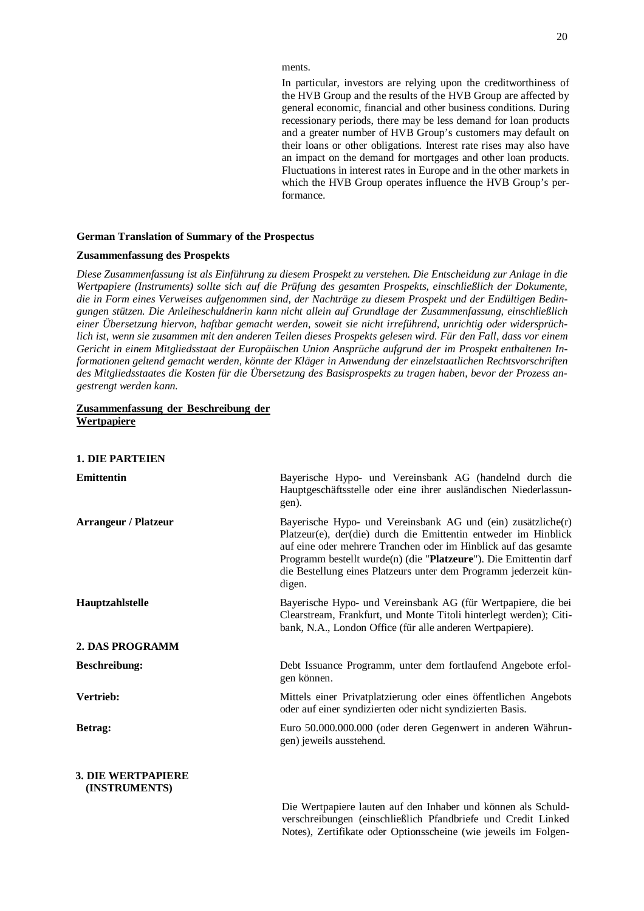ments.

In particular, investors are relying upon the creditworthiness of the HVB Group and the results of the HVB Group are affected by general economic, financial and other business conditions. During recessionary periods, there may be less demand for loan products and a greater number of HVB Group's customers may default on their loans or other obligations. Interest rate rises may also have an impact on the demand for mortgages and other loan products. Fluctuations in interest rates in Europe and in the other markets in which the HVB Group operates influence the HVB Group's performance.

#### **German Translation of Summary of the Prospectus**

## **Zusammenfassung des Prospekts**

*Diese Zusammenfassung ist als Einführung zu diesem Prospekt zu verstehen. Die Entscheidung zur Anlage in die Wertpapiere (Instruments) sollte sich auf die Prüfung des gesamten Prospekts, einschließlich der Dokumente, die in Form eines Verweises aufgenommen sind, der Nachträge zu diesem Prospekt und der Endültigen Bedingungen stützen. Die Anleiheschuldnerin kann nicht allein auf Grundlage der Zusammenfassung, einschließlich einer Übersetzung hiervon, haftbar gemacht werden, soweit sie nicht irreführend, unrichtig oder widersprüchlich ist, wenn sie zusammen mit den anderen Teilen dieses Prospekts gelesen wird. Für den Fall, dass vor einem Gericht in einem Mitgliedsstaat der Europäischen Union Ansprüche aufgrund der im Prospekt enthaltenen Informationen geltend gemacht werden, könnte der Kläger in Anwendung der einzelstaatlichen Rechtsvorschriften des Mitgliedsstaates die Kosten für die Übersetzung des Basisprospekts zu tragen haben, bevor der Prozess angestrengt werden kann.* 

## **Zusammenfassung der Beschreibung der Wertpapiere**

#### **1. DIE PARTEIEN**

| <b>Emittentin</b>                          | Bayerische Hypo- und Vereinsbank AG (handelnd durch die<br>Hauptgeschäftsstelle oder eine ihrer ausländischen Niederlassun-<br>gen).                                                                                                                                                                                                                  |
|--------------------------------------------|-------------------------------------------------------------------------------------------------------------------------------------------------------------------------------------------------------------------------------------------------------------------------------------------------------------------------------------------------------|
| <b>Arrangeur / Platzeur</b>                | Bayerische Hypo- und Vereinsbank AG und (ein) zusätzliche(r)<br>Platzeur(e), der(die) durch die Emittentin entweder im Hinblick<br>auf eine oder mehrere Tranchen oder im Hinblick auf das gesamte<br>Programm bestellt wurde(n) (die "Platzeure"). Die Emittentin darf<br>die Bestellung eines Platzeurs unter dem Programm jederzeit kün-<br>digen. |
| Hauptzahlstelle                            | Bayerische Hypo- und Vereinsbank AG (für Wertpapiere, die bei<br>Clearstream, Frankfurt, und Monte Titoli hinterlegt werden); Citi-<br>bank, N.A., London Office (für alle anderen Wertpapiere).                                                                                                                                                      |
| 2. DAS PROGRAMM                            |                                                                                                                                                                                                                                                                                                                                                       |
| <b>Beschreibung:</b>                       | Debt Issuance Programm, unter dem fortlaufend Angebote erfol-<br>gen können.                                                                                                                                                                                                                                                                          |
| Vertrieb:                                  | Mittels einer Privatplatzierung oder eines öffentlichen Angebots<br>oder auf einer syndizierten oder nicht syndizierten Basis.                                                                                                                                                                                                                        |
| Betrag:                                    | Euro 50.000.000.000 (oder deren Gegenwert in anderen Währun-<br>gen) jeweils ausstehend.                                                                                                                                                                                                                                                              |
| <b>3. DIE WERTPAPIERE</b><br>(INSTRUMENTS) |                                                                                                                                                                                                                                                                                                                                                       |

Die Wertpapiere lauten auf den Inhaber und können als Schuldverschreibungen (einschließlich Pfandbriefe und Credit Linked Notes), Zertifikate oder Optionsscheine (wie jeweils im Folgen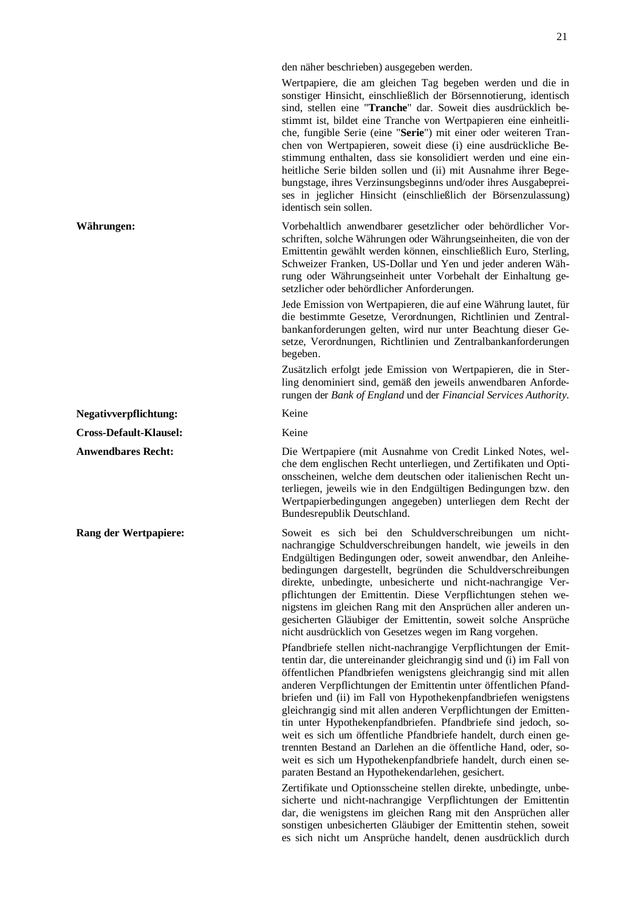den näher beschrieben) ausgegeben werden.

Wertpapiere, die am gleichen Tag begeben werden und die in sonstiger Hinsicht, einschließlich der Börsennotierung, identisch sind, stellen eine "**Tranche**" dar. Soweit dies ausdrücklich bestimmt ist, bildet eine Tranche von Wertpapieren eine einheitliche, fungible Serie (eine "**Serie**") mit einer oder weiteren Tranchen von Wertpapieren, soweit diese (i) eine ausdrückliche Bestimmung enthalten, dass sie konsolidiert werden und eine einheitliche Serie bilden sollen und (ii) mit Ausnahme ihrer Begebungstage, ihres Verzinsungsbeginns und/oder ihres Ausgabepreises in jeglicher Hinsicht (einschließlich der Börsenzulassung) identisch sein sollen.

**Währungen:** Vorbehaltlich anwendbarer gesetzlicher oder behördlicher Vorschriften, solche Währungen oder Währungseinheiten, die von der Emittentin gewählt werden können, einschließlich Euro, Sterling, Schweizer Franken, US-Dollar und Yen und jeder anderen Währung oder Währungseinheit unter Vorbehalt der Einhaltung gesetzlicher oder behördlicher Anforderungen.

> Jede Emission von Wertpapieren, die auf eine Währung lautet, für die bestimmte Gesetze, Verordnungen, Richtlinien und Zentralbankanforderungen gelten, wird nur unter Beachtung dieser Gesetze, Verordnungen, Richtlinien und Zentralbankanforderungen begeben.

> Zusätzlich erfolgt jede Emission von Wertpapieren, die in Sterling denominiert sind, gemäß den jeweils anwendbaren Anforderungen der *Bank of England* und der *Financial Services Authority*.

**Anwendbares Recht:** Die Wertpapiere (mit Ausnahme von Credit Linked Notes, welche dem englischen Recht unterliegen, und Zertifikaten und Optionsscheinen, welche dem deutschen oder italienischen Recht unterliegen, jeweils wie in den Endgültigen Bedingungen bzw. den Wertpapierbedingungen angegeben) unterliegen dem Recht der Bundesrepublik Deutschland.

**Rang der Wertpapiere:** Soweit es sich bei den Schuldverschreibungen um nichtnachrangige Schuldverschreibungen handelt, wie jeweils in den Endgültigen Bedingungen oder, soweit anwendbar, den Anleihebedingungen dargestellt, begründen die Schuldverschreibungen direkte, unbedingte, unbesicherte und nicht-nachrangige Verpflichtungen der Emittentin. Diese Verpflichtungen stehen wenigstens im gleichen Rang mit den Ansprüchen aller anderen ungesicherten Gläubiger der Emittentin, soweit solche Ansprüche nicht ausdrücklich von Gesetzes wegen im Rang vorgehen.

> Pfandbriefe stellen nicht-nachrangige Verpflichtungen der Emittentin dar, die untereinander gleichrangig sind und (i) im Fall von öffentlichen Pfandbriefen wenigstens gleichrangig sind mit allen anderen Verpflichtungen der Emittentin unter öffentlichen Pfandbriefen und (ii) im Fall von Hypothekenpfandbriefen wenigstens gleichrangig sind mit allen anderen Verpflichtungen der Emittentin unter Hypothekenpfandbriefen. Pfandbriefe sind jedoch, soweit es sich um öffentliche Pfandbriefe handelt, durch einen getrennten Bestand an Darlehen an die öffentliche Hand, oder, soweit es sich um Hypothekenpfandbriefe handelt, durch einen separaten Bestand an Hypothekendarlehen, gesichert.

> Zertifikate und Optionsscheine stellen direkte, unbedingte, unbesicherte und nicht-nachrangige Verpflichtungen der Emittentin dar, die wenigstens im gleichen Rang mit den Ansprüchen aller sonstigen unbesicherten Gläubiger der Emittentin stehen, soweit es sich nicht um Ansprüche handelt, denen ausdrücklich durch

**Negativverpflichtung:** Keine

**Cross-Default-Klausel:** Keine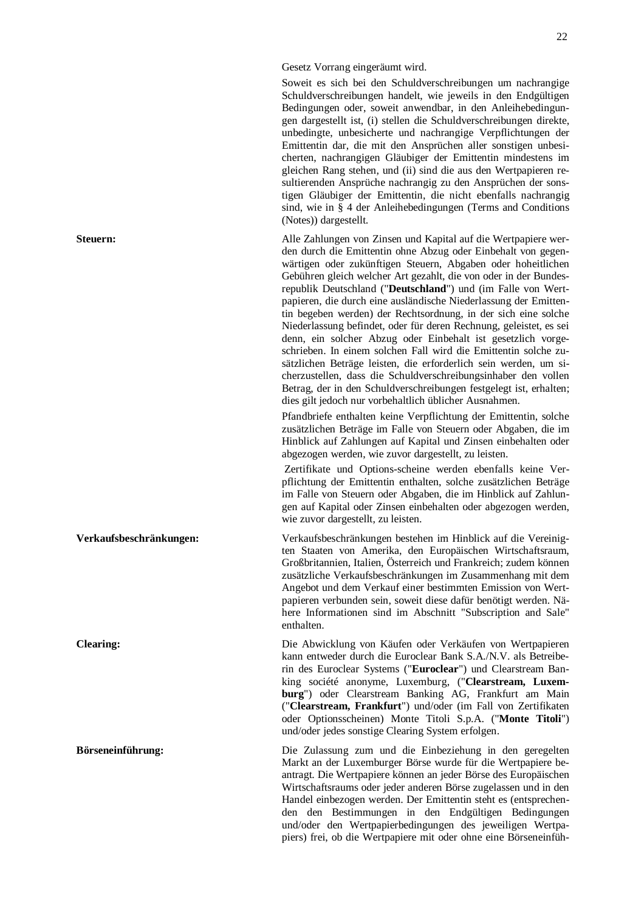Gesetz Vorrang eingeräumt wird.

Soweit es sich bei den Schuldverschreibungen um nachrangige Schuldverschreibungen handelt, wie jeweils in den Endgültigen Bedingungen oder, soweit anwendbar, in den Anleihebedingungen dargestellt ist, (i) stellen die Schuldverschreibungen direkte, unbedingte, unbesicherte und nachrangige Verpflichtungen der Emittentin dar, die mit den Ansprüchen aller sonstigen unbesicherten, nachrangigen Gläubiger der Emittentin mindestens im gleichen Rang stehen, und (ii) sind die aus den Wertpapieren resultierenden Ansprüche nachrangig zu den Ansprüchen der sonstigen Gläubiger der Emittentin, die nicht ebenfalls nachrangig sind, wie in § 4 der Anleihebedingungen (Terms and Conditions (Notes)) dargestellt.

**Steuern:** Alle Zahlungen von Zinsen und Kapital auf die Wertpapiere werden durch die Emittentin ohne Abzug oder Einbehalt von gegenwärtigen oder zukünftigen Steuern, Abgaben oder hoheitlichen Gebühren gleich welcher Art gezahlt, die von oder in der Bundesrepublik Deutschland ("**Deutschland**") und (im Falle von Wertpapieren, die durch eine ausländische Niederlassung der Emittentin begeben werden) der Rechtsordnung, in der sich eine solche Niederlassung befindet, oder für deren Rechnung, geleistet, es sei denn, ein solcher Abzug oder Einbehalt ist gesetzlich vorgeschrieben. In einem solchen Fall wird die Emittentin solche zusätzlichen Beträge leisten, die erforderlich sein werden, um sicherzustellen, dass die Schuldverschreibungsinhaber den vollen Betrag, der in den Schuldverschreibungen festgelegt ist, erhalten; dies gilt jedoch nur vorbehaltlich üblicher Ausnahmen.

> Pfandbriefe enthalten keine Verpflichtung der Emittentin, solche zusätzlichen Beträge im Falle von Steuern oder Abgaben, die im Hinblick auf Zahlungen auf Kapital und Zinsen einbehalten oder abgezogen werden, wie zuvor dargestellt, zu leisten.

> Zertifikate und Options-scheine werden ebenfalls keine Verpflichtung der Emittentin enthalten, solche zusätzlichen Beträge im Falle von Steuern oder Abgaben, die im Hinblick auf Zahlungen auf Kapital oder Zinsen einbehalten oder abgezogen werden, wie zuvor dargestellt, zu leisten.

**Verkaufsbeschränkungen:** Verkaufsbeschränkungen bestehen im Hinblick auf die Vereinigten Staaten von Amerika, den Europäischen Wirtschaftsraum, Großbritannien, Italien, Österreich und Frankreich; zudem können zusätzliche Verkaufsbeschränkungen im Zusammenhang mit dem Angebot und dem Verkauf einer bestimmten Emission von Wertpapieren verbunden sein, soweit diese dafür benötigt werden. Nähere Informationen sind im Abschnitt "Subscription and Sale" enthalten.

**Clearing:** Die Abwicklung von Käufen oder Verkäufen von Wertpapieren kann entweder durch die Euroclear Bank S.A./N.V. als Betreiberin des Euroclear Systems ("**Euroclear**") und Clearstream Banking société anonyme, Luxemburg, ("**Clearstream, Luxemburg**") oder Clearstream Banking AG, Frankfurt am Main ("**Clearstream, Frankfurt**") und/oder (im Fall von Zertifikaten oder Optionsscheinen) Monte Titoli S.p.A. ("**Monte Titoli**") und/oder jedes sonstige Clearing System erfolgen.

**Börseneinführung:** Die Zulassung zum und die Einbeziehung in den geregelten Markt an der Luxemburger Börse wurde für die Wertpapiere beantragt. Die Wertpapiere können an jeder Börse des Europäischen Wirtschaftsraums oder jeder anderen Börse zugelassen und in den Handel einbezogen werden. Der Emittentin steht es (entsprechenden den Bestimmungen in den Endgültigen Bedingungen und/oder den Wertpapierbedingungen des jeweiligen Wertpapiers) frei, ob die Wertpapiere mit oder ohne eine Börseneinfüh-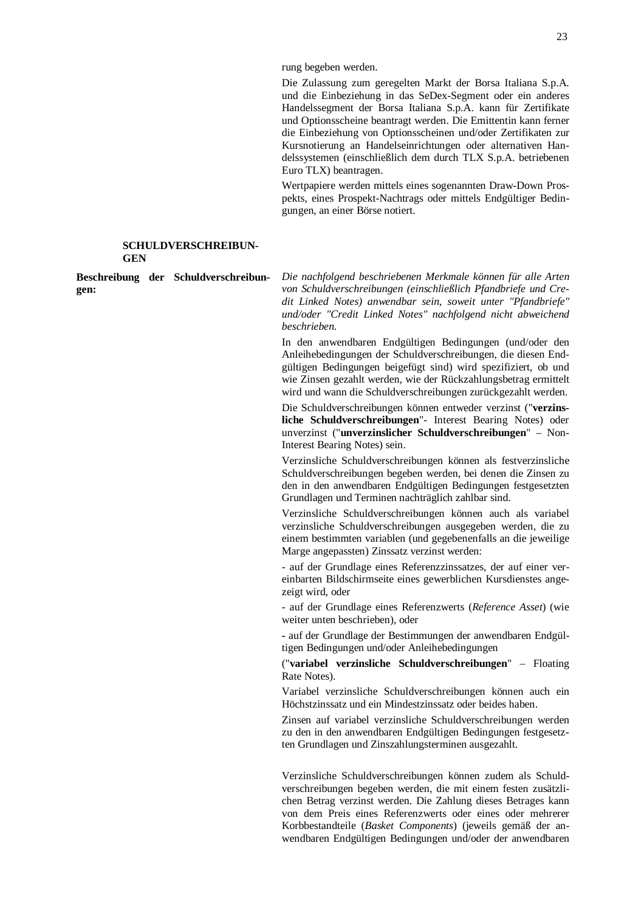rung begeben werden.

Die Zulassung zum geregelten Markt der Borsa Italiana S.p.A. und die Einbeziehung in das SeDex-Segment oder ein anderes Handelssegment der Borsa Italiana S.p.A. kann für Zertifikate und Optionsscheine beantragt werden. Die Emittentin kann ferner die Einbeziehung von Optionsscheinen und/oder Zertifikaten zur Kursnotierung an Handelseinrichtungen oder alternativen Handelssystemen (einschließlich dem durch TLX S.p.A. betriebenen Euro TLX) beantragen.

Wertpapiere werden mittels eines sogenannten Draw-Down Prospekts, eines Prospekt-Nachtrags oder mittels Endgültiger Bedingungen, an einer Börse notiert.

## **SCHULDVERSCHREIBUN-GEN**

**Beschreibung der Schuldverschreibungen:** 

*Die nachfolgend beschriebenen Merkmale können für alle Arten von Schuldverschreibungen (einschließlich Pfandbriefe und Credit Linked Notes) anwendbar sein, soweit unter "Pfandbriefe" und/oder "Credit Linked Notes" nachfolgend nicht abweichend beschrieben.* 

In den anwendbaren Endgültigen Bedingungen (und/oder den Anleihebedingungen der Schuldverschreibungen, die diesen Endgültigen Bedingungen beigefügt sind) wird spezifiziert, ob und wie Zinsen gezahlt werden, wie der Rückzahlungsbetrag ermittelt wird und wann die Schuldverschreibungen zurückgezahlt werden.

Die Schuldverschreibungen können entweder verzinst ("**verzinsliche Schuldverschreibungen**"- Interest Bearing Notes) oder unverzinst ("**unverzinslicher Schuldverschreibungen**" – Non-Interest Bearing Notes) sein.

Verzinsliche Schuldverschreibungen können als festverzinsliche Schuldverschreibungen begeben werden, bei denen die Zinsen zu den in den anwendbaren Endgültigen Bedingungen festgesetzten Grundlagen und Terminen nachträglich zahlbar sind.

Verzinsliche Schuldverschreibungen können auch als variabel verzinsliche Schuldverschreibungen ausgegeben werden, die zu einem bestimmten variablen (und gegebenenfalls an die jeweilige Marge angepassten) Zinssatz verzinst werden:

- auf der Grundlage eines Referenzzinssatzes, der auf einer vereinbarten Bildschirmseite eines gewerblichen Kursdienstes angezeigt wird, oder

- auf der Grundlage eines Referenzwerts (*Reference Asset*) (wie weiter unten beschrieben), oder

**-** auf der Grundlage der Bestimmungen der anwendbaren Endgültigen Bedingungen und/oder Anleihebedingungen

("**variabel verzinsliche Schuldverschreibungen**" – Floating Rate Notes).

Variabel verzinsliche Schuldverschreibungen können auch ein Höchstzinssatz und ein Mindestzinssatz oder beides haben.

Zinsen auf variabel verzinsliche Schuldverschreibungen werden zu den in den anwendbaren Endgültigen Bedingungen festgesetzten Grundlagen und Zinszahlungsterminen ausgezahlt.

Verzinsliche Schuldverschreibungen können zudem als Schuldverschreibungen begeben werden, die mit einem festen zusätzlichen Betrag verzinst werden. Die Zahlung dieses Betrages kann von dem Preis eines Referenzwerts oder eines oder mehrerer Korbbestandteile (*Basket Components*) (jeweils gemäß der anwendbaren Endgültigen Bedingungen und/oder der anwendbaren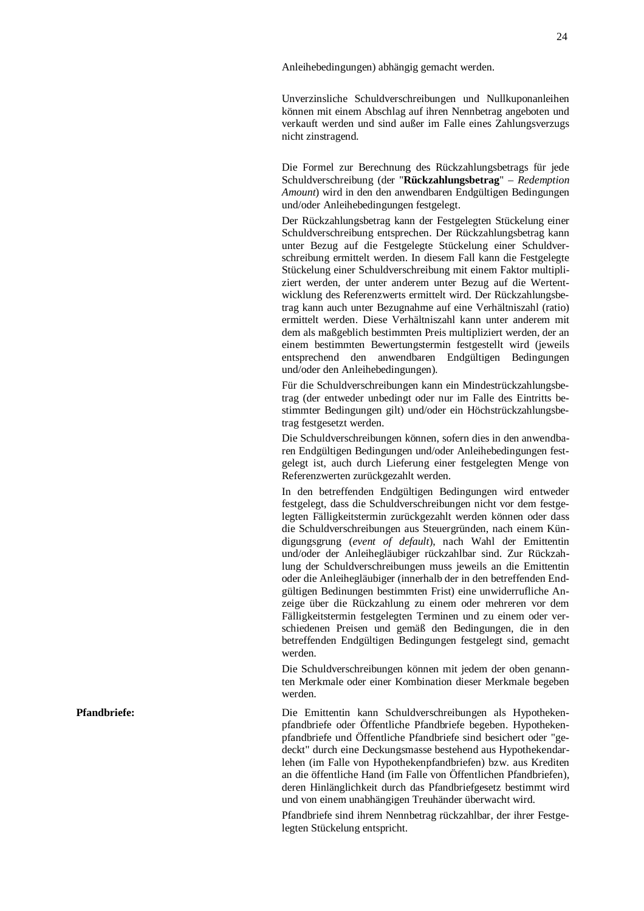Anleihebedingungen) abhängig gemacht werden.

Unverzinsliche Schuldverschreibungen und Nullkuponanleihen können mit einem Abschlag auf ihren Nennbetrag angeboten und verkauft werden und sind außer im Falle eines Zahlungsverzugs nicht zinstragend.

Die Formel zur Berechnung des Rückzahlungsbetrags für jede Schuldverschreibung (der "Rückzahlungsbetrag" - Redemption Amount) wird in den den anwendbaren Endgültigen Bedingungen und/oder Anleihebedingungen festgelegt.

Der Rückzahlungsbetrag kann der Festgelegten Stückelung einer Schuldverschreibung entsprechen. Der Rückzahlungsbetrag kann unter Bezug auf die Festgelegte Stückelung einer Schuldverschreibung ermittelt werden. In diesem Fall kann die Festgelegte Stückelung einer Schuldverschreibung mit einem Faktor multipliziert werden, der unter anderem unter Bezug auf die Wertent wicklung des Referenzwerts ermittelt wird. Der Rückzahlungsbe trag kann auch unter Bezugnahme auf eine Verhältniszahl (ratio)<br>ermittelt werden. Diese Verhältniszahl kann unter anderem mit<br>dem als maßgeblich bestimmten Preis multipliziert werden, der an<br>einem bestimmten Bewertungsterm und/oder den Anleihebedingungen).

Für die Schuldverschreibungen kann ein Mindestrückzahlungsbetrag (der entweder unbedingt oder nur im Falle des Eintritts be stimmter Bedingungen gilt) und/oder ein Höchstrückzahlungsbe trag festgesetzt werden. Die Schuldverschreibungen können, sofern dies in den anwendba-

ren Endgültigen Bedingungen und/oder Anleihebedingungen fest gelegt ist, auch durch Lieferung einer festgelegten Menge von Referenzwerten zurückgezahlt werden. In den betreffenden Endgültigen Bedingungen wird entweder festgelegt, dass die Schuldverschreibungen nicht vor dem festge-

legten Fälligkeitstermin zurückgezahlt werden können oder dass die Schuldverschreibungen aus Steuergründen, nach einem Kün digungsgrung (*event of default*), nach Wahl der Emittentin und/oder der Anleihegläubiger rückzahlbar sind. Zur Rückzahlung der Schuldverschreibungen muss jeweils an die Emittentin oder die Anleihegläubiger (innerhalb der in den betreffenden Endgültigen Bedinungen bestimmten Frist) eine unwiderrufliche An zeige über die Rückzahlung zu einem oder mehreren vor dem Fälligkeitstermin festgelegten Terminen und zu einem oder ver schiedenen Preisen und gemäß den Bedingungen, die in den betreffenden Endgültigen Bedingungen festgelegt sind, gemacht werden. Die Schuldverschreibungen können mit jedem der oben genann-

ten Merkmale oder einer Kombination dieser Merkmale begeben werden.

Die Emittentin kann Schuldverschreibungen als Hypothekenpfandbriefe oder Öffentliche Pfandbriefe begeben. Hypotheken pfandbriefe und Öffentliche Pfandbriefe sind besichert oder "ge deckt" durch eine Deckungsmasse bestehend aus Hypothekendar lehen (im Falle von Hypothekenpfandbriefen) bzw. aus Krediten an die öffentliche Hand (im Falle von Öffentlichen Pfandbriefen), deren Hinlänglichkeit durch das Pfandbriefgesetz bestimmt wird und von einem unabhängigen Treuhänder überwacht wird.

Pfandbriefe sind ihrem Nennbetrag rückzahlbar, der ihrer Festgelegten Stückelung entspricht.

**Pfandbrie fe:**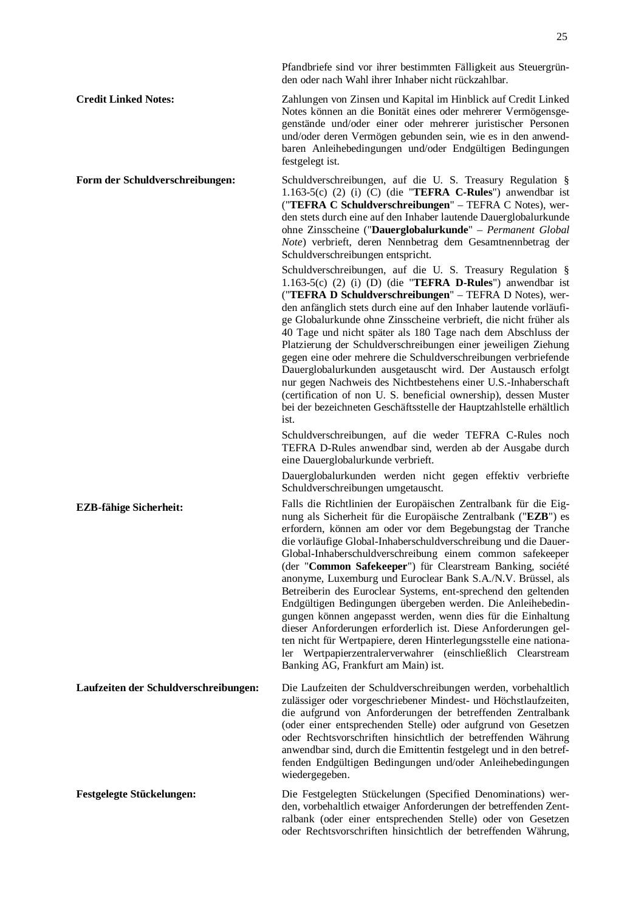Pfandbriefe sind vor ihrer bestimmten Fälligkeit aus Steuergründen oder nach Wahl ihrer Inhaber nicht rückzahlbar.

**Credit Linked Notes:** Zahlungen von Zinsen und Kapital im Hinblick auf Credit Linked Notes können an die Bonität eines oder mehrerer Vermögensgegenstände und/oder einer oder mehrerer juristischer Personen und/oder deren Vermögen gebunden sein, wie es in den anwendbaren Anleihebedingungen und/oder Endgültigen Bedingungen festgelegt ist.

**Form der Schuldverschreibungen:** Schuldverschreibungen, auf die U. S. Treasury Regulation § 1.163-5(c) (2) (i) (C) (die "**TEFRA C-Rules**") anwendbar ist ("**TEFRA C Schuldverschreibungen**" – TEFRA C Notes), werden stets durch eine auf den Inhaber lautende Dauerglobalurkunde ohne Zinsscheine ("**Dauerglobalurkunde**" – *Permanent Global Note*) verbrieft, deren Nennbetrag dem Gesamtnennbetrag der Schuldverschreibungen entspricht.

Schuldverschreibungen, auf die U. S. Treasury Regulation § 1.163-5(c) (2) (i) (D) (die "**TEFRA D-Rules**") anwendbar ist ("**TEFRA D Schuldverschreibungen**" – TEFRA D Notes), werden anfänglich stets durch eine auf den Inhaber lautende vorläufige Globalurkunde ohne Zinsscheine verbrieft, die nicht früher als 40 Tage und nicht später als 180 Tage nach dem Abschluss der Platzierung der Schuldverschreibungen einer jeweiligen Ziehung gegen eine oder mehrere die Schuldverschreibungen verbriefende Dauerglobalurkunden ausgetauscht wird. Der Austausch erfolgt nur gegen Nachweis des Nichtbestehens einer U.S.-Inhaberschaft (certification of non U. S. beneficial ownership), dessen Muster bei der bezeichneten Geschäftsstelle der Hauptzahlstelle erhältlich ist.

Schuldverschreibungen, auf die weder TEFRA C-Rules noch TEFRA D-Rules anwendbar sind, werden ab der Ausgabe durch eine Dauerglobalurkunde verbrieft.

Dauerglobalurkunden werden nicht gegen effektiv verbriefte Schuldverschreibungen umgetauscht.

**EZB-fähige Sicherheit:** Falls die Richtlinien der Europäischen Zentralbank für die Eignung als Sicherheit für die Europäische Zentralbank ("**EZB**") es erfordern, können am oder vor dem Begebungstag der Tranche die vorläufige Global-Inhaberschuldverschreibung und die Dauer-Global-Inhaberschuldverschreibung einem common safekeeper (der "**Common Safekeeper**") für Clearstream Banking, société anonyme, Luxemburg und Euroclear Bank S.A./N.V. Brüssel, als Betreiberin des Euroclear Systems, ent-sprechend den geltenden Endgültigen Bedingungen übergeben werden. Die Anleihebedingungen können angepasst werden, wenn dies für die Einhaltung dieser Anforderungen erforderlich ist. Diese Anforderungen gelten nicht für Wertpapiere, deren Hinterlegungsstelle eine nationaler Wertpapierzentralerverwahrer (einschließlich Clearstream Banking AG, Frankfurt am Main) ist.

**Laufzeiten der Schuldverschreibungen:** Die Laufzeiten der Schuldverschreibungen werden, vorbehaltlich zulässiger oder vorgeschriebener Mindest- und Höchstlaufzeiten, die aufgrund von Anforderungen der betreffenden Zentralbank (oder einer entsprechenden Stelle) oder aufgrund von Gesetzen oder Rechtsvorschriften hinsichtlich der betreffenden Währung anwendbar sind, durch die Emittentin festgelegt und in den betreffenden Endgültigen Bedingungen und/oder Anleihebedingungen wiedergegeben.

**Festgelegte Stückelungen:** Die Festgelegten Stückelungen (Specified Denominations) werden, vorbehaltlich etwaiger Anforderungen der betreffenden Zentralbank (oder einer entsprechenden Stelle) oder von Gesetzen oder Rechtsvorschriften hinsichtlich der betreffenden Währung,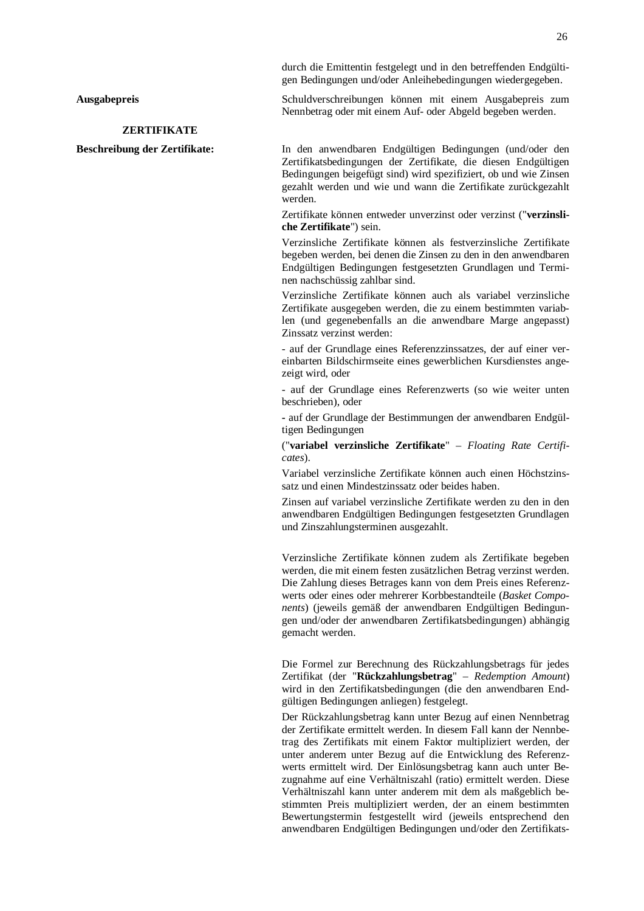durch die Emittentin festgelegt und in den betreffenden Endgültigen Bedingungen und/oder Anleihebedingungen wiedergegeben.

**Ausgabepreis** Schuldverschreibungen können mit einem Ausgabepreis zum Nennbetrag oder mit einem Auf- oder Abgeld begeben werden.

## **ZERTIFIKATE**

**Beschreibung der Zertifikate:** In den anwendbaren Endgültigen Bedingungen (und/oder den Zertifikatsbedingungen der Zertifikate, die diesen Endgültigen Bedingungen beigefügt sind) wird spezifiziert, ob und wie Zinsen gezahlt werden und wie und wann die Zertifikate zurückgezahlt werden.

> Zertifikate können entweder unverzinst oder verzinst ("**verzinsliche Zertifikate**") sein.

> Verzinsliche Zertifikate können als festverzinsliche Zertifikate begeben werden, bei denen die Zinsen zu den in den anwendbaren Endgültigen Bedingungen festgesetzten Grundlagen und Terminen nachschüssig zahlbar sind.

> Verzinsliche Zertifikate können auch als variabel verzinsliche Zertifikate ausgegeben werden, die zu einem bestimmten variablen (und gegenebenfalls an die anwendbare Marge angepasst) Zinssatz verzinst werden:

> - auf der Grundlage eines Referenzzinssatzes, der auf einer vereinbarten Bildschirmseite eines gewerblichen Kursdienstes angezeigt wird, oder

> - auf der Grundlage eines Referenzwerts (so wie weiter unten beschrieben), oder

> **-** auf der Grundlage der Bestimmungen der anwendbaren Endgültigen Bedingungen

> ("**variabel verzinsliche Zertifikate**" – *Floating Rate Certificates*).

> Variabel verzinsliche Zertifikate können auch einen Höchstzinssatz und einen Mindestzinssatz oder beides haben.

> Zinsen auf variabel verzinsliche Zertifikate werden zu den in den anwendbaren Endgültigen Bedingungen festgesetzten Grundlagen und Zinszahlungsterminen ausgezahlt.

> Verzinsliche Zertifikate können zudem als Zertifikate begeben werden, die mit einem festen zusätzlichen Betrag verzinst werden. Die Zahlung dieses Betrages kann von dem Preis eines Referenzwerts oder eines oder mehrerer Korbbestandteile (*Basket Components*) (jeweils gemäß der anwendbaren Endgültigen Bedingungen und/oder der anwendbaren Zertifikatsbedingungen) abhängig gemacht werden.

> Die Formel zur Berechnung des Rückzahlungsbetrags für jedes Zertifikat (der "**Rückzahlungsbetrag**" – *Redemption Amount*) wird in den Zertifikatsbedingungen (die den anwendbaren Endgültigen Bedingungen anliegen) festgelegt.

> Der Rückzahlungsbetrag kann unter Bezug auf einen Nennbetrag der Zertifikate ermittelt werden. In diesem Fall kann der Nennbetrag des Zertifikats mit einem Faktor multipliziert werden, der unter anderem unter Bezug auf die Entwicklung des Referenzwerts ermittelt wird. Der Einlösungsbetrag kann auch unter Bezugnahme auf eine Verhältniszahl (ratio) ermittelt werden. Diese Verhältniszahl kann unter anderem mit dem als maßgeblich bestimmten Preis multipliziert werden, der an einem bestimmten Bewertungstermin festgestellt wird (jeweils entsprechend den anwendbaren Endgültigen Bedingungen und/oder den Zertifikats-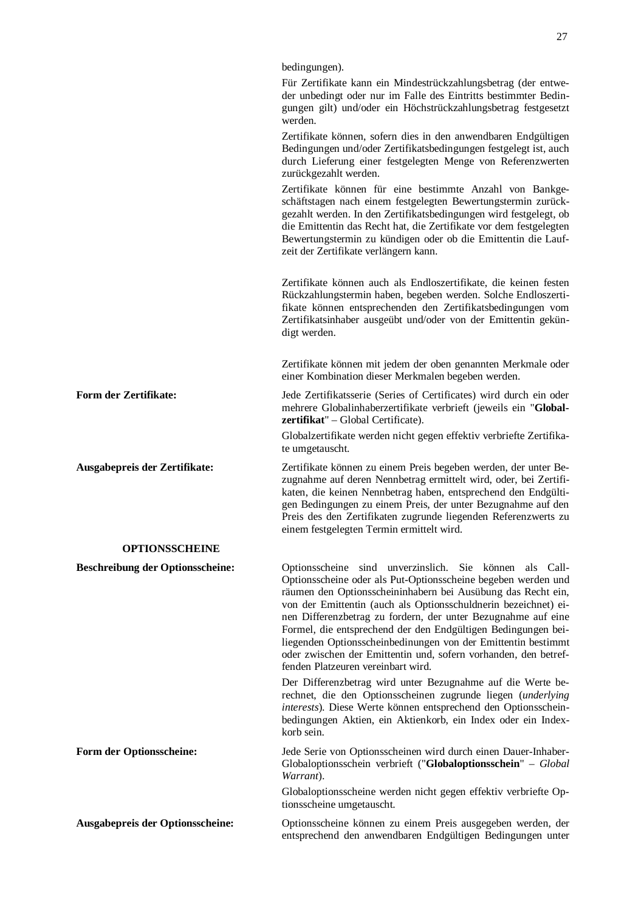|                                         | bedingungen).                                                                                                                                                                                                                                                                                                                                                                                                                                                                                                                                                           |
|-----------------------------------------|-------------------------------------------------------------------------------------------------------------------------------------------------------------------------------------------------------------------------------------------------------------------------------------------------------------------------------------------------------------------------------------------------------------------------------------------------------------------------------------------------------------------------------------------------------------------------|
|                                         | Für Zertifikate kann ein Mindestrückzahlungsbetrag (der entwe-<br>der unbedingt oder nur im Falle des Eintritts bestimmter Bedin-<br>gungen gilt) und/oder ein Höchstrückzahlungsbetrag festgesetzt<br>werden.                                                                                                                                                                                                                                                                                                                                                          |
|                                         | Zertifikate können, sofern dies in den anwendbaren Endgültigen<br>Bedingungen und/oder Zertifikatsbedingungen festgelegt ist, auch<br>durch Lieferung einer festgelegten Menge von Referenzwerten<br>zurückgezahlt werden.                                                                                                                                                                                                                                                                                                                                              |
|                                         | Zertifikate können für eine bestimmte Anzahl von Bankge-<br>schäftstagen nach einem festgelegten Bewertungstermin zurück-<br>gezahlt werden. In den Zertifikatsbedingungen wird festgelegt, ob<br>die Emittentin das Recht hat, die Zertifikate vor dem festgelegten<br>Bewertungstermin zu kündigen oder ob die Emittentin die Lauf-<br>zeit der Zertifikate verlängern kann.                                                                                                                                                                                          |
|                                         | Zertifikate können auch als Endloszertifikate, die keinen festen<br>Rückzahlungstermin haben, begeben werden. Solche Endloszerti-<br>fikate können entsprechenden den Zertifikatsbedingungen vom<br>Zertifikatsinhaber ausgeübt und/oder von der Emittentin gekün-<br>digt werden.                                                                                                                                                                                                                                                                                      |
|                                         | Zertifikate können mit jedem der oben genannten Merkmale oder<br>einer Kombination dieser Merkmalen begeben werden.                                                                                                                                                                                                                                                                                                                                                                                                                                                     |
| Form der Zertifikate:                   | Jede Zertifikatsserie (Series of Certificates) wird durch ein oder<br>mehrere Globalinhaberzertifikate verbrieft (jeweils ein "Global-<br><b>zertifikat</b> " – Global Certificate).                                                                                                                                                                                                                                                                                                                                                                                    |
|                                         | Globalzertifikate werden nicht gegen effektiv verbriefte Zertifika-<br>te umgetauscht.                                                                                                                                                                                                                                                                                                                                                                                                                                                                                  |
| Ausgabepreis der Zertifikate:           | Zertifikate können zu einem Preis begeben werden, der unter Be-<br>zugnahme auf deren Nennbetrag ermittelt wird, oder, bei Zertifi-<br>katen, die keinen Nennbetrag haben, entsprechend den Endgülti-<br>gen Bedingungen zu einem Preis, der unter Bezugnahme auf den<br>Preis des den Zertifikaten zugrunde liegenden Referenzwerts zu<br>einem festgelegten Termin ermittelt wird.                                                                                                                                                                                    |
| <b>OPTIONSSCHEINE</b>                   |                                                                                                                                                                                                                                                                                                                                                                                                                                                                                                                                                                         |
| <b>Beschreibung der Optionsscheine:</b> | Optionsscheine sind unverzinslich. Sie können als Call-<br>Optionsscheine oder als Put-Optionsscheine begeben werden und<br>räumen den Optionsscheininhabern bei Ausübung das Recht ein,<br>von der Emittentin (auch als Optionsschuldnerin bezeichnet) ei-<br>nen Differenzbetrag zu fordern, der unter Bezugnahme auf eine<br>Formel, die entsprechend der den Endgültigen Bedingungen bei-<br>liegenden Optionsscheinbedinungen von der Emittentin bestimmt<br>oder zwischen der Emittentin und, sofern vorhanden, den betref-<br>fenden Platzeuren vereinbart wird. |
|                                         | Der Differenzbetrag wird unter Bezugnahme auf die Werte be-<br>rechnet, die den Optionsscheinen zugrunde liegen (underlying<br>interests). Diese Werte können entsprechend den Optionsschein-<br>bedingungen Aktien, ein Aktienkorb, ein Index oder ein Index-<br>korb sein.                                                                                                                                                                                                                                                                                            |
| Form der Optionsscheine:                | Jede Serie von Optionsscheinen wird durch einen Dauer-Inhaber-<br>Globaloptionsschein verbrieft ("Globaloptionsschein" - Global<br>Warrant).                                                                                                                                                                                                                                                                                                                                                                                                                            |
|                                         | Globaloptionsscheine werden nicht gegen effektiv verbriefte Op-<br>tionsscheine umgetauscht.                                                                                                                                                                                                                                                                                                                                                                                                                                                                            |
| Ausgabepreis der Optionsscheine:        | Optionsscheine können zu einem Preis ausgegeben werden, der<br>entsprechend den anwendbaren Endgültigen Bedingungen unter                                                                                                                                                                                                                                                                                                                                                                                                                                               |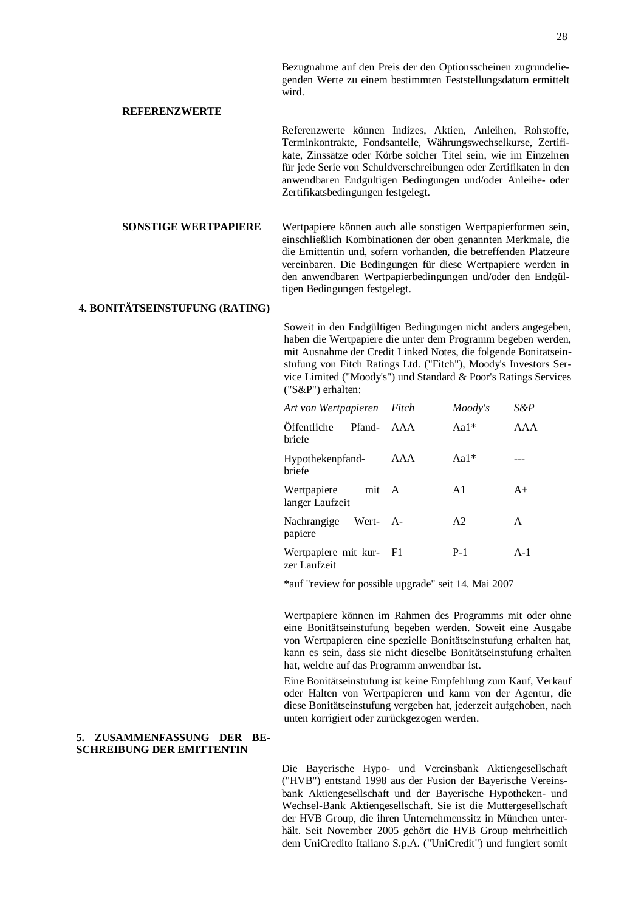28

Bezugnahme auf den Preis der den Optionsscheinen zugrundeliegenden Werte zu einem bestimmten Feststellungsdatum ermittelt wird.

## **REFERENZWERTE**

Referenzwerte können Indizes, Aktien, Anleihen, Rohstoffe, Terminkontrakte, Fondsanteile, Währungswechselkurse, Zertifikate, Zinssätze oder Körbe solcher Titel sein, wie im Einzelnen für jede Serie von Schuldverschreibungen oder Zertifikaten in den anwendbaren Endgültigen Bedingungen und/oder Anleihe- oder Zertifikatsbedingungen festgelegt.

**SONSTIGE WERTPAPIERE** Wertpapiere können auch alle sonstigen Wertpapierformen sein, einschließlich Kombinationen der oben genannten Merkmale, die die Emittentin und, sofern vorhanden, die betreffenden Platzeure vereinbaren. Die Bedingungen für diese Wertpapiere werden in den anwendbaren Wertpapierbedingungen und/oder den Endgültigen Bedingungen festgelegt.

## **4. BONITÄTSEINSTUFUNG (RATING)**

Soweit in den Endgültigen Bedingungen nicht anders angegeben, haben die Wertpapiere die unter dem Programm begeben werden, mit Ausnahme der Credit Linked Notes, die folgende Bonitätseinstufung von Fitch Ratings Ltd. ("Fitch"), Moody's Investors Service Limited ("Moody's") und Standard & Poor's Ratings Services ("S&P") erhalten:

| Art von Wertpapieren Fitch              |     | Moody's        | S&P   |
|-----------------------------------------|-----|----------------|-------|
| Offentliche<br>Pfand-<br>briefe         | AAA | $Aa1*$         | AAA   |
| Hypothekenpfand-<br>briefe              | AAA | Aa $1*$        |       |
| Wertpapiere<br>mit A<br>langer Laufzeit |     | A <sub>1</sub> | $A+$  |
| Nachrangige<br>Wert- A-<br>papiere      |     | A <sub>2</sub> | A     |
| Wertpapiere mit kur- F1<br>zer Laufzeit |     | $P-1$          | $A-1$ |

\*auf "review for possible upgrade" seit 14. Mai 2007

Wertpapiere können im Rahmen des Programms mit oder ohne eine Bonitätseinstufung begeben werden. Soweit eine Ausgabe von Wertpapieren eine spezielle Bonitätseinstufung erhalten hat, kann es sein, dass sie nicht dieselbe Bonitätseinstufung erhalten hat, welche auf das Programm anwendbar ist.

Eine Bonitätseinstufung ist keine Empfehlung zum Kauf, Verkauf oder Halten von Wertpapieren und kann von der Agentur, die diese Bonitätseinstufung vergeben hat, jederzeit aufgehoben, nach unten korrigiert oder zurückgezogen werden.

### **5. ZUSAMMENFASSUNG DER BE-SCHREIBUNG DER EMITTENTIN**

Die Bayerische Hypo- und Vereinsbank Aktiengesellschaft ("HVB") entstand 1998 aus der Fusion der Bayerische Vereinsbank Aktiengesellschaft und der Bayerische Hypotheken- und Wechsel-Bank Aktiengesellschaft. Sie ist die Muttergesellschaft der HVB Group, die ihren Unternehmenssitz in München unterhält. Seit November 2005 gehört die HVB Group mehrheitlich dem UniCredito Italiano S.p.A. ("UniCredit") und fungiert somit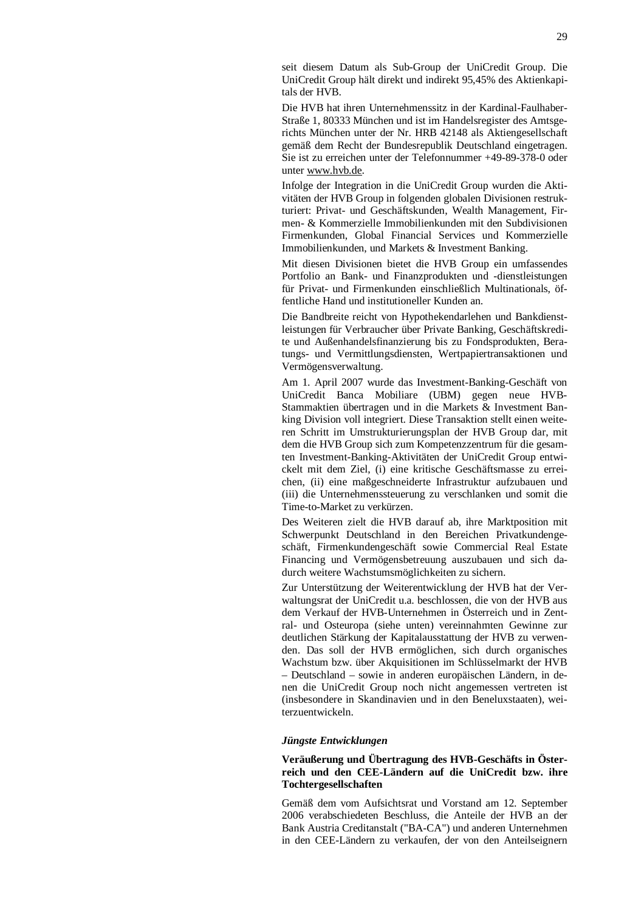seit diesem Datum als Sub-Group der UniCredit Group. Die UniCredit Group hält direkt und indirekt 95,45% des Aktienkapitals der HVB.

Die HVB hat ihren Unternehmenssitz in der Kardinal-Faulhaber-Straße 1, 80333 München und ist im Handelsregister des Amtsgerichts München unter der Nr. HRB 42148 als Aktiengesellschaft gemäß dem Recht der Bundesrepublik Deutschland eingetragen. Sie ist zu erreichen unter der Telefonnummer +49-89-378-0 oder unter [www.hvb.de](http://www.hvb.de).

Infolge der Integration in die UniCredit Group wurden die Aktivitäten der HVB Group in folgenden globalen Divisionen restrukturiert: Privat- und Geschäftskunden, Wealth Management, Firmen- & Kommerzielle Immobilienkunden mit den Subdivisionen Firmenkunden, Global Financial Services und Kommerzielle Immobilienkunden, und Markets & Investment Banking.

Mit diesen Divisionen bietet die HVB Group ein umfassendes Portfolio an Bank- und Finanzprodukten und -dienstleistungen für Privat- und Firmenkunden einschließlich Multinationals, öffentliche Hand und institutioneller Kunden an.

Die Bandbreite reicht von Hypothekendarlehen und Bankdienstleistungen für Verbraucher über Private Banking, Geschäftskredite und Außenhandelsfinanzierung bis zu Fondsprodukten, Beratungs- und Vermittlungsdiensten, Wertpapiertransaktionen und Vermögensverwaltung.

Am 1. April 2007 wurde das Investment-Banking-Geschäft von UniCredit Banca Mobiliare (UBM) gegen neue HVB-Stammaktien übertragen und in die Markets & Investment Banking Division voll integriert. Diese Transaktion stellt einen weiteren Schritt im Umstrukturierungsplan der HVB Group dar, mit dem die HVB Group sich zum Kompetenzzentrum für die gesamten Investment-Banking-Aktivitäten der UniCredit Group entwickelt mit dem Ziel, (i) eine kritische Geschäftsmasse zu erreichen, (ii) eine maßgeschneiderte Infrastruktur aufzubauen und (iii) die Unternehmenssteuerung zu verschlanken und somit die Time-to-Market zu verkürzen.

Des Weiteren zielt die HVB darauf ab, ihre Marktposition mit Schwerpunkt Deutschland in den Bereichen Privatkundengeschäft, Firmenkundengeschäft sowie Commercial Real Estate Financing und Vermögensbetreuung auszubauen und sich dadurch weitere Wachstumsmöglichkeiten zu sichern.

Zur Unterstützung der Weiterentwicklung der HVB hat der Verwaltungsrat der UniCredit u.a. beschlossen, die von der HVB aus dem Verkauf der HVB-Unternehmen in Österreich und in Zentral- und Osteuropa (siehe unten) vereinnahmten Gewinne zur deutlichen Stärkung der Kapitalausstattung der HVB zu verwenden. Das soll der HVB ermöglichen, sich durch organisches Wachstum bzw. über Akquisitionen im Schlüsselmarkt der HVB – Deutschland – sowie in anderen europäischen Ländern, in denen die UniCredit Group noch nicht angemessen vertreten ist (insbesondere in Skandinavien und in den Beneluxstaaten), weiterzuentwickeln.

#### *Jüngste Entwicklungen*

## **Veräußerung und Übertragung des HVB-Geschäfts in Österreich und den CEE-Ländern auf die UniCredit bzw. ihre Tochtergesellschaften**

Gemäß dem vom Aufsichtsrat und Vorstand am 12. September 2006 verabschiedeten Beschluss, die Anteile der HVB an der Bank Austria Creditanstalt ("BA-CA") und anderen Unternehmen in den CEE-Ländern zu verkaufen, der von den Anteilseignern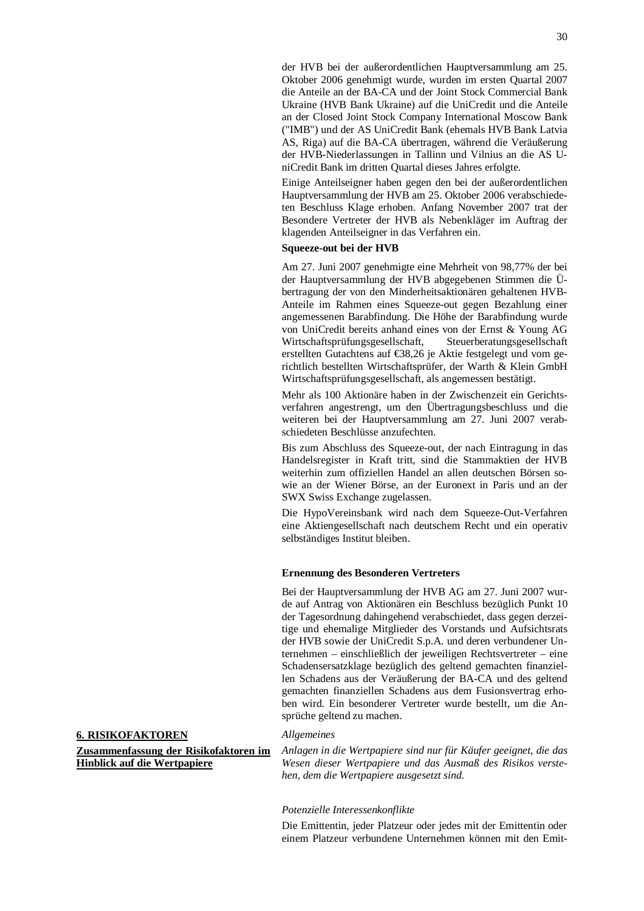der HVB bei der außerordentlichen Hauptversammlung am 25. Oktober 2006 genehmigt wurde, wurden im ersten Quartal 2007 die Anteile an der BA-CA und der Joint Stock Commercial Bank Ukraine (HVB Bank Ukraine) auf die UniCredit und die Anteile an der Closed Joint Stock Company International Moscow Bank ("IMB") und der AS UniCredit Bank (ehemals HVB Bank Latvia AS, Riga) auf die BA-CA übertragen, während die Veräußerung der HVB-Niederlassungen in Tallinn und Vilnius an die AS UniCredit Bank im dritten Quartal dieses Jahres erfolgte.

Einige Anteilseigner haben gegen den bei der außerordentlichen Hauptversammlung der HVB am 25. Oktober 2006 verabschiedeten Beschluss Klage erhoben. Anfang November 2007 trat der Besondere Vertreter der HVB als Nebenkläger im Auftrag der klagenden Anteilseigner in das Verfahren ein.

## **Squeeze-out bei der HVB**

Am 27. Juni 2007 genehmigte eine Mehrheit von 98,77% der bei der Hauptversammlung der HVB abgegebenen Stimmen die Übertragung der von den Minderheitsaktionären gehaltenen HVB-Anteile im Rahmen eines Squeeze-out gegen Bezahlung einer angemessenen Barabfindung. Die Höhe der Barabfindung wurde von UniCredit bereits anhand eines von der Ernst & Young AG Wirtschaftsprüfungsgesellschaft, Steuerberatungsgesellschaft erstellten Gutachtens auf €38,26 je Aktie festgelegt und vom gerichtlich bestellten Wirtschaftsprüfer, der Warth & Klein GmbH Wirtschaftsprüfungsgesellschaft, als angemessen bestätigt.

Mehr als 100 Aktionäre haben in der Zwischenzeit ein Gerichtsverfahren angestrengt, um den Übertragungsbeschluss und die weiteren bei der Hauptversammlung am 27. Juni 2007 verabschiedeten Beschlüsse anzufechten.

Bis zum Abschluss des Squeeze-out, der nach Eintragung in das Handelsregister in Kraft tritt, sind die Stammaktien der HVB weiterhin zum offiziellen Handel an allen deutschen Börsen sowie an der Wiener Börse, an der Euronext in Paris und an der SWX Swiss Exchange zugelassen.

Die HypoVereinsbank wird nach dem Squeeze-Out-Verfahren eine Aktiengesellschaft nach deutschem Recht und ein operativ selbständiges Institut bleiben.

#### **Ernennung des Besonderen Vertreters**

Bei der Hauptversammlung der HVB AG am 27. Juni 2007 wurde auf Antrag von Aktionären ein Beschluss bezüglich Punkt 10 der Tagesordnung dahingehend verabschiedet, dass gegen derzeitige und ehemalige Mitglieder des Vorstands und Aufsichtsrats der HVB sowie der UniCredit S.p.A. und deren verbundener Unternehmen – einschließlich der jeweiligen Rechtsvertreter – eine Schadensersatzklage bezüglich des geltend gemachten finanziellen Schadens aus der Veräußerung der BA-CA und des geltend gemachten finanziellen Schadens aus dem Fusionsvertrag erhoben wird. Ein besonderer Vertreter wurde bestellt, um die Ansprüche geltend zu machen.

## **6. RISIKOFAKTOREN**

**Zusammenfassung der Risikofaktoren im Hinblick auf die Wertpapiere**

#### *Allgemeines*

*Anlagen in die Wertpapiere sind nur für Käufer geeignet, die das Wesen dieser Wertpapiere und das Ausmaß des Risikos verstehen, dem die Wertpapiere ausgesetzt sind.* 

#### *Potenzielle Interessenkonflikte*

Die Emittentin, jeder Platzeur oder jedes mit der Emittentin oder einem Platzeur verbundene Unternehmen können mit den Emit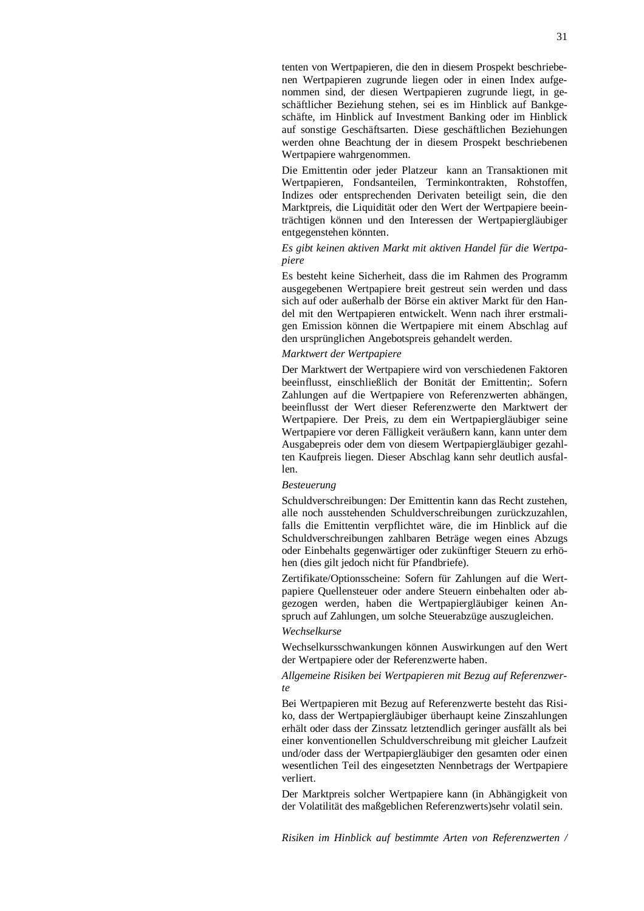tenten von Wertpapieren, die den in diesem Prospekt beschriebenen Wertpapieren zugrunde liegen oder in einen Index aufgenommen sind, der diesen Wertpapieren zugrunde liegt, in geschäftlicher Beziehung stehen, sei es im Hinblick auf Bankgeschäfte, im Hinblick auf Investment Banking oder im Hinblick auf sonstige Geschäftsarten. Diese geschäftlichen Beziehungen werden ohne Beachtung der in diesem Prospekt beschriebenen Wertpapiere wahrgenommen.

Die Emittentin oder jeder Platzeur kann an Transaktionen mit Wertpapieren, Fondsanteilen, Terminkontrakten, Rohstoffen, Indizes oder entsprechenden Derivaten beteiligt sein, die den Marktpreis, die Liquidität oder den Wert der Wertpapiere beeinträchtigen können und den Interessen der Wertpapiergläubiger entgegenstehen könnten.

## *Es gibt keinen aktiven Markt mit aktiven Handel für die Wertpapiere*

Es besteht keine Sicherheit, dass die im Rahmen des Programm ausgegebenen Wertpapiere breit gestreut sein werden und dass sich auf oder außerhalb der Börse ein aktiver Markt für den Handel mit den Wertpapieren entwickelt. Wenn nach ihrer erstmaligen Emission können die Wertpapiere mit einem Abschlag auf den ursprünglichen Angebotspreis gehandelt werden.

## *Marktwert der Wertpapiere*

Der Marktwert der Wertpapiere wird von verschiedenen Faktoren beeinflusst, einschließlich der Bonität der Emittentin;. Sofern Zahlungen auf die Wertpapiere von Referenzwerten abhängen, beeinflusst der Wert dieser Referenzwerte den Marktwert der Wertpapiere. Der Preis, zu dem ein Wertpapiergläubiger seine Wertpapiere vor deren Fälligkeit veräußern kann, kann unter dem Ausgabepreis oder dem von diesem Wertpapiergläubiger gezahlten Kaufpreis liegen. Dieser Abschlag kann sehr deutlich ausfallen.

#### *Besteuerung*

Schuldverschreibungen: Der Emittentin kann das Recht zustehen, alle noch ausstehenden Schuldverschreibungen zurückzuzahlen, falls die Emittentin verpflichtet wäre, die im Hinblick auf die Schuldverschreibungen zahlbaren Beträge wegen eines Abzugs oder Einbehalts gegenwärtiger oder zukünftiger Steuern zu erhöhen (dies gilt jedoch nicht für Pfandbriefe).

Zertifikate/Optionsscheine: Sofern für Zahlungen auf die Wertpapiere Quellensteuer oder andere Steuern einbehalten oder abgezogen werden, haben die Wertpapiergläubiger keinen Anspruch auf Zahlungen, um solche Steuerabzüge auszugleichen.

## *Wechselkurse*

Wechselkursschwankungen können Auswirkungen auf den Wert der Wertpapiere oder der Referenzwerte haben.

#### *Allgemeine Risiken bei Wertpapieren mit Bezug auf Referenzwerte*

Bei Wertpapieren mit Bezug auf Referenzwerte besteht das Risiko, dass der Wertpapiergläubiger überhaupt keine Zinszahlungen erhält oder dass der Zinssatz letztendlich geringer ausfällt als bei einer konventionellen Schuldverschreibung mit gleicher Laufzeit und/oder dass der Wertpapiergläubiger den gesamten oder einen wesentlichen Teil des eingesetzten Nennbetrags der Wertpapiere verliert.

Der Marktpreis solcher Wertpapiere kann (in Abhängigkeit von der Volatilität des maßgeblichen Referenzwerts)sehr volatil sein.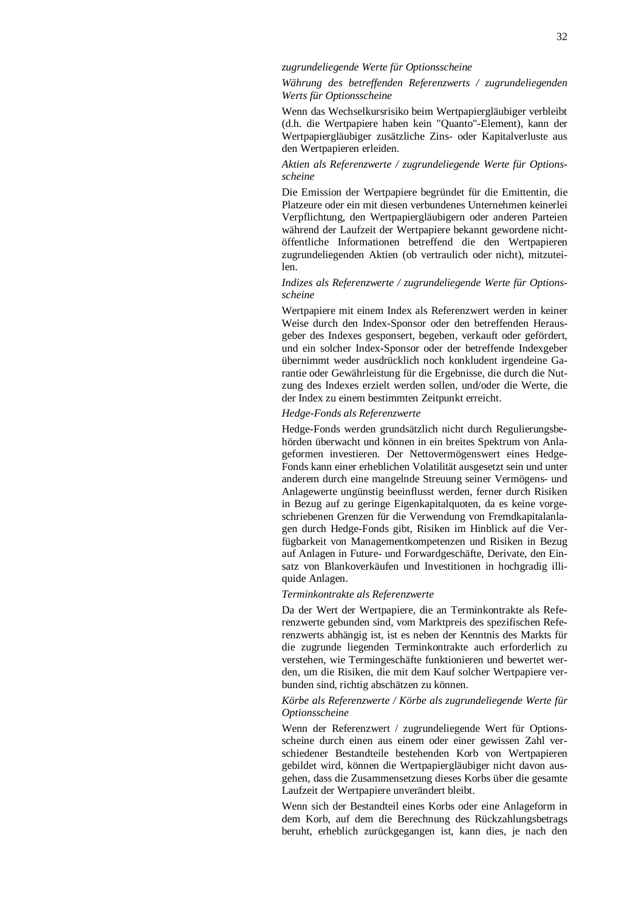## *zugrundeliegende Werte für Optionsscheine*

*Währung des betreffenden Referenzwerts / zugrundeliegenden Werts für Optionsscheine* 

Wenn das Wechselkursrisiko beim Wertpapiergläubiger verbleibt (d.h. die Wertpapiere haben kein "Quanto"-Element), kann der Wertpapiergläubiger zusätzliche Zins- oder Kapitalverluste aus den Wertpapieren erleiden.

## *Aktien als Referenzwerte / zugrundeliegende Werte für Optionsscheine*

Die Emission der Wertpapiere begründet für die Emittentin, die Platzeure oder ein mit diesen verbundenes Unternehmen keinerlei Verpflichtung, den Wertpapiergläubigern oder anderen Parteien während der Laufzeit der Wertpapiere bekannt gewordene nichtöffentliche Informationen betreffend die den Wertpapieren zugrundeliegenden Aktien (ob vertraulich oder nicht), mitzuteilen.

## *Indizes als Referenzwerte / zugrundeliegende Werte für Optionsscheine*

Wertpapiere mit einem Index als Referenzwert werden in keiner Weise durch den Index-Sponsor oder den betreffenden Herausgeber des Indexes gesponsert, begeben, verkauft oder gefördert, und ein solcher Index-Sponsor oder der betreffende Indexgeber übernimmt weder ausdrücklich noch konkludent irgendeine Garantie oder Gewährleistung für die Ergebnisse, die durch die Nutzung des Indexes erzielt werden sollen, und/oder die Werte, die der Index zu einem bestimmten Zeitpunkt erreicht.

#### *Hedge-Fonds als Referenzwerte*

Hedge-Fonds werden grundsätzlich nicht durch Regulierungsbehörden überwacht und können in ein breites Spektrum von Anlageformen investieren. Der Nettovermögenswert eines Hedge-Fonds kann einer erheblichen Volatilität ausgesetzt sein und unter anderem durch eine mangelnde Streuung seiner Vermögens- und Anlagewerte ungünstig beeinflusst werden, ferner durch Risiken in Bezug auf zu geringe Eigenkapitalquoten, da es keine vorgeschriebenen Grenzen für die Verwendung von Fremdkapitalanlagen durch Hedge-Fonds gibt, Risiken im Hinblick auf die Verfügbarkeit von Managementkompetenzen und Risiken in Bezug auf Anlagen in Future- und Forwardgeschäfte, Derivate, den Einsatz von Blankoverkäufen und Investitionen in hochgradig illiquide Anlagen.

#### *Terminkontrakte als Referenzwerte*

Da der Wert der Wertpapiere, die an Terminkontrakte als Referenzwerte gebunden sind, vom Marktpreis des spezifischen Referenzwerts abhängig ist, ist es neben der Kenntnis des Markts für die zugrunde liegenden Terminkontrakte auch erforderlich zu verstehen, wie Termingeschäfte funktionieren und bewertet werden, um die Risiken, die mit dem Kauf solcher Wertpapiere verbunden sind, richtig abschätzen zu können.

#### *Körbe als Referenzwerte / Körbe als zugrundeliegende Werte für Optionsscheine*

Wenn der Referenzwert / zugrundeliegende Wert für Optionsscheine durch einen aus einem oder einer gewissen Zahl verschiedener Bestandteile bestehenden Korb von Wertpapieren gebildet wird, können die Wertpapiergläubiger nicht davon ausgehen, dass die Zusammensetzung dieses Korbs über die gesamte Laufzeit der Wertpapiere unverändert bleibt.

Wenn sich der Bestandteil eines Korbs oder eine Anlageform in dem Korb, auf dem die Berechnung des Rückzahlungsbetrags beruht, erheblich zurückgegangen ist, kann dies, je nach den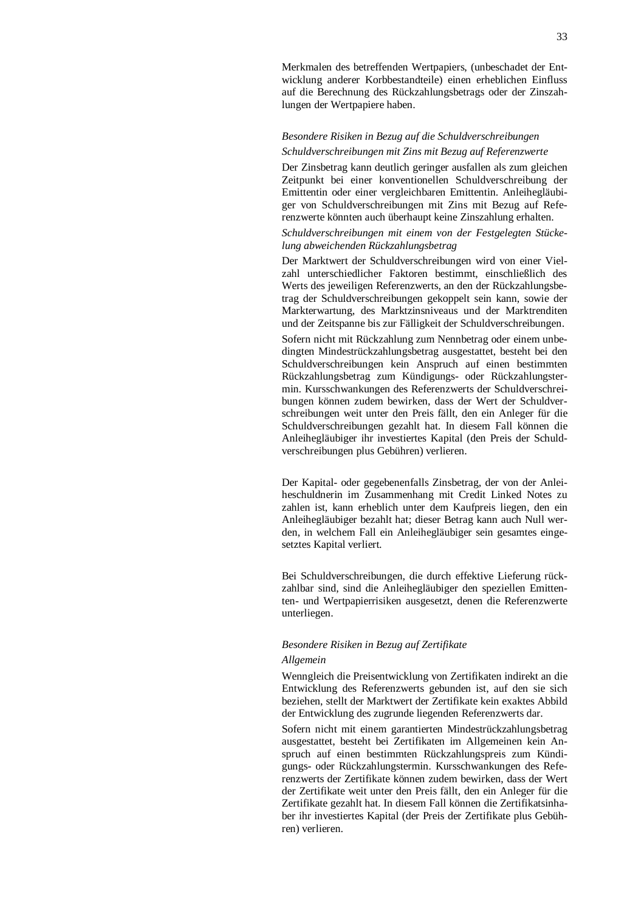Merkmalen des betreffenden Wertpapiers, (unbeschadet der Entwicklung anderer Korbbestandteile) einen erheblichen Einfluss auf die Berechnung des Rückzahlungsbetrags oder der Zinszahlungen der Wertpapiere haben.

## *Besondere Risiken in Bezug auf die Schuldverschreibungen Schuldverschreibungen mit Zins mit Bezug auf Referenzwerte*

Der Zinsbetrag kann deutlich geringer ausfallen als zum gleichen Zeitpunkt bei einer konventionellen Schuldverschreibung der Emittentin oder einer vergleichbaren Emittentin. Anleihegläubiger von Schuldverschreibungen mit Zins mit Bezug auf Referenzwerte könnten auch überhaupt keine Zinszahlung erhalten.

## *Schuldverschreibungen mit einem von der Festgelegten Stückelung abweichenden Rückzahlungsbetrag*

Der Marktwert der Schuldverschreibungen wird von einer Vielzahl unterschiedlicher Faktoren bestimmt, einschließlich des Werts des jeweiligen Referenzwerts, an den der Rückzahlungsbetrag der Schuldverschreibungen gekoppelt sein kann, sowie der Markterwartung, des Marktzinsniveaus und der Marktrenditen und der Zeitspanne bis zur Fälligkeit der Schuldverschreibungen.

Sofern nicht mit Rückzahlung zum Nennbetrag oder einem unbedingten Mindestrückzahlungsbetrag ausgestattet, besteht bei den Schuldverschreibungen kein Anspruch auf einen bestimmten Rückzahlungsbetrag zum Kündigungs- oder Rückzahlungstermin. Kursschwankungen des Referenzwerts der Schuldverschreibungen können zudem bewirken, dass der Wert der Schuldverschreibungen weit unter den Preis fällt, den ein Anleger für die Schuldverschreibungen gezahlt hat. In diesem Fall können die Anleihegläubiger ihr investiertes Kapital (den Preis der Schuldverschreibungen plus Gebühren) verlieren.

Der Kapital- oder gegebenenfalls Zinsbetrag, der von der Anleiheschuldnerin im Zusammenhang mit Credit Linked Notes zu zahlen ist, kann erheblich unter dem Kaufpreis liegen, den ein Anleihegläubiger bezahlt hat; dieser Betrag kann auch Null werden, in welchem Fall ein Anleihegläubiger sein gesamtes eingesetztes Kapital verliert.

Bei Schuldverschreibungen, die durch effektive Lieferung rückzahlbar sind, sind die Anleihegläubiger den speziellen Emittenten- und Wertpapierrisiken ausgesetzt, denen die Referenzwerte unterliegen.

## *Besondere Risiken in Bezug auf Zertifikate Allgemein*

Wenngleich die Preisentwicklung von Zertifikaten indirekt an die Entwicklung des Referenzwerts gebunden ist, auf den sie sich beziehen, stellt der Marktwert der Zertifikate kein exaktes Abbild der Entwicklung des zugrunde liegenden Referenzwerts dar.

Sofern nicht mit einem garantierten Mindestrückzahlungsbetrag ausgestattet, besteht bei Zertifikaten im Allgemeinen kein Anspruch auf einen bestimmten Rückzahlungspreis zum Kündigungs- oder Rückzahlungstermin. Kursschwankungen des Referenzwerts der Zertifikate können zudem bewirken, dass der Wert der Zertifikate weit unter den Preis fällt, den ein Anleger für die Zertifikate gezahlt hat. In diesem Fall können die Zertifikatsinhaber ihr investiertes Kapital (der Preis der Zertifikate plus Gebühren) verlieren.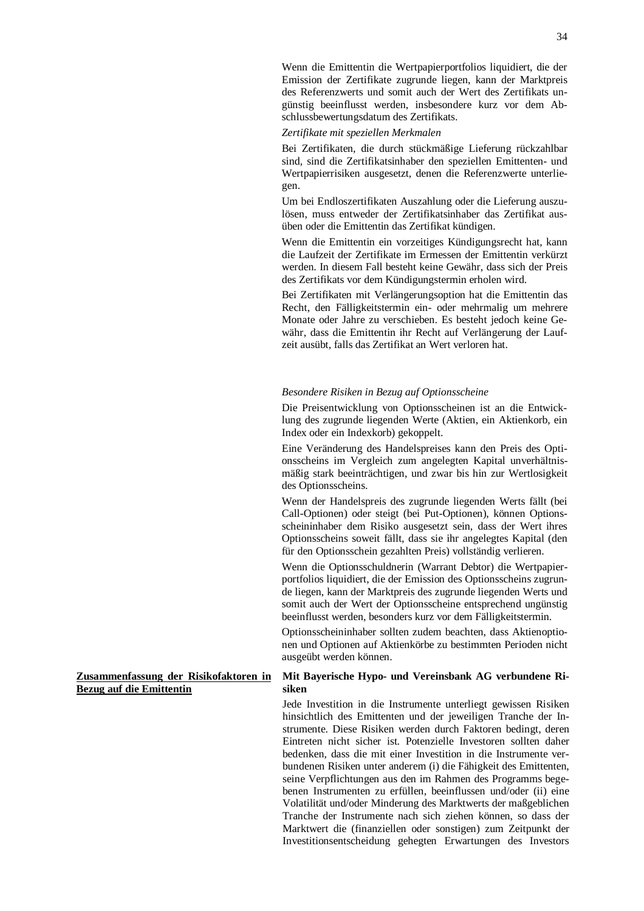Wenn die Emittentin die Wertpapierportfolios liquidiert, die der Emission der Zertifikate zugrunde liegen, kann der Marktpreis des Referenzwerts und somit auch der Wert des Zertifikats ungünstig beeinflusst werden, insbesondere kurz vor dem Abschlussbewertungsdatum des Zertifikats.

*Zertifikate mit speziellen Merkmalen* 

Bei Zertifikaten, die durch stückmäßige Lieferung rückzahlbar sind, sind die Zertifikatsinhaber den speziellen Emittenten- und Wertpapierrisiken ausgesetzt, denen die Referenzwerte unterliegen.

Um bei Endloszertifikaten Auszahlung oder die Lieferung auszulösen, muss entweder der Zertifikatsinhaber das Zertifikat ausüben oder die Emittentin das Zertifikat kündigen.

Wenn die Emittentin ein vorzeitiges Kündigungsrecht hat, kann die Laufzeit der Zertifikate im Ermessen der Emittentin verkürzt werden. In diesem Fall besteht keine Gewähr, dass sich der Preis des Zertifikats vor dem Kündigungstermin erholen wird.

Bei Zertifikaten mit Verlängerungsoption hat die Emittentin das Recht, den Fälligkeitstermin ein- oder mehrmalig um mehrere Monate oder Jahre zu verschieben. Es besteht jedoch keine Gewähr, dass die Emittentin ihr Recht auf Verlängerung der Laufzeit ausübt, falls das Zertifikat an Wert verloren hat.

#### *Besondere Risiken in Bezug auf Optionsscheine*

Die Preisentwicklung von Optionsscheinen ist an die Entwicklung des zugrunde liegenden Werte (Aktien, ein Aktienkorb, ein Index oder ein Indexkorb) gekoppelt.

Eine Veränderung des Handelspreises kann den Preis des Optionsscheins im Vergleich zum angelegten Kapital unverhältnismäßig stark beeinträchtigen, und zwar bis hin zur Wertlosigkeit des Optionsscheins.

Wenn der Handelspreis des zugrunde liegenden Werts fällt (bei Call-Optionen) oder steigt (bei Put-Optionen), können Optionsscheininhaber dem Risiko ausgesetzt sein, dass der Wert ihres Optionsscheins soweit fällt, dass sie ihr angelegtes Kapital (den für den Optionsschein gezahlten Preis) vollständig verlieren.

Wenn die Optionsschuldnerin (Warrant Debtor) die Wertpapierportfolios liquidiert, die der Emission des Optionsscheins zugrunde liegen, kann der Marktpreis des zugrunde liegenden Werts und somit auch der Wert der Optionsscheine entsprechend ungünstig beeinflusst werden, besonders kurz vor dem Fälligkeitstermin.

Optionsscheininhaber sollten zudem beachten, dass Aktienoptionen und Optionen auf Aktienkörbe zu bestimmten Perioden nicht ausgeübt werden können.

## **Mit Bayerische Hypo- und Vereinsbank AG verbundene Risiken**

Jede Investition in die Instrumente unterliegt gewissen Risiken hinsichtlich des Emittenten und der jeweiligen Tranche der Instrumente. Diese Risiken werden durch Faktoren bedingt, deren Eintreten nicht sicher ist. Potenzielle Investoren sollten daher bedenken, dass die mit einer Investition in die Instrumente verbundenen Risiken unter anderem (i) die Fähigkeit des Emittenten, seine Verpflichtungen aus den im Rahmen des Programms begebenen Instrumenten zu erfüllen, beeinflussen und/oder (ii) eine Volatilität und/oder Minderung des Marktwerts der maßgeblichen Tranche der Instrumente nach sich ziehen können, so dass der Marktwert die (finanziellen oder sonstigen) zum Zeitpunkt der Investitionsentscheidung gehegten Erwartungen des Investors

**Zusammenfassung der Risikofaktoren in Bezug auf die Emittentin**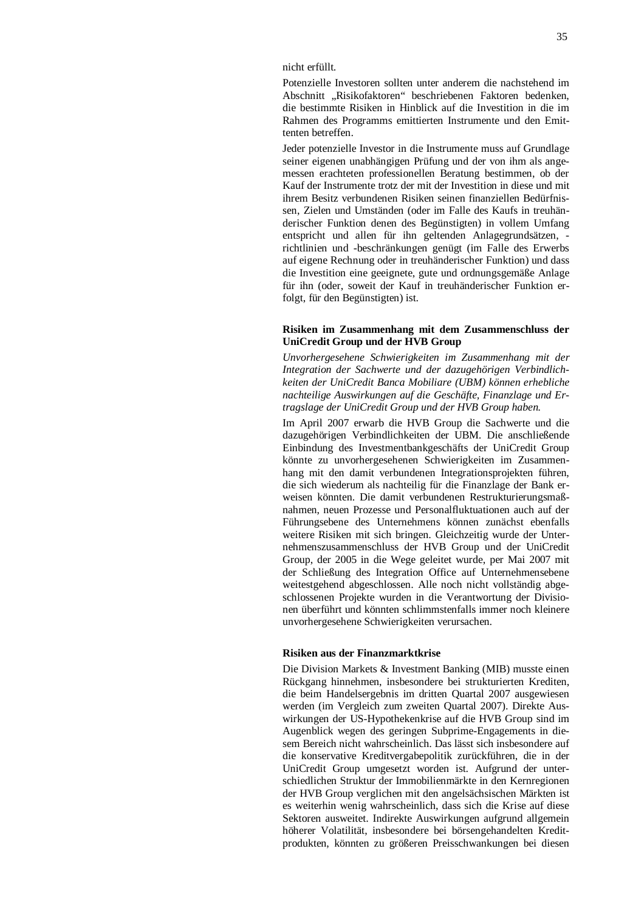nicht erfüllt.

Potenzielle Investoren sollten unter anderem die nachstehend im Abschnitt "Risikofaktoren" beschriebenen Faktoren bedenken, die bestimmte Risiken in Hinblick auf die Investition in die im Rahmen des Programms emittierten Instrumente und den Emittenten betreffen.

Jeder potenzielle Investor in die Instrumente muss auf Grundlage seiner eigenen unabhängigen Prüfung und der von ihm als angemessen erachteten professionellen Beratung bestimmen, ob der Kauf der Instrumente trotz der mit der Investition in diese und mit ihrem Besitz verbundenen Risiken seinen finanziellen Bedürfnissen, Zielen und Umständen (oder im Falle des Kaufs in treuhänderischer Funktion denen des Begünstigten) in vollem Umfang entspricht und allen für ihn geltenden Anlagegrundsätzen, richtlinien und -beschränkungen genügt (im Falle des Erwerbs auf eigene Rechnung oder in treuhänderischer Funktion) und dass die Investition eine geeignete, gute und ordnungsgemäße Anlage für ihn (oder, soweit der Kauf in treuhänderischer Funktion erfolgt, für den Begünstigten) ist.

## **Risiken im Zusammenhang mit dem Zusammenschluss der UniCredit Group und der HVB Group**

*Unvorhergesehene Schwierigkeiten im Zusammenhang mit der Integration der Sachwerte und der dazugehörigen Verbindlichkeiten der UniCredit Banca Mobiliare (UBM) können erhebliche nachteilige Auswirkungen auf die Geschäfte, Finanzlage und Ertragslage der UniCredit Group und der HVB Group haben.* 

Im April 2007 erwarb die HVB Group die Sachwerte und die dazugehörigen Verbindlichkeiten der UBM. Die anschließende Einbindung des Investmentbankgeschäfts der UniCredit Group könnte zu unvorhergesehenen Schwierigkeiten im Zusammenhang mit den damit verbundenen Integrationsprojekten führen, die sich wiederum als nachteilig für die Finanzlage der Bank erweisen könnten. Die damit verbundenen Restrukturierungsmaßnahmen, neuen Prozesse und Personalfluktuationen auch auf der Führungsebene des Unternehmens können zunächst ebenfalls weitere Risiken mit sich bringen. Gleichzeitig wurde der Unternehmenszusammenschluss der HVB Group und der UniCredit Group, der 2005 in die Wege geleitet wurde, per Mai 2007 mit der Schließung des Integration Office auf Unternehmensebene weitestgehend abgeschlossen. Alle noch nicht vollständig abgeschlossenen Projekte wurden in die Verantwortung der Divisionen überführt und könnten schlimmstenfalls immer noch kleinere unvorhergesehene Schwierigkeiten verursachen.

#### **Risiken aus der Finanzmarktkrise**

Die Division Markets & Investment Banking (MIB) musste einen Rückgang hinnehmen, insbesondere bei strukturierten Krediten, die beim Handelsergebnis im dritten Quartal 2007 ausgewiesen werden (im Vergleich zum zweiten Quartal 2007). Direkte Auswirkungen der US-Hypothekenkrise auf die HVB Group sind im Augenblick wegen des geringen Subprime-Engagements in diesem Bereich nicht wahrscheinlich. Das lässt sich insbesondere auf die konservative Kreditvergabepolitik zurückführen, die in der UniCredit Group umgesetzt worden ist. Aufgrund der unterschiedlichen Struktur der Immobilienmärkte in den Kernregionen der HVB Group verglichen mit den angelsächsischen Märkten ist es weiterhin wenig wahrscheinlich, dass sich die Krise auf diese Sektoren ausweitet. Indirekte Auswirkungen aufgrund allgemein höherer Volatilität, insbesondere bei börsengehandelten Kreditprodukten, könnten zu größeren Preisschwankungen bei diesen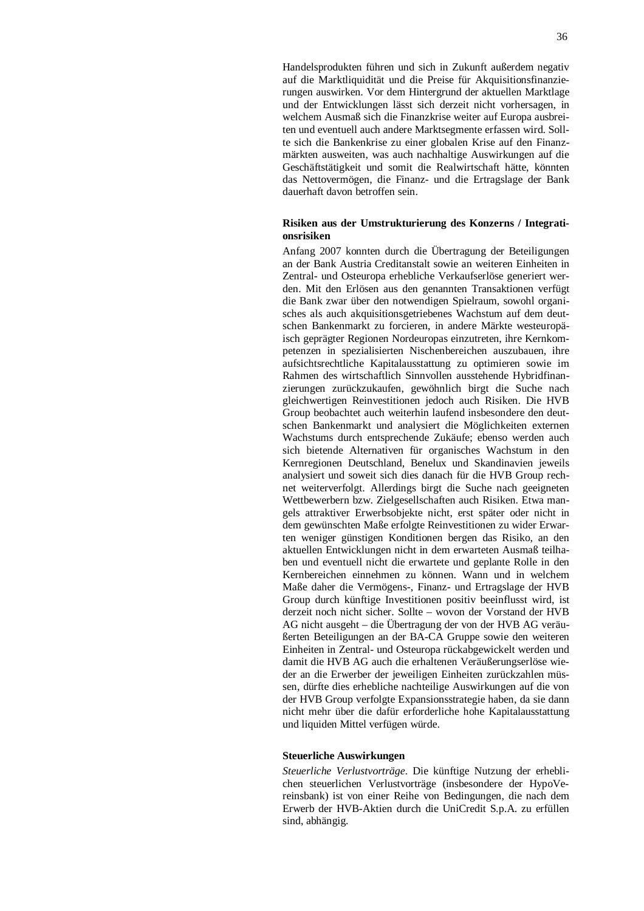Handelsprodukten führen und sich in Zukunft außerdem negativ auf die Marktliquidität und die Preise für Akquisitionsfinanzierungen auswirken. Vor dem Hintergrund der aktuellen Marktlage und der Entwicklungen lässt sich derzeit nicht vorhersagen, in welchem Ausmaß sich die Finanzkrise weiter auf Europa ausbreiten und eventuell auch andere Marktsegmente erfassen wird. Sollte sich die Bankenkrise zu einer globalen Krise auf den Finanzmärkten ausweiten, was auch nachhaltige Auswirkungen auf die Geschäftstätigkeit und somit die Realwirtschaft hätte, könnten das Nettovermögen, die Finanz- und die Ertragslage der Bank dauerhaft davon betroffen sein.

### **Risiken aus der Umstrukturierung des Konzerns / Integrationsrisiken**

Anfang 2007 konnten durch die Übertragung der Beteiligungen an der Bank Austria Creditanstalt sowie an weiteren Einheiten in Zentral- und Osteuropa erhebliche Verkaufserlöse generiert werden. Mit den Erlösen aus den genannten Transaktionen verfügt die Bank zwar über den notwendigen Spielraum, sowohl organisches als auch akquisitionsgetriebenes Wachstum auf dem deutschen Bankenmarkt zu forcieren, in andere Märkte westeuropäisch geprägter Regionen Nordeuropas einzutreten, ihre Kernkompetenzen in spezialisierten Nischenbereichen auszubauen, ihre aufsichtsrechtliche Kapitalausstattung zu optimieren sowie im Rahmen des wirtschaftlich Sinnvollen ausstehende Hybridfinanzierungen zurückzukaufen, gewöhnlich birgt die Suche nach gleichwertigen Reinvestitionen jedoch auch Risiken. Die HVB Group beobachtet auch weiterhin laufend insbesondere den deutschen Bankenmarkt und analysiert die Möglichkeiten externen Wachstums durch entsprechende Zukäufe; ebenso werden auch sich bietende Alternativen für organisches Wachstum in den Kernregionen Deutschland, Benelux und Skandinavien jeweils analysiert und soweit sich dies danach für die HVB Group rechnet weiterverfolgt. Allerdings birgt die Suche nach geeigneten Wettbewerbern bzw. Zielgesellschaften auch Risiken. Etwa mangels attraktiver Erwerbsobjekte nicht, erst später oder nicht in dem gewünschten Maße erfolgte Reinvestitionen zu wider Erwarten weniger günstigen Konditionen bergen das Risiko, an den aktuellen Entwicklungen nicht in dem erwarteten Ausmaß teilhaben und eventuell nicht die erwartete und geplante Rolle in den Kernbereichen einnehmen zu können. Wann und in welchem Maße daher die Vermögens-, Finanz- und Ertragslage der HVB Group durch künftige Investitionen positiv beeinflusst wird, ist derzeit noch nicht sicher. Sollte – wovon der Vorstand der HVB AG nicht ausgeht – die Übertragung der von der HVB AG veräußerten Beteiligungen an der BA-CA Gruppe sowie den weiteren Einheiten in Zentral- und Osteuropa rückabgewickelt werden und damit die HVB AG auch die erhaltenen Veräußerungserlöse wieder an die Erwerber der jeweiligen Einheiten zurückzahlen müssen, dürfte dies erhebliche nachteilige Auswirkungen auf die von der HVB Group verfolgte Expansionsstrategie haben, da sie dann nicht mehr über die dafür erforderliche hohe Kapitalausstattung und liquiden Mittel verfügen würde.

#### **Steuerliche Auswirkungen**

*Steuerliche Verlustvorträge*. Die künftige Nutzung der erheblichen steuerlichen Verlustvorträge (insbesondere der HypoVereinsbank) ist von einer Reihe von Bedingungen, die nach dem Erwerb der HVB-Aktien durch die UniCredit S.p.A. zu erfüllen sind, abhängig.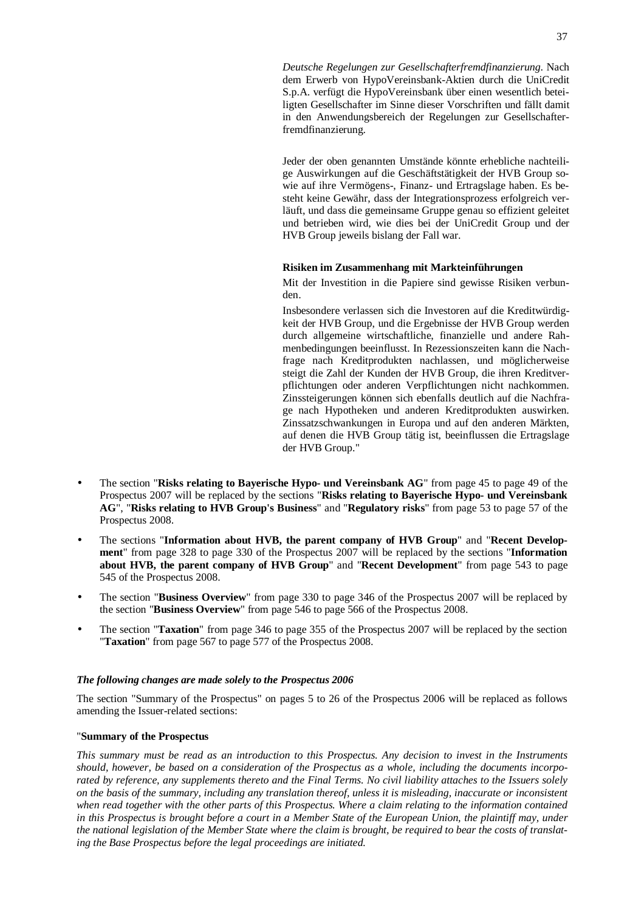*Deutsche Regelungen zur Gesellschafterfremdfinanzierung*. Nach dem Erwerb von HypoVereinsbank-Aktien durch die UniCredit S.p.A. verfügt die HypoVereinsbank über einen wesentlich beteiligten Gesellschafter im Sinne dieser Vorschriften und fällt damit in den Anwendungsbereich der Regelungen zur Gesellschafterfremdfinanzierung.

Jeder der oben genannten Umstände könnte erhebliche nachteilige Auswirkungen auf die Geschäftstätigkeit der HVB Group sowie auf ihre Vermögens-, Finanz- und Ertragslage haben. Es besteht keine Gewähr, dass der Integrationsprozess erfolgreich verläuft, und dass die gemeinsame Gruppe genau so effizient geleitet und betrieben wird, wie dies bei der UniCredit Group und der HVB Group jeweils bislang der Fall war.

## **Risiken im Zusammenhang mit Markteinführungen**

Mit der Investition in die Papiere sind gewisse Risiken verbunden.

Insbesondere verlassen sich die Investoren auf die Kreditwürdigkeit der HVB Group, und die Ergebnisse der HVB Group werden durch allgemeine wirtschaftliche, finanzielle und andere Rahmenbedingungen beeinflusst. In Rezessionszeiten kann die Nachfrage nach Kreditprodukten nachlassen, und möglicherweise steigt die Zahl der Kunden der HVB Group, die ihren Kreditverpflichtungen oder anderen Verpflichtungen nicht nachkommen. Zinssteigerungen können sich ebenfalls deutlich auf die Nachfrage nach Hypotheken und anderen Kreditprodukten auswirken. Zinssatzschwankungen in Europa und auf den anderen Märkten, auf denen die HVB Group tätig ist, beeinflussen die Ertragslage der HVB Group."

- The section "**Risks relating to Bayerische Hypo- und Vereinsbank AG**" from page 45 to page 49 of the Prospectus 2007 will be replaced by the sections "**Risks relating to Bayerische Hypo- und Vereinsbank AG**", "**Risks relating to HVB Group's Business**" and "**Regulatory risks**" from page 53 to page 57 of the Prospectus 2008.
- The sections "**Information about HVB, the parent company of HVB Group**" and "**Recent Development**" from page 328 to page 330 of the Prospectus 2007 will be replaced by the sections "**Information about HVB, the parent company of HVB Group**" and "**Recent Development**" from page 543 to page 545 of the Prospectus 2008.
- The section "**Business Overview**" from page 330 to page 346 of the Prospectus 2007 will be replaced by the section "**Business Overview**" from page 546 to page 566 of the Prospectus 2008.
- The section "**Taxation**" from page 346 to page 355 of the Prospectus 2007 will be replaced by the section "**Taxation**" from page 567 to page 577 of the Prospectus 2008.

### *The following changes are made solely to the Prospectus 2006*

The section "Summary of the Prospectus" on pages 5 to 26 of the Prospectus 2006 will be replaced as follows amending the Issuer-related sections:

### "**Summary of the Prospectus**

This summary must be read as an introduction to this Prospectus. Any decision to invest in the Instruments should, however, be based on a consideration of the Prospectus as a whole, including the documents incorporated by reference, any supplements thereto and the Final Terms. No civil liability attaches to the Issuers solely on the basis of the summary, including any translation thereof, unless it is misleading, inaccurate or inconsistent when read together with the other parts of this Prospectus. Where a claim relating to the information contained in this Prospectus is brought before a court in a Member State of the European Union, the plaintiff may, under the national legislation of the Member State where the claim is brought, be required to bear the costs of translat*ing the Base Prospectus before the legal proceedings are initiated.*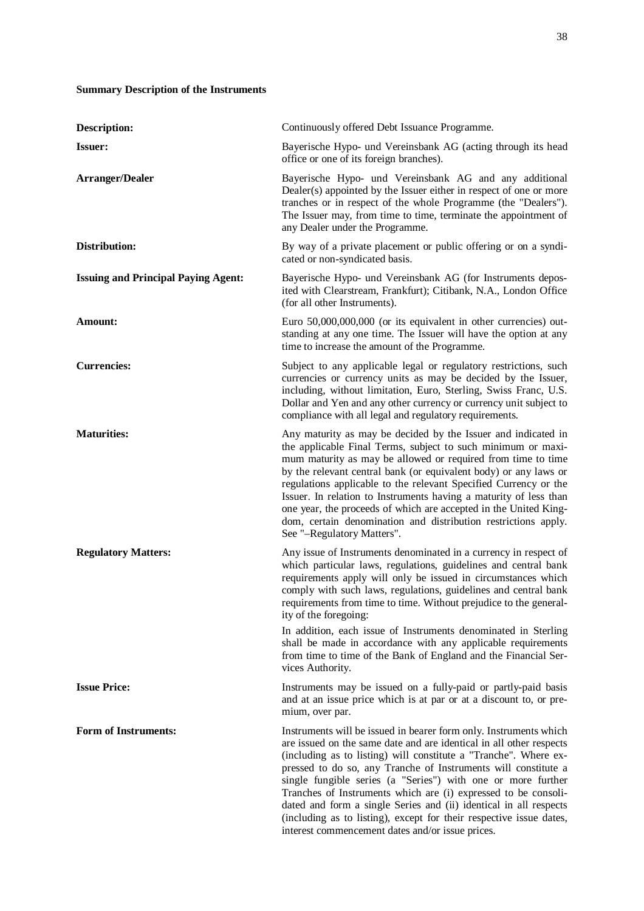# **Summary Description of the Instruments**

| <b>Description:</b>                        | Continuously offered Debt Issuance Programme.                                                                                                                                                                                                                                                                                                                                                                                                                                                                                                                                                                    |
|--------------------------------------------|------------------------------------------------------------------------------------------------------------------------------------------------------------------------------------------------------------------------------------------------------------------------------------------------------------------------------------------------------------------------------------------------------------------------------------------------------------------------------------------------------------------------------------------------------------------------------------------------------------------|
| <b>Issuer:</b>                             | Bayerische Hypo- und Vereinsbank AG (acting through its head<br>office or one of its foreign branches).                                                                                                                                                                                                                                                                                                                                                                                                                                                                                                          |
| <b>Arranger/Dealer</b>                     | Bayerische Hypo- und Vereinsbank AG and any additional<br>Dealer(s) appointed by the Issuer either in respect of one or more<br>tranches or in respect of the whole Programme (the "Dealers").<br>The Issuer may, from time to time, terminate the appointment of<br>any Dealer under the Programme.                                                                                                                                                                                                                                                                                                             |
| Distribution:                              | By way of a private placement or public offering or on a syndi-<br>cated or non-syndicated basis.                                                                                                                                                                                                                                                                                                                                                                                                                                                                                                                |
| <b>Issuing and Principal Paying Agent:</b> | Bayerische Hypo- und Vereinsbank AG (for Instruments depos-<br>ited with Clearstream, Frankfurt); Citibank, N.A., London Office<br>(for all other Instruments).                                                                                                                                                                                                                                                                                                                                                                                                                                                  |
| Amount:                                    | Euro 50,000,000,000 (or its equivalent in other currencies) out-<br>standing at any one time. The Issuer will have the option at any<br>time to increase the amount of the Programme.                                                                                                                                                                                                                                                                                                                                                                                                                            |
| <b>Currencies:</b>                         | Subject to any applicable legal or regulatory restrictions, such<br>currencies or currency units as may be decided by the Issuer,<br>including, without limitation, Euro, Sterling, Swiss Franc, U.S.<br>Dollar and Yen and any other currency or currency unit subject to<br>compliance with all legal and regulatory requirements.                                                                                                                                                                                                                                                                             |
| <b>Maturities:</b>                         | Any maturity as may be decided by the Issuer and indicated in<br>the applicable Final Terms, subject to such minimum or maxi-<br>mum maturity as may be allowed or required from time to time<br>by the relevant central bank (or equivalent body) or any laws or<br>regulations applicable to the relevant Specified Currency or the<br>Issuer. In relation to Instruments having a maturity of less than<br>one year, the proceeds of which are accepted in the United King-<br>dom, certain denomination and distribution restrictions apply.<br>See "-Regulatory Matters".                                   |
| <b>Regulatory Matters:</b>                 | Any issue of Instruments denominated in a currency in respect of<br>which particular laws, regulations, guidelines and central bank<br>requirements apply will only be issued in circumstances which<br>comply with such laws, regulations, guidelines and central bank<br>requirements from time to time. Without prejudice to the general-<br>ity of the foregoing:                                                                                                                                                                                                                                            |
|                                            | In addition, each issue of Instruments denominated in Sterling<br>shall be made in accordance with any applicable requirements<br>from time to time of the Bank of England and the Financial Ser-<br>vices Authority.                                                                                                                                                                                                                                                                                                                                                                                            |
| <b>Issue Price:</b>                        | Instruments may be issued on a fully-paid or partly-paid basis<br>and at an issue price which is at par or at a discount to, or pre-<br>mium, over par.                                                                                                                                                                                                                                                                                                                                                                                                                                                          |
| <b>Form of Instruments:</b>                | Instruments will be issued in bearer form only. Instruments which<br>are issued on the same date and are identical in all other respects<br>(including as to listing) will constitute a "Tranche". Where ex-<br>pressed to do so, any Tranche of Instruments will constitute a<br>single fungible series (a "Series") with one or more further<br>Tranches of Instruments which are (i) expressed to be consoli-<br>dated and form a single Series and (ii) identical in all respects<br>(including as to listing), except for their respective issue dates,<br>interest commencement dates and/or issue prices. |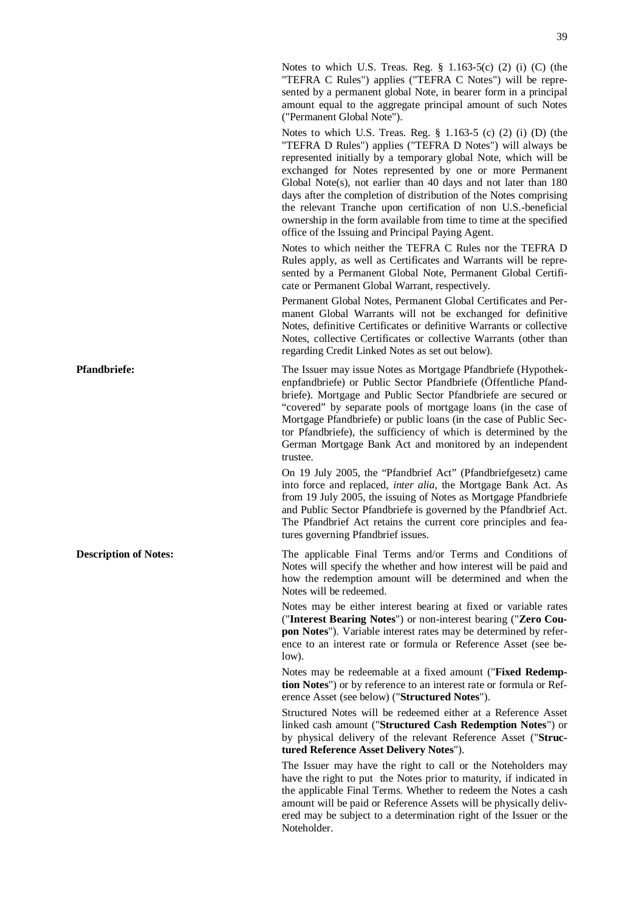Notes to which U.S. Treas. Reg.  $\frac{8}{1.163-5(c)}$  (2) (i) (C) (the "TEFRA C Rules") applies ("TEFRA C Notes") will be represented by a permanent global Note, in bearer form in a principal amount equal to the aggregate principal amount of such Notes ("Permanent Global Note").

Notes to which U.S. Treas. Reg. § 1.163-5 (c) (2) (i) (D) (the "TEFRA D Rules") applies ("TEFRA D Notes") will always be represented initially by a temporary global Note, which will be exchanged for Notes represented by one or more Permanent Global Note(s), not earlier than 40 days and not later than 180 days after the completion of distribution of the Notes comprising the relevant Tranche upon certification of non U.S.-beneficial ownership in the form available from time to time at the specified office of the Issuing and Principal Paying Agent.

Notes to which neither the TEFRA C Rules nor the TEFRA D Rules apply, as well as Certificates and Warrants will be represented by a Permanent Global Note, Permanent Global Certificate or Permanent Global Warrant, respectively.

Permanent Global Notes, Permanent Global Certificates and Permanent Global Warrants will not be exchanged for definitive Notes, definitive Certificates or definitive Warrants or collective Notes, collective Certificates or collective Warrants (other than regarding Credit Linked Notes as set out below).

**Pfandbriefe:** The Issuer may issue Notes as Mortgage Pfandbriefe (Hypothekenpfandbriefe) or Public Sector Pfandbriefe (Öffentliche Pfandbriefe). Mortgage and Public Sector Pfandbriefe are secured or "covered" by separate pools of mortgage loans (in the case of Mortgage Pfandbriefe) or public loans (in the case of Public Sector Pfandbriefe), the sufficiency of which is determined by the German Mortgage Bank Act and monitored by an independent trustee.

> On 19 July 2005, the "Pfandbrief Act" (Pfandbriefgesetz) came into force and replaced, *inter alia*, the Mortgage Bank Act. As from 19 July 2005, the issuing of Notes as Mortgage Pfandbriefe and Public Sector Pfandbriefe is governed by the Pfandbrief Act. The Pfandbrief Act retains the current core principles and features governing Pfandbrief issues.

**Description of Notes:** The applicable Final Terms and/or Terms and Conditions of Notes will specify the whether and how interest will be paid and how the redemption amount will be determined and when the Notes will be redeemed.

> Notes may be either interest bearing at fixed or variable rates ("**Interest Bearing Notes**") or non-interest bearing ("**Zero Coupon Notes**"). Variable interest rates may be determined by reference to an interest rate or formula or Reference Asset (see below).

> Notes may be redeemable at a fixed amount ("**Fixed Redemption Notes**") or by reference to an interest rate or formula or Reference Asset (see below) ("**Structured Notes**").

> Structured Notes will be redeemed either at a Reference Asset linked cash amount ("**Structured Cash Redemption Notes**") or by physical delivery of the relevant Reference Asset ("**Structured Reference Asset Delivery Notes**").

> The Issuer may have the right to call or the Noteholders may have the right to put the Notes prior to maturity, if indicated in the applicable Final Terms. Whether to redeem the Notes a cash amount will be paid or Reference Assets will be physically delivered may be subject to a determination right of the Issuer or the Noteholder.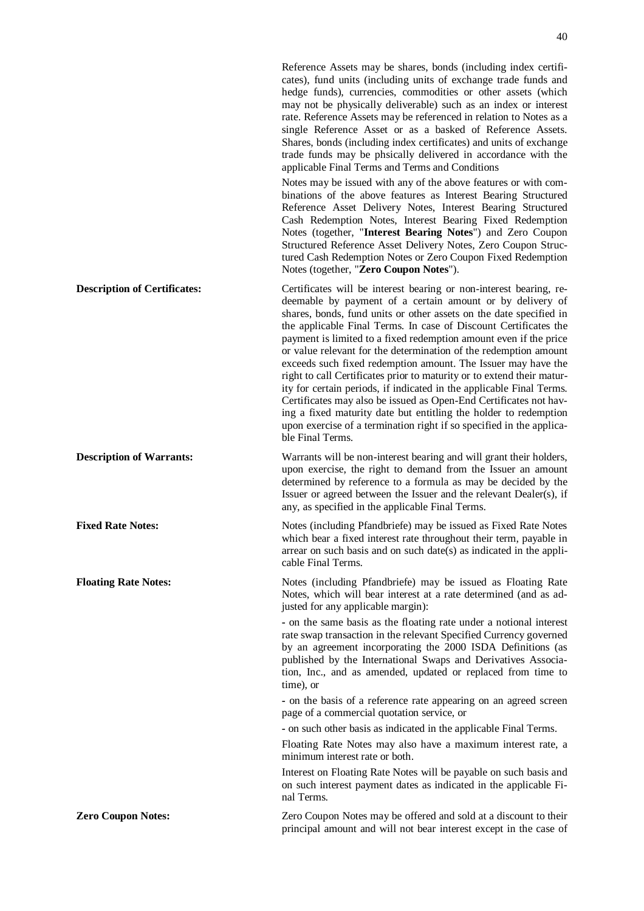Reference Assets may be shares, bonds (including index certificates), fund units (including units of exchange trade funds and hedge funds), currencies, commodities or other assets (which may not be physically deliverable) such as an index or interest rate. Reference Assets may be referenced in relation to Notes as a single Reference Asset or as a basked of Reference Assets. Shares, bonds (including index certificates) and units of exchange trade funds may be phsically delivered in accordance with the applicable Final Terms and Terms and Conditions Notes may be issued with any of the above features or with combinations of the above features as Interest Bearing Structured Reference Asset Delivery Notes, Interest Bearing Structured Cash Redemption Notes, Interest Bearing Fixed Redemption Notes (together, "**Interest Bearing Notes**") and Zero Coupon Structured Reference Asset Delivery Notes, Zero Coupon Structured Cash Redemption Notes or Zero Coupon Fixed Redemption Notes (together, "**Zero Coupon Notes**"). **Description of Certificates:** Certificates will be interest bearing or non-interest bearing, redeemable by payment of a certain amount or by delivery of shares, bonds, fund units or other assets on the date specified in the applicable Final Terms. In case of Discount Certificates the payment is limited to a fixed redemption amount even if the price or value relevant for the determination of the redemption amount exceeds such fixed redemption amount. The Issuer may have the right to call Certificates prior to maturity or to extend their maturity for certain periods, if indicated in the applicable Final Terms. Certificates may also be issued as Open-End Certificates not having a fixed maturity date but entitling the holder to redemption upon exercise of a termination right if so specified in the applicable Final Terms. **Description of Warrants:** Warrants will be non-interest bearing and will grant their holders, upon exercise, the right to demand from the Issuer an amount determined by reference to a formula as may be decided by the Issuer or agreed between the Issuer and the relevant Dealer(s), if any, as specified in the applicable Final Terms. **Fixed Rate Notes: Notes** (including Pfandbriefe) may be issued as Fixed Rate Notes which bear a fixed interest rate throughout their term, payable in arrear on such basis and on such date(s) as indicated in the applicable Final Terms. **Floating Rate Notes:** Notes (including Pfandbriefe) may be issued as Floating Rate Notes, which will bear interest at a rate determined (and as adjusted for any applicable margin): **-** on the same basis as the floating rate under a notional interest rate swap transaction in the relevant Specified Currency governed by an agreement incorporating the 2000 ISDA Definitions (as published by the International Swaps and Derivatives Association, Inc., and as amended, updated or replaced from time to time), or **-** on the basis of a reference rate appearing on an agreed screen page of a commercial quotation service, or **-** on such other basis as indicated in the applicable Final Terms. Floating Rate Notes may also have a maximum interest rate, a minimum interest rate or both. Interest on Floating Rate Notes will be payable on such basis and on such interest payment dates as indicated in the applicable Final Terms. **Zero Coupon Notes: Zero** Coupon Notes may be offered and sold at a discount to their principal amount and will not bear interest except in the case of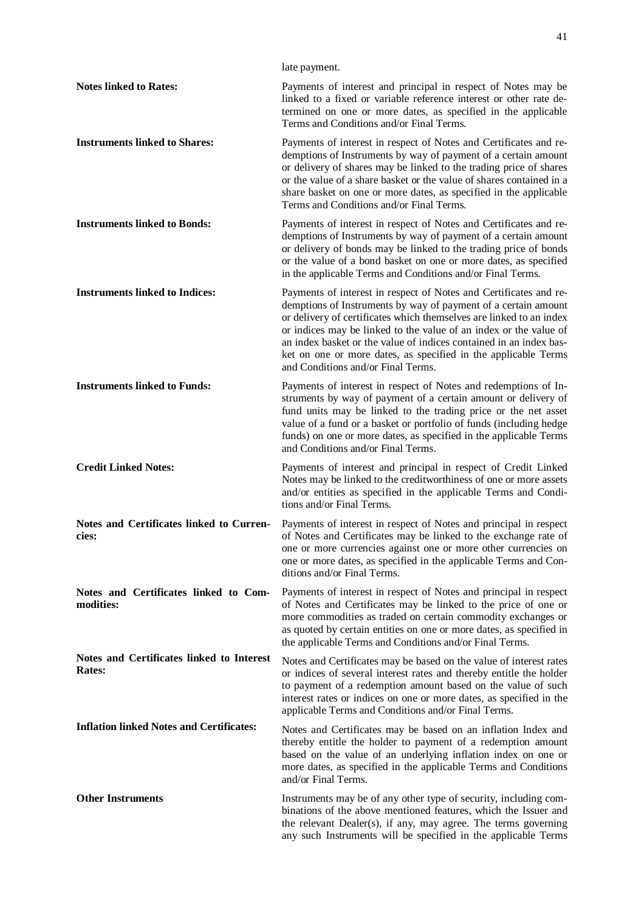|                                                            | late payment.                                                                                                                                                                                                                                                                                                                                                                                                                                                 |
|------------------------------------------------------------|---------------------------------------------------------------------------------------------------------------------------------------------------------------------------------------------------------------------------------------------------------------------------------------------------------------------------------------------------------------------------------------------------------------------------------------------------------------|
| <b>Notes linked to Rates:</b>                              | Payments of interest and principal in respect of Notes may be<br>linked to a fixed or variable reference interest or other rate de-<br>termined on one or more dates, as specified in the applicable<br>Terms and Conditions and/or Final Terms.                                                                                                                                                                                                              |
| <b>Instruments linked to Shares:</b>                       | Payments of interest in respect of Notes and Certificates and re-<br>demptions of Instruments by way of payment of a certain amount<br>or delivery of shares may be linked to the trading price of shares<br>or the value of a share basket or the value of shares contained in a<br>share basket on one or more dates, as specified in the applicable<br>Terms and Conditions and/or Final Terms.                                                            |
| <b>Instruments linked to Bonds:</b>                        | Payments of interest in respect of Notes and Certificates and re-<br>demptions of Instruments by way of payment of a certain amount<br>or delivery of bonds may be linked to the trading price of bonds<br>or the value of a bond basket on one or more dates, as specified<br>in the applicable Terms and Conditions and/or Final Terms.                                                                                                                     |
| <b>Instruments linked to Indices:</b>                      | Payments of interest in respect of Notes and Certificates and re-<br>demptions of Instruments by way of payment of a certain amount<br>or delivery of certificates which themselves are linked to an index<br>or indices may be linked to the value of an index or the value of<br>an index basket or the value of indices contained in an index bas-<br>ket on one or more dates, as specified in the applicable Terms<br>and Conditions and/or Final Terms. |
| <b>Instruments linked to Funds:</b>                        | Payments of interest in respect of Notes and redemptions of In-<br>struments by way of payment of a certain amount or delivery of<br>fund units may be linked to the trading price or the net asset<br>value of a fund or a basket or portfolio of funds (including hedge<br>funds) on one or more dates, as specified in the applicable Terms<br>and Conditions and/or Final Terms.                                                                          |
| <b>Credit Linked Notes:</b>                                | Payments of interest and principal in respect of Credit Linked<br>Notes may be linked to the creditworthiness of one or more assets<br>and/or entities as specified in the applicable Terms and Condi-<br>tions and/or Final Terms.                                                                                                                                                                                                                           |
| Notes and Certificates linked to Curren-<br>cies:          | Payments of interest in respect of Notes and principal in respect<br>of Notes and Certificates may be linked to the exchange rate of<br>one or more currencies against one or more other currencies on<br>one or more dates, as specified in the applicable Terms and Con-<br>ditions and/or Final Terms.                                                                                                                                                     |
| Notes and Certificates linked to Com-<br>modities:         | Payments of interest in respect of Notes and principal in respect<br>of Notes and Certificates may be linked to the price of one or<br>more commodities as traded on certain commodity exchanges or<br>as quoted by certain entities on one or more dates, as specified in<br>the applicable Terms and Conditions and/or Final Terms.                                                                                                                         |
| Notes and Certificates linked to Interest<br><b>Rates:</b> | Notes and Certificates may be based on the value of interest rates<br>or indices of several interest rates and thereby entitle the holder<br>to payment of a redemption amount based on the value of such<br>interest rates or indices on one or more dates, as specified in the<br>applicable Terms and Conditions and/or Final Terms.                                                                                                                       |
| <b>Inflation linked Notes and Certificates:</b>            | Notes and Certificates may be based on an inflation Index and<br>thereby entitle the holder to payment of a redemption amount<br>based on the value of an underlying inflation index on one or<br>more dates, as specified in the applicable Terms and Conditions<br>and/or Final Terms.                                                                                                                                                                      |
| <b>Other Instruments</b>                                   | Instruments may be of any other type of security, including com-<br>binations of the above mentioned features, which the Issuer and<br>the relevant Dealer(s), if any, may agree. The terms governing<br>any such Instruments will be specified in the applicable Terms                                                                                                                                                                                       |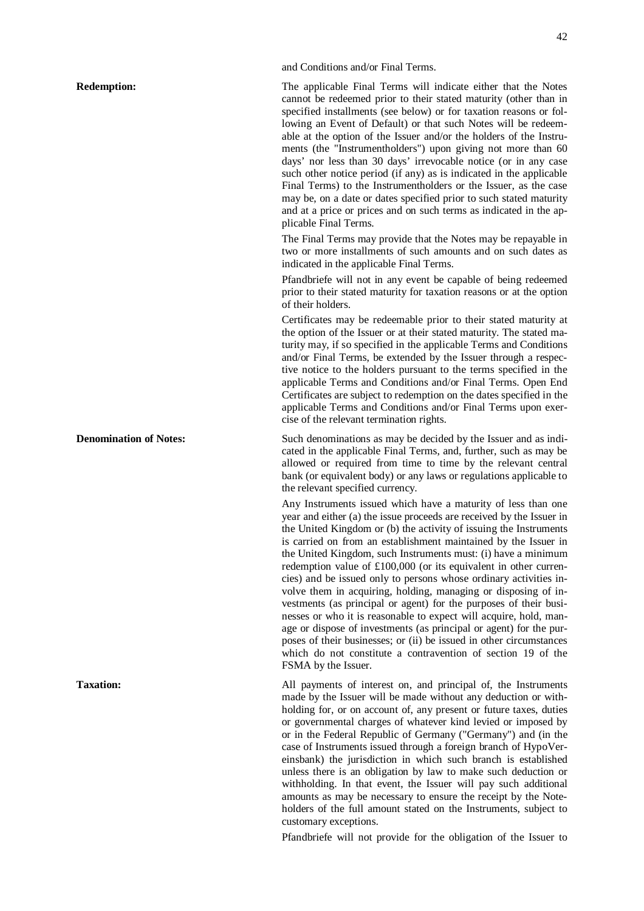## and Conditions and/or Final Terms.

**Redemption:** The applicable Final Terms will indicate either that the Notes cannot be redeemed prior to their stated maturity (other than in specified installments (see below) or for taxation reasons or following an Event of Default) or that such Notes will be redeemable at the option of the Issuer and/or the holders of the Instruments (the "Instrumentholders") upon giving not more than 60 days' nor less than 30 days' irrevocable notice (or in any case such other notice period (if any) as is indicated in the applicable Final Terms) to the Instrumentholders or the Issuer, as the case may be, on a date or dates specified prior to such stated maturity and at a price or prices and on such terms as indicated in the applicable Final Terms.

> The Final Terms may provide that the Notes may be repayable in two or more installments of such amounts and on such dates as indicated in the applicable Final Terms.

> Pfandbriefe will not in any event be capable of being redeemed prior to their stated maturity for taxation reasons or at the option of their holders.

> Certificates may be redeemable prior to their stated maturity at the option of the Issuer or at their stated maturity. The stated maturity may, if so specified in the applicable Terms and Conditions and/or Final Terms, be extended by the Issuer through a respective notice to the holders pursuant to the terms specified in the applicable Terms and Conditions and/or Final Terms. Open End Certificates are subject to redemption on the dates specified in the applicable Terms and Conditions and/or Final Terms upon exercise of the relevant termination rights.

**Denomination of Notes:** Such denominations as may be decided by the Issuer and as indicated in the applicable Final Terms, and, further, such as may be allowed or required from time to time by the relevant central bank (or equivalent body) or any laws or regulations applicable to the relevant specified currency.

> Any Instruments issued which have a maturity of less than one year and either (a) the issue proceeds are received by the Issuer in the United Kingdom or (b) the activity of issuing the Instruments is carried on from an establishment maintained by the Issuer in the United Kingdom, such Instruments must: (i) have a minimum redemption value of £100,000 (or its equivalent in other currencies) and be issued only to persons whose ordinary activities involve them in acquiring, holding, managing or disposing of investments (as principal or agent) for the purposes of their businesses or who it is reasonable to expect will acquire, hold, manage or dispose of investments (as principal or agent) for the purposes of their businesses; or (ii) be issued in other circumstances which do not constitute a contravention of section 19 of the FSMA by the Issuer.

**Taxation:** All payments of interest on, and principal of, the Instruments made by the Issuer will be made without any deduction or withholding for, or on account of, any present or future taxes, duties or governmental charges of whatever kind levied or imposed by or in the Federal Republic of Germany ("Germany") and (in the case of Instruments issued through a foreign branch of HypoVereinsbank) the jurisdiction in which such branch is established unless there is an obligation by law to make such deduction or withholding. In that event, the Issuer will pay such additional amounts as may be necessary to ensure the receipt by the Noteholders of the full amount stated on the Instruments, subject to customary exceptions.

Pfandbriefe will not provide for the obligation of the Issuer to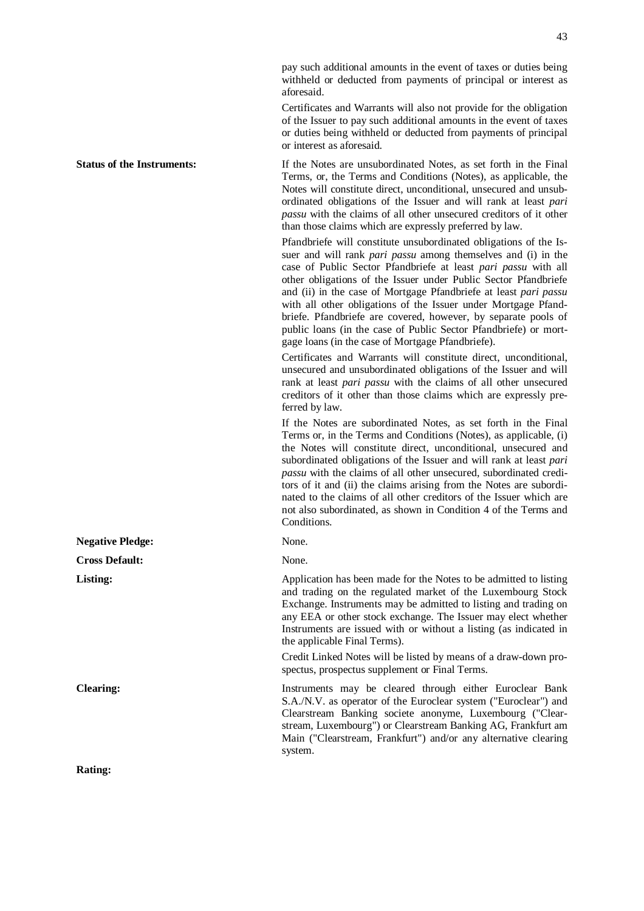pay such additional amounts in the event of taxes or duties being withheld or deducted from payments of principal or interest as aforesaid.

Certificates and Warrants will also not provide for the obligation of the Issuer to pay such additional amounts in the event of taxes or duties being withheld or deducted from payments of principal or interest as aforesaid.

**Status of the Instruments:** If the Notes are unsubordinated Notes, as set forth in the Final Terms, or, the Terms and Conditions (Notes), as applicable, the Notes will constitute direct, unconditional, unsecured and unsubordinated obligations of the Issuer and will rank at least *pari passu* with the claims of all other unsecured creditors of it other than those claims which are expressly preferred by law.

> Pfandbriefe will constitute unsubordinated obligations of the Issuer and will rank *pari passu* among themselves and (i) in the case of Public Sector Pfandbriefe at least *pari passu* with all other obligations of the Issuer under Public Sector Pfandbriefe and (ii) in the case of Mortgage Pfandbriefe at least *pari passu* with all other obligations of the Issuer under Mortgage Pfandbriefe. Pfandbriefe are covered, however, by separate pools of public loans (in the case of Public Sector Pfandbriefe) or mortgage loans (in the case of Mortgage Pfandbriefe).

> Certificates and Warrants will constitute direct, unconditional, unsecured and unsubordinated obligations of the Issuer and will rank at least *pari passu* with the claims of all other unsecured creditors of it other than those claims which are expressly preferred by law.

> If the Notes are subordinated Notes, as set forth in the Final Terms or, in the Terms and Conditions (Notes), as applicable, (i) the Notes will constitute direct, unconditional, unsecured and subordinated obligations of the Issuer and will rank at least *pari passu* with the claims of all other unsecured, subordinated creditors of it and (ii) the claims arising from the Notes are subordinated to the claims of all other creditors of the Issuer which are not also subordinated, as shown in Condition 4 of the Terms and Conditions.

**Listing:** Application has been made for the Notes to be admitted to listing and trading on the regulated market of the Luxembourg Stock Exchange. Instruments may be admitted to listing and trading on any EEA or other stock exchange. The Issuer may elect whether Instruments are issued with or without a listing (as indicated in the applicable Final Terms).

> Credit Linked Notes will be listed by means of a draw-down prospectus, prospectus supplement or Final Terms.

**Clearing:** Instruments may be cleared through either Euroclear Bank S.A./N.V. as operator of the Euroclear system ("Euroclear") and Clearstream Banking societe anonyme, Luxembourg ("Clearstream, Luxembourg") or Clearstream Banking AG, Frankfurt am Main ("Clearstream, Frankfurt") and/or any alternative clearing system.

**Negative Pledge:** None. **Cross Default:** None.

**Rating:**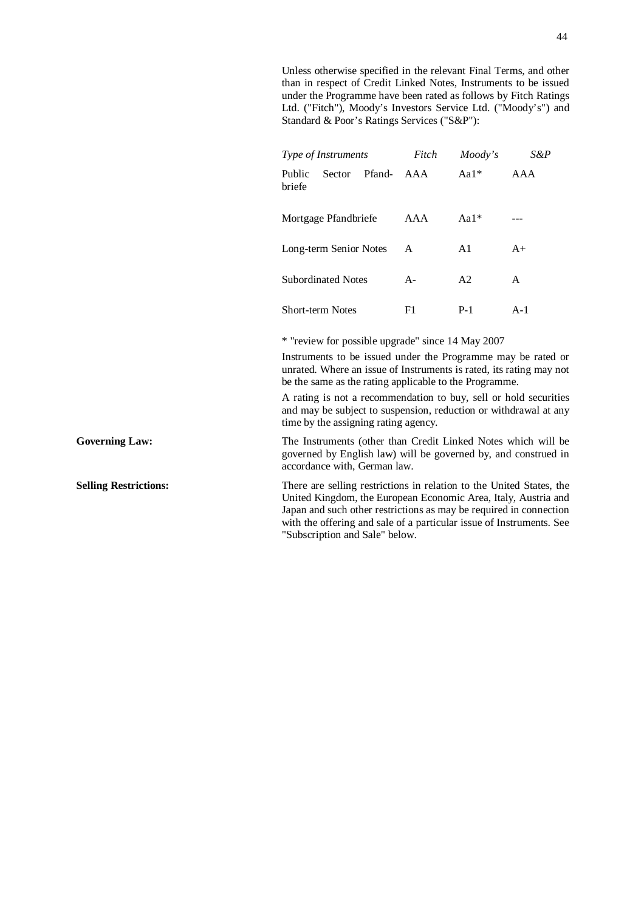Unless otherwise specified in the relevant Final Terms, and other than in respect of Credit Linked Notes, Instruments to be issued under the Programme have been rated as follows by Fitch Ratings Ltd. ("Fitch"), Moody's Investors Service Ltd. ("Moody's") and Standard & Poor's Ratings Services ("S&P"):

| Type of Instruments |                           | Fitch  | Moody's | S&P     |       |
|---------------------|---------------------------|--------|---------|---------|-------|
| Public<br>briefe    | <b>Sector</b>             | Pfand- | AAA     | Aa $1*$ | AAA   |
|                     | Mortgage Pfandbriefe      |        | AAA     | $Aa1*$  |       |
|                     | Long-term Senior Notes    |        | A       | A1      | $A+$  |
|                     | <b>Subordinated Notes</b> |        | $A -$   | A2      | A     |
|                     | <b>Short-term Notes</b>   |        | F1      | $P-1$   | $A-1$ |

\* "review for possible upgrade" since 14 May 2007

Instruments to be issued under the Programme may be rated or unrated. Where an issue of Instruments is rated, its rating may not be the same as the rating applicable to the Programme.

A rating is not a recommendation to buy, sell or hold securities and may be subject to suspension, reduction or withdrawal at any time by the assigning rating agency.

Governing Law: The Instruments (other than Credit Linked Notes which will be governed by English law) will be governed by, and construed in accordance with, German law.

**Selling Restrictions:** There are selling restrictions in relation to the United States, the United Kingdom, the European Economic Area, Italy, Austria and Japan and such other restrictions as may be required in connection with the offering and sale of a particular issue of Instruments. See "Subscription and Sale" below.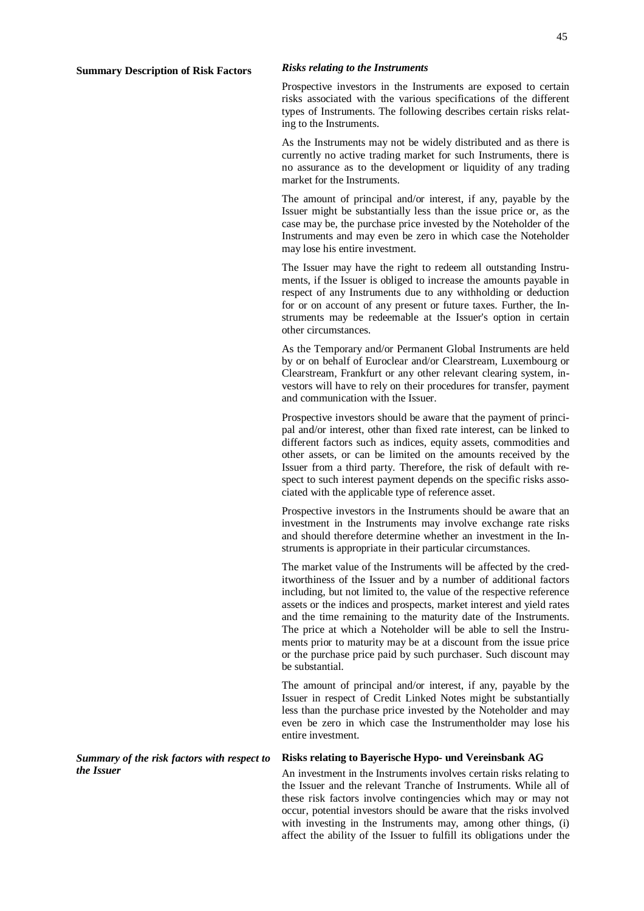Prospective investors in the Instruments are exposed to certain risks associated with the various specifications of the different types of Instruments. The following describes certain risks relating to the Instruments.

As the Instruments may not be widely distributed and as there is currently no active trading market for such Instruments, there is no assurance as to the development or liquidity of any trading market for the Instruments.

The amount of principal and/or interest, if any, payable by the Issuer might be substantially less than the issue price or, as the case may be, the purchase price invested by the Noteholder of the Instruments and may even be zero in which case the Noteholder may lose his entire investment.

The Issuer may have the right to redeem all outstanding Instruments, if the Issuer is obliged to increase the amounts payable in respect of any Instruments due to any withholding or deduction for or on account of any present or future taxes. Further, the Instruments may be redeemable at the Issuer's option in certain other circumstances.

As the Temporary and/or Permanent Global Instruments are held by or on behalf of Euroclear and/or Clearstream, Luxembourg or Clearstream, Frankfurt or any other relevant clearing system, investors will have to rely on their procedures for transfer, payment and communication with the Issuer.

Prospective investors should be aware that the payment of principal and/or interest, other than fixed rate interest, can be linked to different factors such as indices, equity assets, commodities and other assets, or can be limited on the amounts received by the Issuer from a third party. Therefore, the risk of default with respect to such interest payment depends on the specific risks associated with the applicable type of reference asset.

Prospective investors in the Instruments should be aware that an investment in the Instruments may involve exchange rate risks and should therefore determine whether an investment in the Instruments is appropriate in their particular circumstances.

The market value of the Instruments will be affected by the creditworthiness of the Issuer and by a number of additional factors including, but not limited to, the value of the respective reference assets or the indices and prospects, market interest and yield rates and the time remaining to the maturity date of the Instruments. The price at which a Noteholder will be able to sell the Instruments prior to maturity may be at a discount from the issue price or the purchase price paid by such purchaser. Such discount may be substantial.

The amount of principal and/or interest, if any, payable by the Issuer in respect of Credit Linked Notes might be substantially less than the purchase price invested by the Noteholder and may even be zero in which case the Instrumentholder may lose his entire investment.

*Summary of the risk factors with respect to the Issuer* 

#### **Risks relating to Bayerische Hypo- und Vereinsbank AG**

An investment in the Instruments involves certain risks relating to the Issuer and the relevant Tranche of Instruments. While all of these risk factors involve contingencies which may or may not occur, potential investors should be aware that the risks involved with investing in the Instruments may, among other things, (i) affect the ability of the Issuer to fulfill its obligations under the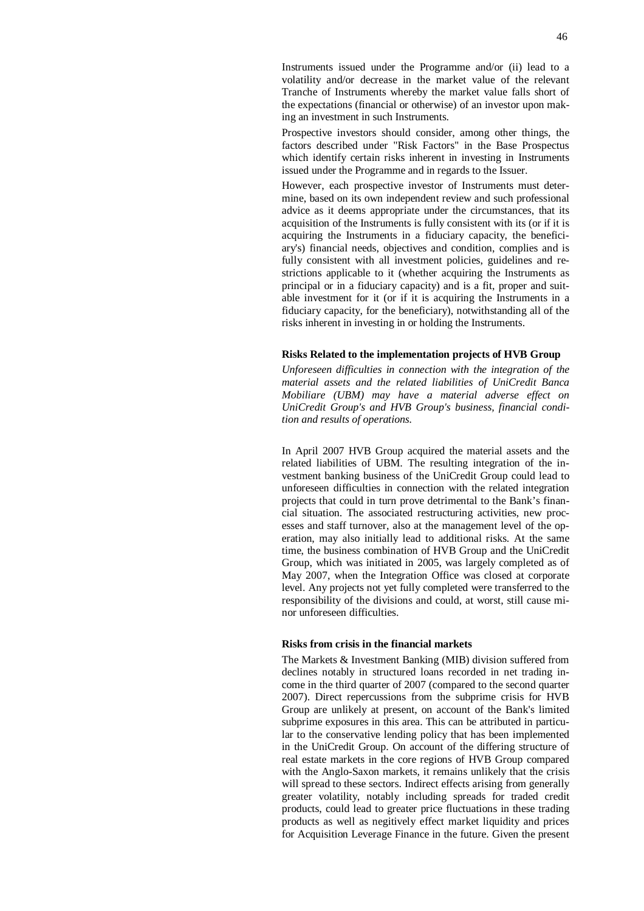Instruments issued under the Programme and/or (ii) lead to a volatility and/or decrease in the market value of the relevant Tranche of Instruments whereby the market value falls short of the expectations (financial or otherwise) of an investor upon making an investment in such Instruments.

Prospective investors should consider, among other things, the factors described under "Risk Factors" in the Base Prospectus which identify certain risks inherent in investing in Instruments issued under the Programme and in regards to the Issuer.

However, each prospective investor of Instruments must determine, based on its own independent review and such professional advice as it deems appropriate under the circumstances, that its acquisition of the Instruments is fully consistent with its (or if it is acquiring the Instruments in a fiduciary capacity, the beneficiary's) financial needs, objectives and condition, complies and is fully consistent with all investment policies, guidelines and restrictions applicable to it (whether acquiring the Instruments as principal or in a fiduciary capacity) and is a fit, proper and suitable investment for it (or if it is acquiring the Instruments in a fiduciary capacity, for the beneficiary), notwithstanding all of the risks inherent in investing in or holding the Instruments.

#### **Risks Related to the implementation projects of HVB Group**

*Unforeseen difficulties in connection with the integration of the material assets and the related liabilities of UniCredit Banca Mobiliare (UBM) may have a material adverse effect on UniCredit Group's and HVB Group's business, financial condition and results of operations.* 

In April 2007 HVB Group acquired the material assets and the related liabilities of UBM. The resulting integration of the investment banking business of the UniCredit Group could lead to unforeseen difficulties in connection with the related integration projects that could in turn prove detrimental to the Bank's financial situation. The associated restructuring activities, new processes and staff turnover, also at the management level of the operation, may also initially lead to additional risks. At the same time, the business combination of HVB Group and the UniCredit Group, which was initiated in 2005, was largely completed as of May 2007, when the Integration Office was closed at corporate level. Any projects not yet fully completed were transferred to the responsibility of the divisions and could, at worst, still cause minor unforeseen difficulties.

## **Risks from crisis in the financial markets**

The Markets & Investment Banking (MIB) division suffered from declines notably in structured loans recorded in net trading income in the third quarter of 2007 (compared to the second quarter 2007). Direct repercussions from the subprime crisis for HVB Group are unlikely at present, on account of the Bank's limited subprime exposures in this area. This can be attributed in particular to the conservative lending policy that has been implemented in the UniCredit Group. On account of the differing structure of real estate markets in the core regions of HVB Group compared with the Anglo-Saxon markets, it remains unlikely that the crisis will spread to these sectors. Indirect effects arising from generally greater volatility, notably including spreads for traded credit products, could lead to greater price fluctuations in these trading products as well as negitively effect market liquidity and prices for Acquisition Leverage Finance in the future. Given the present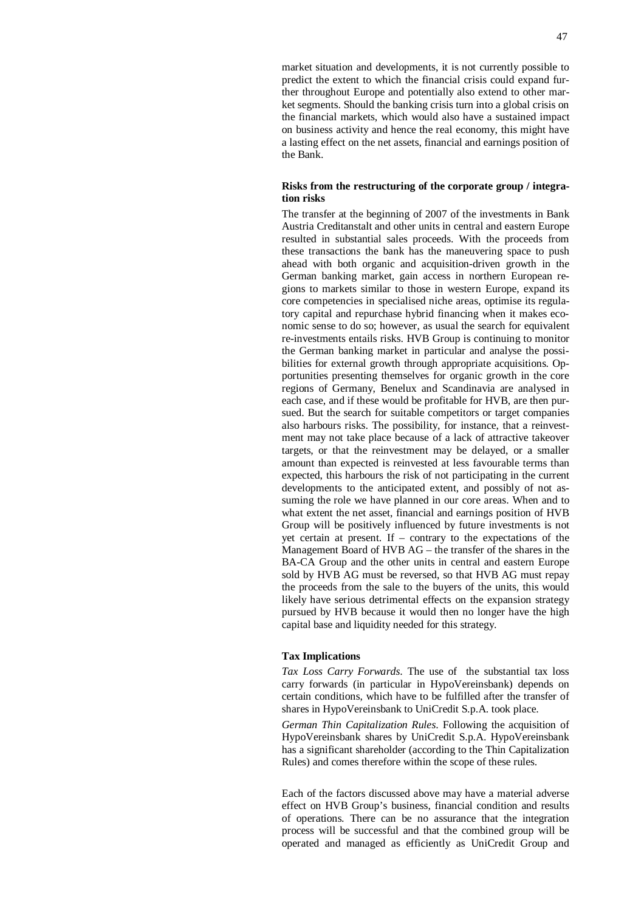market situation and developments, it is not currently possible to predict the extent to which the financial crisis could expand further throughout Europe and potentially also extend to other market segments. Should the banking crisis turn into a global crisis on the financial markets, which would also have a sustained impact on business activity and hence the real economy, this might have a lasting effect on the net assets, financial and earnings position of the Bank.

## **Risks from the restructuring of the corporate group / integration risks**

The transfer at the beginning of 2007 of the investments in Bank Austria Creditanstalt and other units in central and eastern Europe resulted in substantial sales proceeds. With the proceeds from these transactions the bank has the maneuvering space to push ahead with both organic and acquisition-driven growth in the German banking market, gain access in northern European regions to markets similar to those in western Europe, expand its core competencies in specialised niche areas, optimise its regulatory capital and repurchase hybrid financing when it makes economic sense to do so; however, as usual the search for equivalent re-investments entails risks. HVB Group is continuing to monitor the German banking market in particular and analyse the possibilities for external growth through appropriate acquisitions. Opportunities presenting themselves for organic growth in the core regions of Germany, Benelux and Scandinavia are analysed in each case, and if these would be profitable for HVB, are then pursued. But the search for suitable competitors or target companies also harbours risks. The possibility, for instance, that a reinvestment may not take place because of a lack of attractive takeover targets, or that the reinvestment may be delayed, or a smaller amount than expected is reinvested at less favourable terms than expected, this harbours the risk of not participating in the current developments to the anticipated extent, and possibly of not assuming the role we have planned in our core areas. When and to what extent the net asset, financial and earnings position of HVB Group will be positively influenced by future investments is not yet certain at present. If – contrary to the expectations of the Management Board of HVB AG – the transfer of the shares in the BA-CA Group and the other units in central and eastern Europe sold by HVB AG must be reversed, so that HVB AG must repay the proceeds from the sale to the buyers of the units, this would likely have serious detrimental effects on the expansion strategy pursued by HVB because it would then no longer have the high capital base and liquidity needed for this strategy.

### **Tax Implications**

*Tax Loss Carry Forwards*. The use of the substantial tax loss carry forwards (in particular in HypoVereinsbank) depends on certain conditions, which have to be fulfilled after the transfer of shares in HypoVereinsbank to UniCredit S.p.A. took place.

*German Thin Capitalization Rules*. Following the acquisition of HypoVereinsbank shares by UniCredit S.p.A. HypoVereinsbank has a significant shareholder (according to the Thin Capitalization Rules) and comes therefore within the scope of these rules.

Each of the factors discussed above may have a material adverse effect on HVB Group's business, financial condition and results of operations. There can be no assurance that the integration process will be successful and that the combined group will be operated and managed as efficiently as UniCredit Group and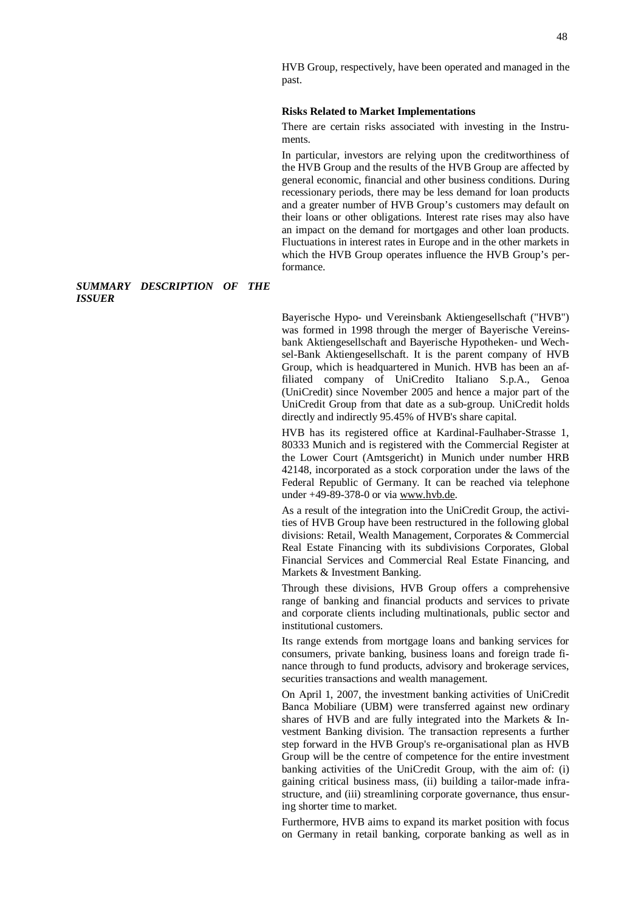HVB Group, respectively, have been operated and managed in the past.

#### **Risks Related to Market Implementations**

There are certain risks associated with investing in the Instruments.

In particular, investors are relying upon the creditworthiness of the HVB Group and the results of the HVB Group are affected by general economic, financial and other business conditions. During recessionary periods, there may be less demand for loan products and a greater number of HVB Group's customers may default on their loans or other obligations. Interest rate rises may also have an impact on the demand for mortgages and other loan products. Fluctuations in interest rates in Europe and in the other markets in which the HVB Group operates influence the HVB Group's performance.

#### *SUMMARY DESCRIPTION OF THE ISSUER*

Bayerische Hypo- und Vereinsbank Aktiengesellschaft ("HVB") was formed in 1998 through the merger of Bayerische Vereinsbank Aktiengesellschaft and Bayerische Hypotheken- und Wechsel-Bank Aktiengesellschaft. It is the parent company of HVB Group, which is headquartered in Munich. HVB has been an affiliated company of UniCredito Italiano S.p.A., Genoa (UniCredit) since November 2005 and hence a major part of the UniCredit Group from that date as a sub-group. UniCredit holds directly and indirectly 95.45% of HVB's share capital.

HVB has its registered office at Kardinal-Faulhaber-Strasse 1, 80333 Munich and is registered with the Commercial Register at the Lower Court (Amtsgericht) in Munich under number HRB 42148, incorporated as a stock corporation under the laws of the Federal Republic of Germany. It can be reached via telephone under +49-89-378-0 or via [www.hvb.de](http://www.hvb.de).

As a result of the integration into the UniCredit Group, the activities of HVB Group have been restructured in the following global divisions: Retail, Wealth Management, Corporates & Commercial Real Estate Financing with its subdivisions Corporates, Global Financial Services and Commercial Real Estate Financing, and Markets & Investment Banking.

Through these divisions, HVB Group offers a comprehensive range of banking and financial products and services to private and corporate clients including multinationals, public sector and institutional customers.

Its range extends from mortgage loans and banking services for consumers, private banking, business loans and foreign trade finance through to fund products, advisory and brokerage services, securities transactions and wealth management.

On April 1, 2007, the investment banking activities of UniCredit Banca Mobiliare (UBM) were transferred against new ordinary shares of HVB and are fully integrated into the Markets & Investment Banking division. The transaction represents a further step forward in the HVB Group's re-organisational plan as HVB Group will be the centre of competence for the entire investment banking activities of the UniCredit Group, with the aim of: (i) gaining critical business mass, (ii) building a tailor-made infrastructure, and (iii) streamlining corporate governance, thus ensuring shorter time to market.

Furthermore, HVB aims to expand its market position with focus on Germany in retail banking, corporate banking as well as in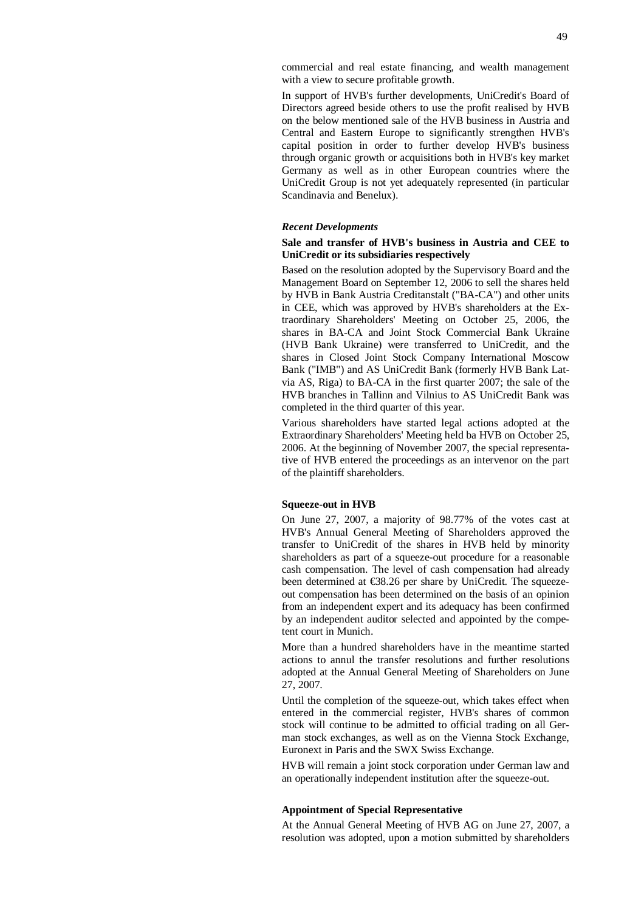commercial and real estate financing, and wealth management with a view to secure profitable growth.

In support of HVB's further developments, UniCredit's Board of Directors agreed beside others to use the profit realised by HVB on the below mentioned sale of the HVB business in Austria and Central and Eastern Europe to significantly strengthen HVB's capital position in order to further develop HVB's business through organic growth or acquisitions both in HVB's key market Germany as well as in other European countries where the UniCredit Group is not yet adequately represented (in particular Scandinavia and Benelux).

#### *Recent Developments*

## **Sale and transfer of HVB's business in Austria and CEE to UniCredit or its subsidiaries respectively**

Based on the resolution adopted by the Supervisory Board and the Management Board on September 12, 2006 to sell the shares held by HVB in Bank Austria Creditanstalt ("BA-CA") and other units in CEE, which was approved by HVB's shareholders at the Extraordinary Shareholders' Meeting on October 25, 2006, the shares in BA-CA and Joint Stock Commercial Bank Ukraine (HVB Bank Ukraine) were transferred to UniCredit, and the shares in Closed Joint Stock Company International Moscow Bank ("IMB") and AS UniCredit Bank (formerly HVB Bank Latvia AS, Riga) to BA-CA in the first quarter 2007; the sale of the HVB branches in Tallinn and Vilnius to AS UniCredit Bank was completed in the third quarter of this year.

Various shareholders have started legal actions adopted at the Extraordinary Shareholders' Meeting held ba HVB on October 25, 2006. At the beginning of November 2007, the special representative of HVB entered the proceedings as an intervenor on the part of the plaintiff shareholders.

#### **Squeeze-out in HVB**

On June 27, 2007, a majority of 98.77% of the votes cast at HVB's Annual General Meeting of Shareholders approved the transfer to UniCredit of the shares in HVB held by minority shareholders as part of a squeeze-out procedure for a reasonable cash compensation. The level of cash compensation had already been determined at €38.26 per share by UniCredit. The squeezeout compensation has been determined on the basis of an opinion from an independent expert and its adequacy has been confirmed by an independent auditor selected and appointed by the competent court in Munich.

More than a hundred shareholders have in the meantime started actions to annul the transfer resolutions and further resolutions adopted at the Annual General Meeting of Shareholders on June 27, 2007.

Until the completion of the squeeze-out, which takes effect when entered in the commercial register, HVB's shares of common stock will continue to be admitted to official trading on all German stock exchanges, as well as on the Vienna Stock Exchange, Euronext in Paris and the SWX Swiss Exchange.

HVB will remain a joint stock corporation under German law and an operationally independent institution after the squeeze-out.

### **Appointment of Special Representative**

At the Annual General Meeting of HVB AG on June 27, 2007, a resolution was adopted, upon a motion submitted by shareholders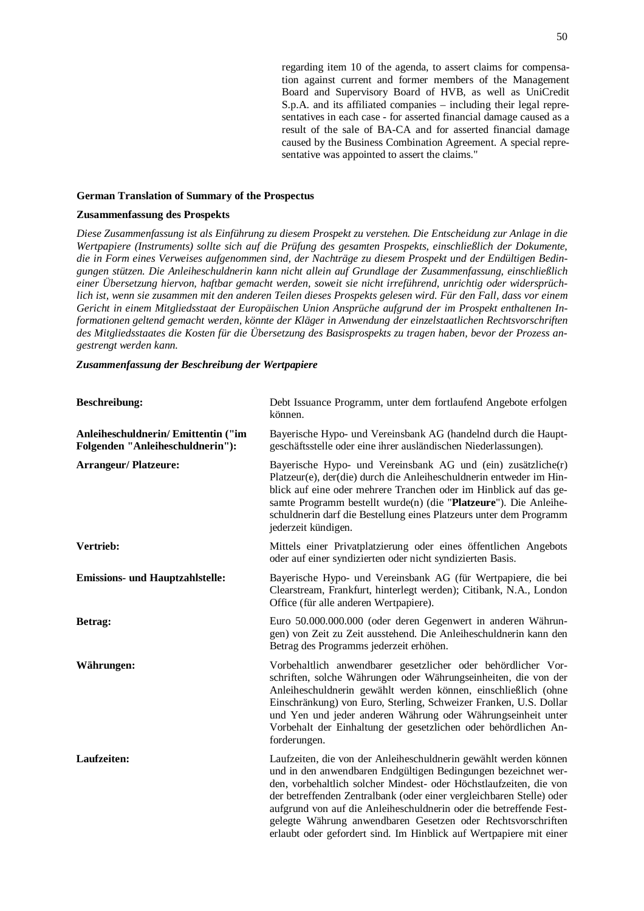regarding item 10 of the agenda, to assert claims for compensation against current and former members of the Management Board and Supervisory Board of HVB, as well as UniCredit S.p.A. and its affiliated companies – including their legal representatives in each case - for asserted financial damage caused as a result of the sale of BA-CA and for asserted financial damage caused by the Business Combination Agreement. A special representative was appointed to assert the claims."

#### **German Translation of Summary of the Prospectus**

## **Zusammenfassung des Prospekts**

*Diese Zusammenfassung ist als Einführung zu diesem Prospekt zu verstehen. Die Entscheidung zur Anlage in die Wertpapiere (Instruments) sollte sich auf die Prüfung des gesamten Prospekts, einschließlich der Dokumente, die in Form eines Verweises aufgenommen sind, der Nachträge zu diesem Prospekt und der Endültigen Bedingungen stützen. Die Anleiheschuldnerin kann nicht allein auf Grundlage der Zusammenfassung, einschließlich einer Übersetzung hiervon, haftbar gemacht werden, soweit sie nicht irreführend, unrichtig oder widersprüchlich ist, wenn sie zusammen mit den anderen Teilen dieses Prospekts gelesen wird. Für den Fall, dass vor einem Gericht in einem Mitgliedsstaat der Europäischen Union Ansprüche aufgrund der im Prospekt enthaltenen Informationen geltend gemacht werden, könnte der Kläger in Anwendung der einzelstaatlichen Rechtsvorschriften des Mitgliedsstaates die Kosten für die Übersetzung des Basisprospekts zu tragen haben, bevor der Prozess angestrengt werden kann.* 

*Zusammenfassung der Beschreibung der Wertpapiere*

| <b>Beschreibung:</b>                                                   | Debt Issuance Programm, unter dem fortlaufend Angebote erfolgen<br>können.                                                                                                                                                                                                                                                                                                                                                                                                                   |
|------------------------------------------------------------------------|----------------------------------------------------------------------------------------------------------------------------------------------------------------------------------------------------------------------------------------------------------------------------------------------------------------------------------------------------------------------------------------------------------------------------------------------------------------------------------------------|
| Anleiheschuldnerin/Emittentin ("im<br>Folgenden "Anleiheschuldnerin"): | Bayerische Hypo- und Vereinsbank AG (handelnd durch die Haupt-<br>geschäftsstelle oder eine ihrer ausländischen Niederlassungen).                                                                                                                                                                                                                                                                                                                                                            |
| <b>Arrangeur/Platzeure:</b>                                            | Bayerische Hypo- und Vereinsbank AG und (ein) zusätzliche(r)<br>Platzeur(e), der(die) durch die Anleiheschuldnerin entweder im Hin-<br>blick auf eine oder mehrere Tranchen oder im Hinblick auf das ge-<br>samte Programm bestellt wurde(n) (die "Platzeure"). Die Anleihe-<br>schuldnerin darf die Bestellung eines Platzeurs unter dem Programm<br>jederzeit kündigen.                                                                                                                    |
| Vertrieb:                                                              | Mittels einer Privatplatzierung oder eines öffentlichen Angebots<br>oder auf einer syndizierten oder nicht syndizierten Basis.                                                                                                                                                                                                                                                                                                                                                               |
| <b>Emissions- und Hauptzahlstelle:</b>                                 | Bayerische Hypo- und Vereinsbank AG (für Wertpapiere, die bei<br>Clearstream, Frankfurt, hinterlegt werden); Citibank, N.A., London<br>Office (für alle anderen Wertpapiere).                                                                                                                                                                                                                                                                                                                |
| Betrag:                                                                | Euro 50.000.000.000 (oder deren Gegenwert in anderen Währun-<br>gen) von Zeit zu Zeit ausstehend. Die Anleiheschuldnerin kann den<br>Betrag des Programms jederzeit erhöhen.                                                                                                                                                                                                                                                                                                                 |
| Währungen:                                                             | Vorbehaltlich anwendbarer gesetzlicher oder behördlicher Vor-<br>schriften, solche Währungen oder Währungseinheiten, die von der<br>Anleiheschuldnerin gewählt werden können, einschließlich (ohne<br>Einschränkung) von Euro, Sterling, Schweizer Franken, U.S. Dollar<br>und Yen und jeder anderen Währung oder Währungseinheit unter<br>Vorbehalt der Einhaltung der gesetzlichen oder behördlichen An-<br>forderungen.                                                                   |
| Laufzeiten:                                                            | Laufzeiten, die von der Anleiheschuldnerin gewählt werden können<br>und in den anwendbaren Endgültigen Bedingungen bezeichnet wer-<br>den, vorbehaltlich solcher Mindest- oder Höchstlaufzeiten, die von<br>der betreffenden Zentralbank (oder einer vergleichbaren Stelle) oder<br>aufgrund von auf die Anleiheschuldnerin oder die betreffende Fest-<br>gelegte Währung anwendbaren Gesetzen oder Rechtsvorschriften<br>erlaubt oder gefordert sind. Im Hinblick auf Wertpapiere mit einer |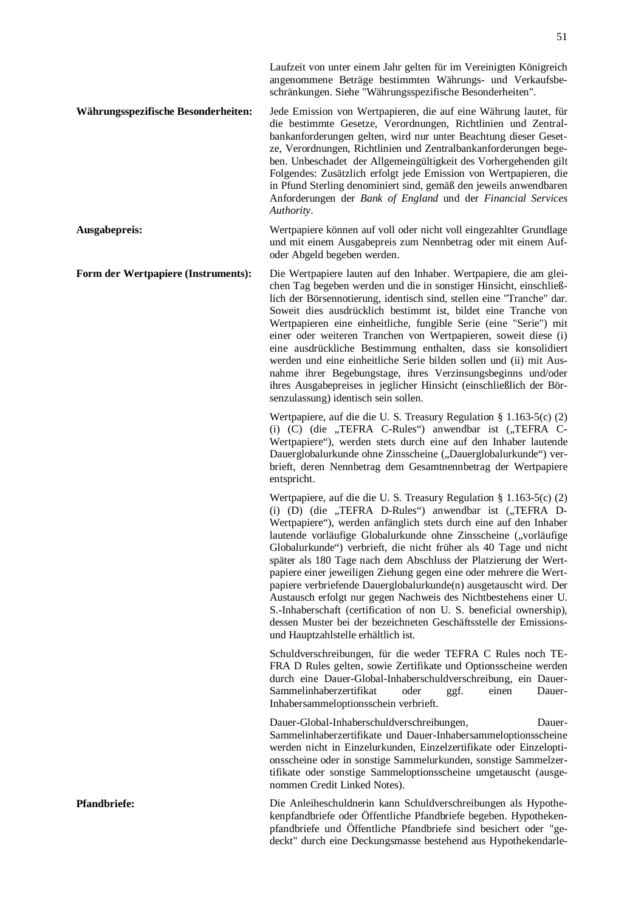**Währungsspezifische Besonderheiten:** Jede Emission von Wertpapieren, die auf eine Währung lautet, für die bestimmte Gesetze, Verordnungen, Richtlinien und Zentralbankanforderungen gelten, wird nur unter Beachtung dieser Gesetze, Verordnungen, Richtlinien und Zentralbankanforderungen begeben. Unbeschadet der Allgemeingültigkeit des Vorhergehenden gilt Folgendes: Zusätzlich erfolgt jede Emission von Wertpapieren, die in Pfund Sterling denominiert sind, gemäß den jeweils anwendbaren Anforderungen der *Bank of England* und der *Financial Services Authority*.

**Ausgabepreis:** Wertpapiere können auf voll oder nicht voll eingezahlter Grundlage und mit einem Ausgabepreis zum Nennbetrag oder mit einem Aufoder Abgeld begeben werden.

**Form der Wertpapiere (Instruments):** Die Wertpapiere lauten auf den Inhaber. Wertpapiere, die am gleichen Tag begeben werden und die in sonstiger Hinsicht, einschließlich der Börsennotierung, identisch sind, stellen eine "Tranche" dar. Soweit dies ausdrücklich bestimmt ist, bildet eine Tranche von Wertpapieren eine einheitliche, fungible Serie (eine "Serie") mit einer oder weiteren Tranchen von Wertpapieren, soweit diese (i) eine ausdrückliche Bestimmung enthalten, dass sie konsolidiert werden und eine einheitliche Serie bilden sollen und (ii) mit Ausnahme ihrer Begebungstage, ihres Verzinsungsbeginns und/oder ihres Ausgabepreises in jeglicher Hinsicht (einschließlich der Börsenzulassung) identisch sein sollen.

> Wertpapiere, auf die die U. S. Treasury Regulation § 1.163-5(c) (2) (i) (C) (die "TEFRA C-Rules") anwendbar ist ("TEFRA C-Wertpapiere"), werden stets durch eine auf den Inhaber lautende Dauerglobalurkunde ohne Zinsscheine ("Dauerglobalurkunde") verbrieft, deren Nennbetrag dem Gesamtnennbetrag der Wertpapiere entspricht.

> Wertpapiere, auf die die U. S. Treasury Regulation § 1.163-5(c) (2) (i)  $(D)$  (die "TEFRA D-Rules") anwendbar ist ("TEFRA D-Wertpapiere"), werden anfänglich stets durch eine auf den Inhaber lautende vorläufige Globalurkunde ohne Zinsscheine ("vorläufige Globalurkunde") verbrieft, die nicht früher als 40 Tage und nicht später als 180 Tage nach dem Abschluss der Platzierung der Wertpapiere einer jeweiligen Ziehung gegen eine oder mehrere die Wertpapiere verbriefende Dauerglobalurkunde(n) ausgetauscht wird. Der Austausch erfolgt nur gegen Nachweis des Nichtbestehens einer U. S.-Inhaberschaft (certification of non U. S. beneficial ownership), dessen Muster bei der bezeichneten Geschäftsstelle der Emissionsund Hauptzahlstelle erhältlich ist.

> Schuldverschreibungen, für die weder TEFRA C Rules noch TE-FRA D Rules gelten, sowie Zertifikate und Optionsscheine werden durch eine Dauer-Global-Inhaberschuldverschreibung, ein Dauer-Sammelinhaberzertifikat oder ggf. einen Dauer-Inhabersammeloptionsschein verbrieft.

> Dauer-Global-Inhaberschuldverschreibungen, Dauer-Sammelinhaberzertifikate und Dauer-Inhabersammeloptionsscheine werden nicht in Einzelurkunden, Einzelzertifikate oder Einzeloptionsscheine oder in sonstige Sammelurkunden, sonstige Sammelzertifikate oder sonstige Sammeloptionsscheine umgetauscht (ausgenommen Credit Linked Notes).

**Pfandbriefe:** Die Anleiheschuldnerin kann Schuldverschreibungen als Hypothekenpfandbriefe oder Öffentliche Pfandbriefe begeben. Hypothekenpfandbriefe und Öffentliche Pfandbriefe sind besichert oder "gedeckt" durch eine Deckungsmasse bestehend aus Hypothekendarle-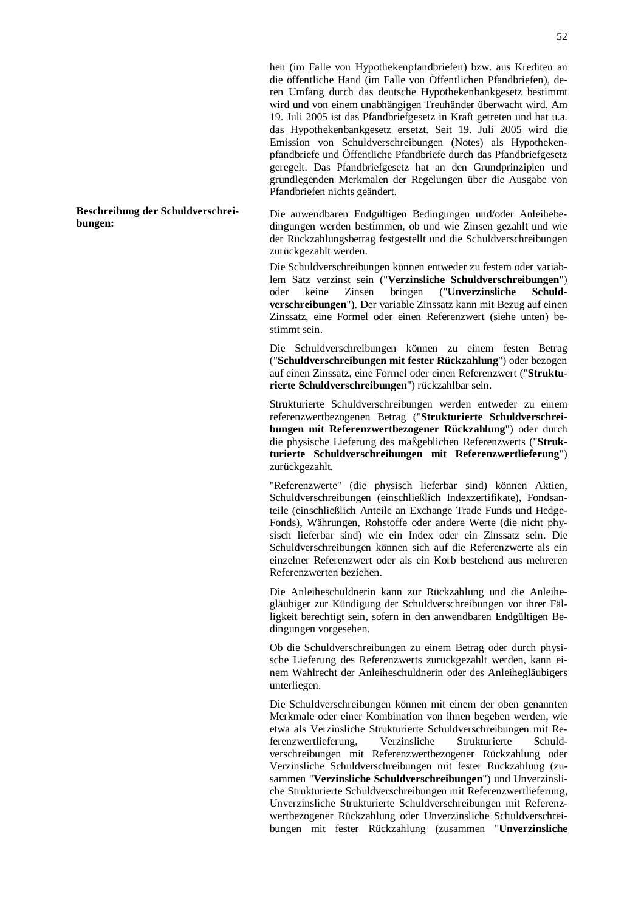hen (im Falle von Hypothekenpfandbriefen) bzw. aus Krediten an die öffentliche Hand (im Falle von Öffentlichen Pfandbriefen), deren Umfang durch das deutsche Hypothekenbankgesetz bestimmt wird und von einem unabhängigen Treuhänder überwacht wird. Am 19. Juli 2005 ist das Pfandbriefgesetz in Kraft getreten und hat u.a. das Hypothekenbankgesetz ersetzt. Seit 19. Juli 2005 wird die Emission von Schuldverschreibungen (Notes) als Hypothekenpfandbriefe und Öffentliche Pfandbriefe durch das Pfandbriefgesetz geregelt. Das Pfandbriefgesetz hat an den Grundprinzipien und grundlegenden Merkmalen der Regelungen über die Ausgabe von Pfandbriefen nichts geändert.

Die anwendbaren Endgültigen Bedingungen und/oder Anleihebedingungen werden bestimmen, ob und wie Zinsen gezahlt und wie der Rückzahlungsbetrag festgestellt und die Schuldverschreibungen zurückgezahlt werden.

Die Schuldverschreibungen können entweder zu festem oder variablem Satz verzinst sein ("**Verzinsliche Schuldverschreibungen**") oder keine Zinsen bringen ("**Unverzinsliche Schuldverschreibungen**"). Der variable Zinssatz kann mit Bezug auf einen Zinssatz, eine Formel oder einen Referenzwert (siehe unten) bestimmt sein.

Die Schuldverschreibungen können zu einem festen Betrag ("**Schuldverschreibungen mit fester Rückzahlung**") oder bezogen auf einen Zinssatz, eine Formel oder einen Referenzwert ("**Strukturierte Schuldverschreibungen**") rückzahlbar sein.

Strukturierte Schuldverschreibungen werden entweder zu einem referenzwertbezogenen Betrag ("**Strukturierte Schuldverschreibungen mit Referenzwertbezogener Rückzahlung**") oder durch die physische Lieferung des maßgeblichen Referenzwerts ("**Strukturierte Schuldverschreibungen mit Referenzwertlieferung**") zurückgezahlt.

"Referenzwerte" (die physisch lieferbar sind) können Aktien, Schuldverschreibungen (einschließlich Indexzertifikate), Fondsanteile (einschließlich Anteile an Exchange Trade Funds und Hedge-Fonds), Währungen, Rohstoffe oder andere Werte (die nicht physisch lieferbar sind) wie ein Index oder ein Zinssatz sein. Die Schuldverschreibungen können sich auf die Referenzwerte als ein einzelner Referenzwert oder als ein Korb bestehend aus mehreren Referenzwerten beziehen.

Die Anleiheschuldnerin kann zur Rückzahlung und die Anleihegläubiger zur Kündigung der Schuldverschreibungen vor ihrer Fälligkeit berechtigt sein, sofern in den anwendbaren Endgültigen Bedingungen vorgesehen.

Ob die Schuldverschreibungen zu einem Betrag oder durch physische Lieferung des Referenzwerts zurückgezahlt werden, kann einem Wahlrecht der Anleiheschuldnerin oder des Anleihegläubigers unterliegen.

Die Schuldverschreibungen können mit einem der oben genannten Merkmale oder einer Kombination von ihnen begeben werden, wie etwa als Verzinsliche Strukturierte Schuldverschreibungen mit Referenzwertlieferung, Verzinsliche Strukturierte Schuldverschreibungen mit Referenzwertbezogener Rückzahlung oder Verzinsliche Schuldverschreibungen mit fester Rückzahlung (zusammen "**Verzinsliche Schuldverschreibungen**") und Unverzinsliche Strukturierte Schuldverschreibungen mit Referenzwertlieferung, Unverzinsliche Strukturierte Schuldverschreibungen mit Referenzwertbezogener Rückzahlung oder Unverzinsliche Schuldverschreibungen mit fester Rückzahlung (zusammen "**Unverzinsliche** 

#### **Beschreibung der Schuldverschreibungen:**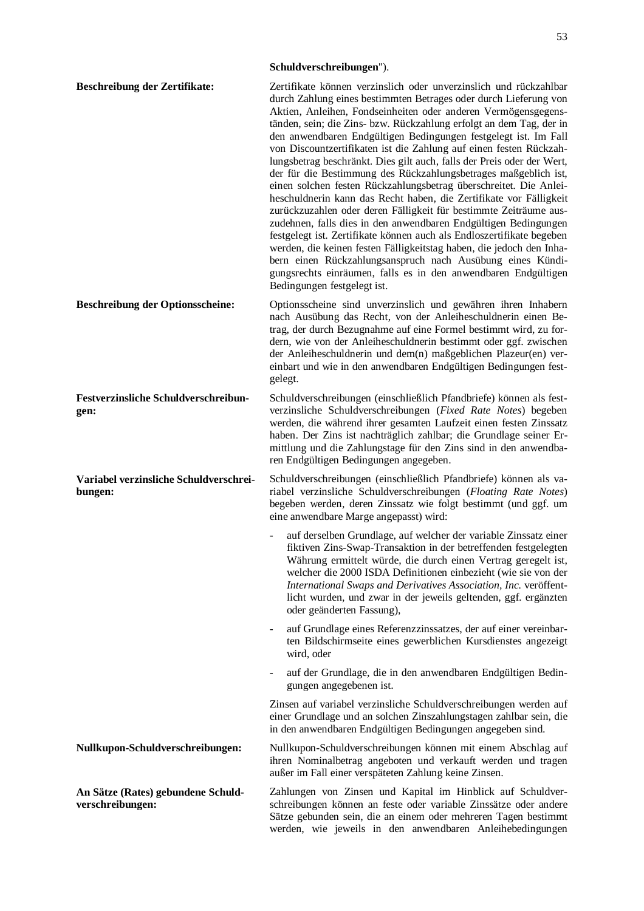## **Schuldverschreibungen**").

| Beschreibung der Zertifikate:                          | Zertifikate können verzinslich oder unverzinslich und rückzahlbar<br>durch Zahlung eines bestimmten Betrages oder durch Lieferung von<br>Aktien, Anleihen, Fondseinheiten oder anderen Vermögensgegens-<br>tänden, sein; die Zins- bzw. Rückzahlung erfolgt an dem Tag, der in<br>den anwendbaren Endgültigen Bedingungen festgelegt ist. Im Fall<br>von Discountzertifikaten ist die Zahlung auf einen festen Rückzah-<br>lungsbetrag beschränkt. Dies gilt auch, falls der Preis oder der Wert,<br>der für die Bestimmung des Rückzahlungsbetrages maßgeblich ist,<br>einen solchen festen Rückzahlungsbetrag überschreitet. Die Anlei-<br>heschuldnerin kann das Recht haben, die Zertifikate vor Fälligkeit<br>zurückzuzahlen oder deren Fälligkeit für bestimmte Zeiträume aus-<br>zudehnen, falls dies in den anwendbaren Endgültigen Bedingungen<br>festgelegt ist. Zertifikate können auch als Endloszertifikate begeben<br>werden, die keinen festen Fälligkeitstag haben, die jedoch den Inha-<br>bern einen Rückzahlungsanspruch nach Ausübung eines Kündi-<br>gungsrechts einräumen, falls es in den anwendbaren Endgültigen<br>Bedingungen festgelegt ist. |
|--------------------------------------------------------|-------------------------------------------------------------------------------------------------------------------------------------------------------------------------------------------------------------------------------------------------------------------------------------------------------------------------------------------------------------------------------------------------------------------------------------------------------------------------------------------------------------------------------------------------------------------------------------------------------------------------------------------------------------------------------------------------------------------------------------------------------------------------------------------------------------------------------------------------------------------------------------------------------------------------------------------------------------------------------------------------------------------------------------------------------------------------------------------------------------------------------------------------------------------------|
| <b>Beschreibung der Optionsscheine:</b>                | Optionsscheine sind unverzinslich und gewähren ihren Inhabern<br>nach Ausübung das Recht, von der Anleiheschuldnerin einen Be-<br>trag, der durch Bezugnahme auf eine Formel bestimmt wird, zu for-<br>dern, wie von der Anleiheschuldnerin bestimmt oder ggf. zwischen<br>der Anleiheschuldnerin und dem(n) maßgeblichen Plazeur(en) ver-<br>einbart und wie in den anwendbaren Endgültigen Bedingungen fest-<br>gelegt.                                                                                                                                                                                                                                                                                                                                                                                                                                                                                                                                                                                                                                                                                                                                               |
| Festverzinsliche Schuldverschreibun-<br>gen:           | Schuldverschreibungen (einschließlich Pfandbriefe) können als fest-<br>verzinsliche Schuldverschreibungen (Fixed Rate Notes) begeben<br>werden, die während ihrer gesamten Laufzeit einen festen Zinssatz<br>haben. Der Zins ist nachträglich zahlbar; die Grundlage seiner Er-<br>mittlung und die Zahlungstage für den Zins sind in den anwendba-<br>ren Endgültigen Bedingungen angegeben.                                                                                                                                                                                                                                                                                                                                                                                                                                                                                                                                                                                                                                                                                                                                                                           |
| Variabel verzinsliche Schuldverschrei-<br>bungen:      | Schuldverschreibungen (einschließlich Pfandbriefe) können als va-<br>riabel verzinsliche Schuldverschreibungen (Floating Rate Notes)<br>begeben werden, deren Zinssatz wie folgt bestimmt (und ggf. um<br>eine anwendbare Marge angepasst) wird:                                                                                                                                                                                                                                                                                                                                                                                                                                                                                                                                                                                                                                                                                                                                                                                                                                                                                                                        |
|                                                        | auf derselben Grundlage, auf welcher der variable Zinssatz einer<br>fiktiven Zins-Swap-Transaktion in der betreffenden festgelegten<br>Währung ermittelt würde, die durch einen Vertrag geregelt ist,<br>welcher die 2000 ISDA Definitionen einbezieht (wie sie von der<br>International Swaps and Derivatives Association, Inc. veröffent-<br>licht wurden, und zwar in der jeweils geltenden, ggf. ergänzten<br>oder geänderten Fassung),                                                                                                                                                                                                                                                                                                                                                                                                                                                                                                                                                                                                                                                                                                                             |
|                                                        | auf Grundlage eines Referenzzinssatzes, der auf einer vereinbar-<br>$\overline{\phantom{a}}$<br>ten Bildschirmseite eines gewerblichen Kursdienstes angezeigt<br>wird, oder                                                                                                                                                                                                                                                                                                                                                                                                                                                                                                                                                                                                                                                                                                                                                                                                                                                                                                                                                                                             |
|                                                        | auf der Grundlage, die in den anwendbaren Endgültigen Bedin-<br>gungen angegebenen ist.                                                                                                                                                                                                                                                                                                                                                                                                                                                                                                                                                                                                                                                                                                                                                                                                                                                                                                                                                                                                                                                                                 |
|                                                        | Zinsen auf variabel verzinsliche Schuldverschreibungen werden auf<br>einer Grundlage und an solchen Zinszahlungstagen zahlbar sein, die<br>in den anwendbaren Endgültigen Bedingungen angegeben sind.                                                                                                                                                                                                                                                                                                                                                                                                                                                                                                                                                                                                                                                                                                                                                                                                                                                                                                                                                                   |
| Nullkupon-Schuldverschreibungen:                       | Nullkupon-Schuldverschreibungen können mit einem Abschlag auf<br>ihren Nominalbetrag angeboten und verkauft werden und tragen<br>außer im Fall einer verspäteten Zahlung keine Zinsen.                                                                                                                                                                                                                                                                                                                                                                                                                                                                                                                                                                                                                                                                                                                                                                                                                                                                                                                                                                                  |
| An Sätze (Rates) gebundene Schuld-<br>verschreibungen: | Zahlungen von Zinsen und Kapital im Hinblick auf Schuldver-<br>schreibungen können an feste oder variable Zinssätze oder andere<br>Sätze gebunden sein, die an einem oder mehreren Tagen bestimmt<br>werden, wie jeweils in den anwendbaren Anleihebedingungen                                                                                                                                                                                                                                                                                                                                                                                                                                                                                                                                                                                                                                                                                                                                                                                                                                                                                                          |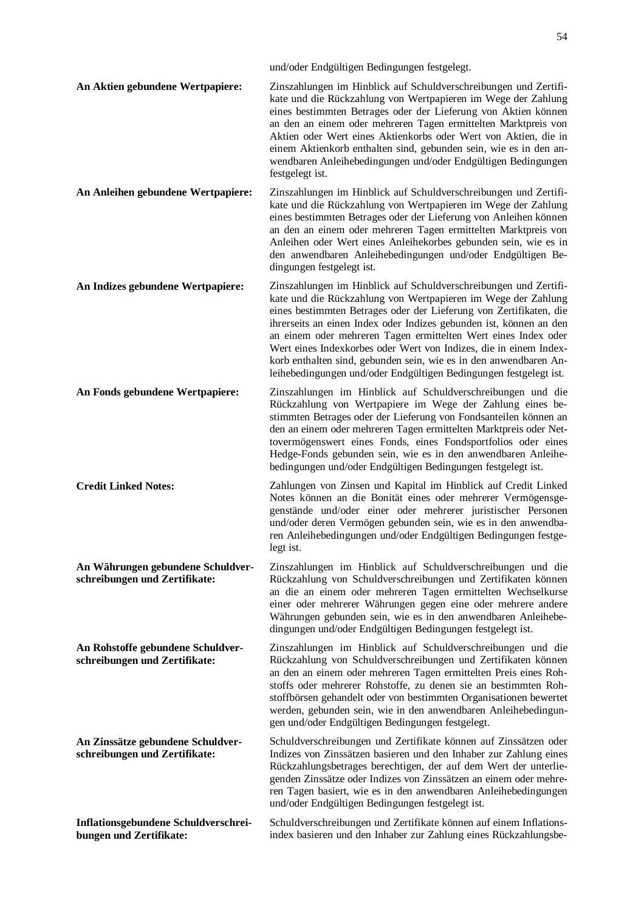|                                                                    | und/oder Endgültigen Bedingungen festgelegt.                                                                                                                                                                                                                                                                                                                                                                                                                                                                                                                   |
|--------------------------------------------------------------------|----------------------------------------------------------------------------------------------------------------------------------------------------------------------------------------------------------------------------------------------------------------------------------------------------------------------------------------------------------------------------------------------------------------------------------------------------------------------------------------------------------------------------------------------------------------|
| An Aktien gebundene Wertpapiere:                                   | Zinszahlungen im Hinblick auf Schuldverschreibungen und Zertifi-<br>kate und die Rückzahlung von Wertpapieren im Wege der Zahlung<br>eines bestimmten Betrages oder der Lieferung von Aktien können<br>an den an einem oder mehreren Tagen ermittelten Marktpreis von<br>Aktien oder Wert eines Aktienkorbs oder Wert von Aktien, die in<br>einem Aktienkorb enthalten sind, gebunden sein, wie es in den an-<br>wendbaren Anleihebedingungen und/oder Endgültigen Bedingungen<br>festgelegt ist.                                                              |
| An Anleihen gebundene Wertpapiere:                                 | Zinszahlungen im Hinblick auf Schuldverschreibungen und Zertifi-<br>kate und die Rückzahlung von Wertpapieren im Wege der Zahlung<br>eines bestimmten Betrages oder der Lieferung von Anleihen können<br>an den an einem oder mehreren Tagen ermittelten Marktpreis von<br>Anleihen oder Wert eines Anleihekorbes gebunden sein, wie es in<br>den anwendbaren Anleihebedingungen und/oder Endgültigen Be-<br>dingungen festgelegt ist.                                                                                                                         |
| An Indizes gebundene Wertpapiere:                                  | Zinszahlungen im Hinblick auf Schuldverschreibungen und Zertifi-<br>kate und die Rückzahlung von Wertpapieren im Wege der Zahlung<br>eines bestimmten Betrages oder der Lieferung von Zertifikaten, die<br>ihrerseits an einen Index oder Indizes gebunden ist, können an den<br>an einem oder mehreren Tagen ermittelten Wert eines Index oder<br>Wert eines Indexkorbes oder Wert von Indizes, die in einem Index-<br>korb enthalten sind, gebunden sein, wie es in den anwendbaren An-<br>leihebedingungen und/oder Endgültigen Bedingungen festgelegt ist. |
| An Fonds gebundene Wertpapiere:                                    | Zinszahlungen im Hinblick auf Schuldverschreibungen und die<br>Rückzahlung von Wertpapiere im Wege der Zahlung eines be-<br>stimmten Betrages oder der Lieferung von Fondsanteilen können an<br>den an einem oder mehreren Tagen ermittelten Marktpreis oder Net-<br>tovermögenswert eines Fonds, eines Fondsportfolios oder eines<br>Hedge-Fonds gebunden sein, wie es in den anwendbaren Anleihe-<br>bedingungen und/oder Endgültigen Bedingungen festgelegt ist.                                                                                            |
| <b>Credit Linked Notes:</b>                                        | Zahlungen von Zinsen und Kapital im Hinblick auf Credit Linked<br>Notes können an die Bonität eines oder mehrerer Vermögensge-<br>genstände und/oder einer oder mehrerer juristischer Personen<br>und/oder deren Vermögen gebunden sein, wie es in den anwendba-<br>ren Anleihebedingungen und/oder Endgültigen Bedingungen festge-<br>legt ist.                                                                                                                                                                                                               |
| An Währungen gebundene Schuldver-<br>schreibungen und Zertifikate: | Zinszahlungen im Hinblick auf Schuldverschreibungen und die<br>Rückzahlung von Schuldverschreibungen und Zertifikaten können<br>an die an einem oder mehreren Tagen ermittelten Wechselkurse<br>einer oder mehrerer Währungen gegen eine oder mehrere andere<br>Währungen gebunden sein, wie es in den anwendbaren Anleihebe-<br>dingungen und/oder Endgültigen Bedingungen festgelegt ist.                                                                                                                                                                    |
| An Rohstoffe gebundene Schuldver-<br>schreibungen und Zertifikate: | Zinszahlungen im Hinblick auf Schuldverschreibungen und die<br>Rückzahlung von Schuldverschreibungen und Zertifikaten können<br>an den an einem oder mehreren Tagen ermittelten Preis eines Roh-<br>stoffs oder mehrerer Rohstoffe, zu denen sie an bestimmten Roh-<br>stoffbörsen gehandelt oder von bestimmten Organisationen bewertet<br>werden, gebunden sein, wie in den anwendbaren Anleihebedingun-<br>gen und/oder Endgültigen Bedingungen festgelegt.                                                                                                 |
| An Zinssätze gebundene Schuldver-<br>schreibungen und Zertifikate: | Schuldverschreibungen und Zertifikate können auf Zinssätzen oder<br>Indizes von Zinssätzen basieren und den Inhaber zur Zahlung eines<br>Rückzahlungsbetrages berechtigen, der auf dem Wert der unterlie-<br>genden Zinssätze oder Indizes von Zinssätzen an einem oder mehre-<br>ren Tagen basiert, wie es in den anwendbaren Anleihebedingungen<br>und/oder Endgültigen Bedingungen festgelegt ist.                                                                                                                                                          |
| Inflationsgebundene Schuldverschrei-<br>bungen und Zertifikate:    | Schuldverschreibungen und Zertifikate können auf einem Inflations-<br>index basieren und den Inhaber zur Zahlung eines Rückzahlungsbe-                                                                                                                                                                                                                                                                                                                                                                                                                         |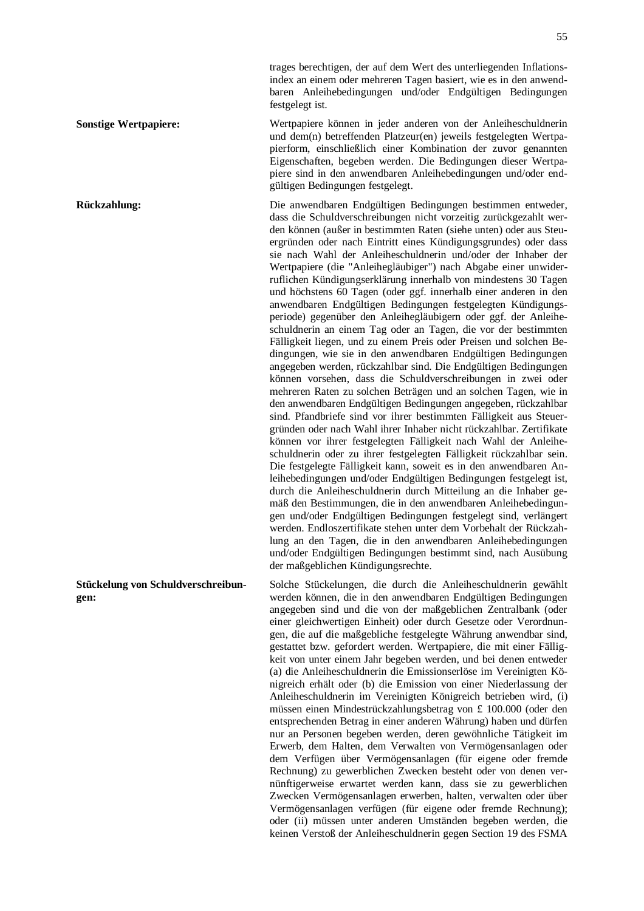**Sonstige Wertpapiere:** Wertpapiere können in jeder anderen von der Anleiheschuldnerin und dem(n) betreffenden Platzeur(en) jeweils festgelegten Wertpapierform, einschließlich einer Kombination der zuvor genannten Eigenschaften, begeben werden. Die Bedingungen dieser Wertpapiere sind in den anwendbaren Anleihebedingungen und/oder endgültigen Bedingungen festgelegt.

**Rückzahlung:** Die anwendbaren Endgültigen Bedingungen bestimmen entweder, dass die Schuldverschreibungen nicht vorzeitig zurückgezahlt werden können (außer in bestimmten Raten (siehe unten) oder aus Steuergründen oder nach Eintritt eines Kündigungsgrundes) oder dass sie nach Wahl der Anleiheschuldnerin und/oder der Inhaber der Wertpapiere (die "Anleihegläubiger") nach Abgabe einer unwiderruflichen Kündigungserklärung innerhalb von mindestens 30 Tagen und höchstens 60 Tagen (oder ggf. innerhalb einer anderen in den anwendbaren Endgültigen Bedingungen festgelegten Kündigungsperiode) gegenüber den Anleihegläubigern oder ggf. der Anleiheschuldnerin an einem Tag oder an Tagen, die vor der bestimmten Fälligkeit liegen, und zu einem Preis oder Preisen und solchen Bedingungen, wie sie in den anwendbaren Endgültigen Bedingungen angegeben werden, rückzahlbar sind. Die Endgültigen Bedingungen können vorsehen, dass die Schuldverschreibungen in zwei oder mehreren Raten zu solchen Beträgen und an solchen Tagen, wie in den anwendbaren Endgültigen Bedingungen angegeben, rückzahlbar sind. Pfandbriefe sind vor ihrer bestimmten Fälligkeit aus Steuergründen oder nach Wahl ihrer Inhaber nicht rückzahlbar. Zertifikate können vor ihrer festgelegten Fälligkeit nach Wahl der Anleiheschuldnerin oder zu ihrer festgelegten Fälligkeit rückzahlbar sein. Die festgelegte Fälligkeit kann, soweit es in den anwendbaren Anleihebedingungen und/oder Endgültigen Bedingungen festgelegt ist, durch die Anleiheschuldnerin durch Mitteilung an die Inhaber gemäß den Bestimmungen, die in den anwendbaren Anleihebedingungen und/oder Endgültigen Bedingungen festgelegt sind, verlängert werden. Endloszertifikate stehen unter dem Vorbehalt der Rückzahlung an den Tagen, die in den anwendbaren Anleihebedingungen und/oder Endgültigen Bedingungen bestimmt sind, nach Ausübung der maßgeblichen Kündigungsrechte.

> Solche Stückelungen, die durch die Anleiheschuldnerin gewählt werden können, die in den anwendbaren Endgültigen Bedingungen angegeben sind und die von der maßgeblichen Zentralbank (oder einer gleichwertigen Einheit) oder durch Gesetze oder Verordnungen, die auf die maßgebliche festgelegte Währung anwendbar sind, gestattet bzw. gefordert werden. Wertpapiere, die mit einer Fälligkeit von unter einem Jahr begeben werden, und bei denen entweder (a) die Anleiheschuldnerin die Emissionserlöse im Vereinigten Königreich erhält oder (b) die Emission von einer Niederlassung der Anleiheschuldnerin im Vereinigten Königreich betrieben wird, (i) müssen einen Mindestrückzahlungsbetrag von £ 100.000 (oder den entsprechenden Betrag in einer anderen Währung) haben und dürfen nur an Personen begeben werden, deren gewöhnliche Tätigkeit im Erwerb, dem Halten, dem Verwalten von Vermögensanlagen oder dem Verfügen über Vermögensanlagen (für eigene oder fremde Rechnung) zu gewerblichen Zwecken besteht oder von denen vernünftigerweise erwartet werden kann, dass sie zu gewerblichen Zwecken Vermögensanlagen erwerben, halten, verwalten oder über Vermögensanlagen verfügen (für eigene oder fremde Rechnung); oder (ii) müssen unter anderen Umständen begeben werden, die keinen Verstoß der Anleiheschuldnerin gegen Section 19 des FSMA

**Stückelung von Schuldverschreibungen:**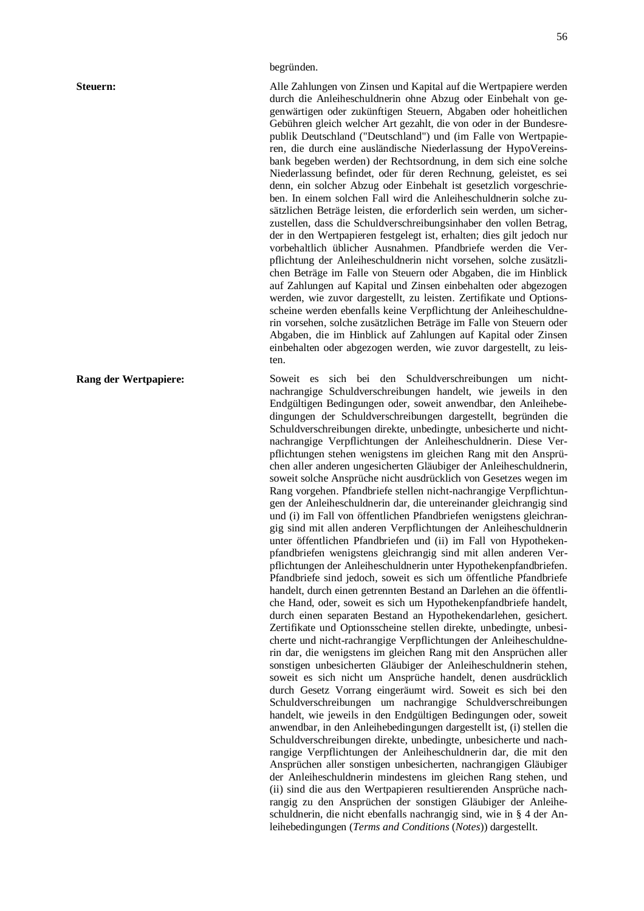## begründen.

**Steuern:** Alle Zahlungen von Zinsen und Kapital auf die Wertpapiere werden durch die Anleiheschuldnerin ohne Abzug oder Einbehalt von gegenwärtigen oder zukünftigen Steuern, Abgaben oder hoheitlichen Gebühren gleich welcher Art gezahlt, die von oder in der Bundesrepublik Deutschland ("Deutschland") und (im Falle von Wertpapieren, die durch eine ausländische Niederlassung der HypoVereinsbank begeben werden) der Rechtsordnung, in dem sich eine solche Niederlassung befindet, oder für deren Rechnung, geleistet, es sei denn, ein solcher Abzug oder Einbehalt ist gesetzlich vorgeschrieben. In einem solchen Fall wird die Anleiheschuldnerin solche zusätzlichen Beträge leisten, die erforderlich sein werden, um sicherzustellen, dass die Schuldverschreibungsinhaber den vollen Betrag, der in den Wertpapieren festgelegt ist, erhalten; dies gilt jedoch nur vorbehaltlich üblicher Ausnahmen. Pfandbriefe werden die Verpflichtung der Anleiheschuldnerin nicht vorsehen, solche zusätzlichen Beträge im Falle von Steuern oder Abgaben, die im Hinblick auf Zahlungen auf Kapital und Zinsen einbehalten oder abgezogen werden, wie zuvor dargestellt, zu leisten. Zertifikate und Optionsscheine werden ebenfalls keine Verpflichtung der Anleiheschuldnerin vorsehen, solche zusätzlichen Beträge im Falle von Steuern oder Abgaben, die im Hinblick auf Zahlungen auf Kapital oder Zinsen einbehalten oder abgezogen werden, wie zuvor dargestellt, zu leisten.

**Rang der Wertpapiere:** Soweit es sich bei den Schuldverschreibungen um nichtnachrangige Schuldverschreibungen handelt, wie jeweils in den Endgültigen Bedingungen oder, soweit anwendbar, den Anleihebedingungen der Schuldverschreibungen dargestellt, begründen die Schuldverschreibungen direkte, unbedingte, unbesicherte und nichtnachrangige Verpflichtungen der Anleiheschuldnerin. Diese Verpflichtungen stehen wenigstens im gleichen Rang mit den Ansprüchen aller anderen ungesicherten Gläubiger der Anleiheschuldnerin, soweit solche Ansprüche nicht ausdrücklich von Gesetzes wegen im Rang vorgehen. Pfandbriefe stellen nicht-nachrangige Verpflichtungen der Anleiheschuldnerin dar, die untereinander gleichrangig sind und (i) im Fall von öffentlichen Pfandbriefen wenigstens gleichrangig sind mit allen anderen Verpflichtungen der Anleiheschuldnerin unter öffentlichen Pfandbriefen und (ii) im Fall von Hypothekenpfandbriefen wenigstens gleichrangig sind mit allen anderen Verpflichtungen der Anleiheschuldnerin unter Hypothekenpfandbriefen. Pfandbriefe sind jedoch, soweit es sich um öffentliche Pfandbriefe handelt, durch einen getrennten Bestand an Darlehen an die öffentliche Hand, oder, soweit es sich um Hypothekenpfandbriefe handelt, durch einen separaten Bestand an Hypothekendarlehen, gesichert. Zertifikate und Optionsscheine stellen direkte, unbedingte, unbesicherte und nicht-rachrangige Verpflichtungen der Anleiheschuldnerin dar, die wenigstens im gleichen Rang mit den Ansprüchen aller sonstigen unbesicherten Gläubiger der Anleiheschuldnerin stehen, soweit es sich nicht um Ansprüche handelt, denen ausdrücklich durch Gesetz Vorrang eingeräumt wird. Soweit es sich bei den Schuldverschreibungen um nachrangige Schuldverschreibungen handelt, wie jeweils in den Endgültigen Bedingungen oder, soweit anwendbar, in den Anleihebedingungen dargestellt ist, (i) stellen die Schuldverschreibungen direkte, unbedingte, unbesicherte und nachrangige Verpflichtungen der Anleiheschuldnerin dar, die mit den Ansprüchen aller sonstigen unbesicherten, nachrangigen Gläubiger der Anleiheschuldnerin mindestens im gleichen Rang stehen, und (ii) sind die aus den Wertpapieren resultierenden Ansprüche nachrangig zu den Ansprüchen der sonstigen Gläubiger der Anleiheschuldnerin, die nicht ebenfalls nachrangig sind, wie in § 4 der Anleihebedingungen (*Terms and Conditions* (*Notes*)) dargestellt.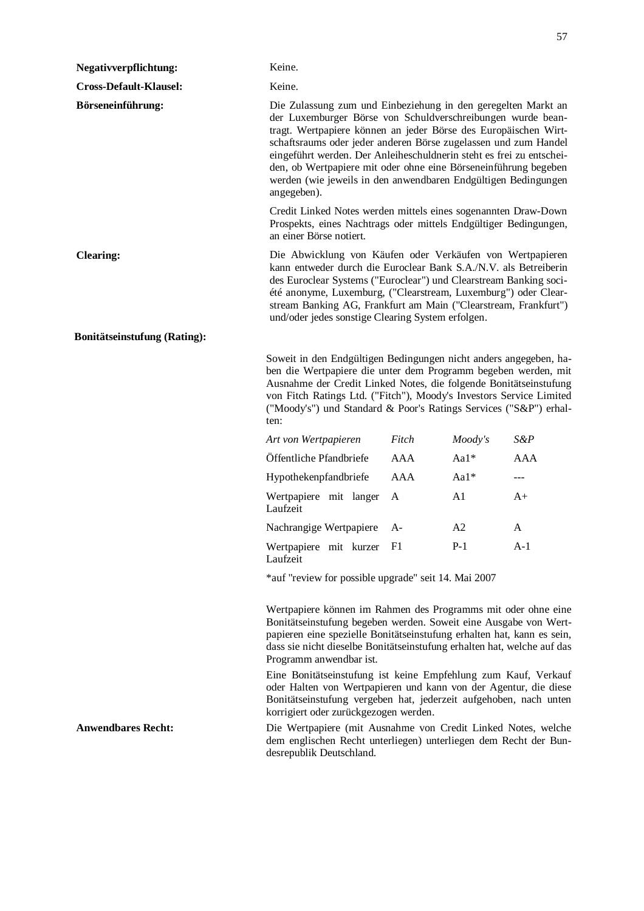| <b>Negativverpflichtung:</b>        | Keine.                                                                                                                                                                                                                                                                                                                                                                                                                                                                                                                                                                                                                                                          |            |         |        |  |
|-------------------------------------|-----------------------------------------------------------------------------------------------------------------------------------------------------------------------------------------------------------------------------------------------------------------------------------------------------------------------------------------------------------------------------------------------------------------------------------------------------------------------------------------------------------------------------------------------------------------------------------------------------------------------------------------------------------------|------------|---------|--------|--|
| <b>Cross-Default-Klausel:</b>       | Keine.                                                                                                                                                                                                                                                                                                                                                                                                                                                                                                                                                                                                                                                          |            |         |        |  |
| Börseneinführung:                   | Die Zulassung zum und Einbeziehung in den geregelten Markt an<br>der Luxemburger Börse von Schuldverschreibungen wurde bean-<br>tragt. Wertpapiere können an jeder Börse des Europäischen Wirt-<br>schaftsraums oder jeder anderen Börse zugelassen und zum Handel<br>eingeführt werden. Der Anleiheschuldnerin steht es frei zu entschei-<br>den, ob Wertpapiere mit oder ohne eine Börseneinführung begeben<br>werden (wie jeweils in den anwendbaren Endgültigen Bedingungen<br>angegeben).<br>Credit Linked Notes werden mittels eines sogenannten Draw-Down<br>Prospekts, eines Nachtrags oder mittels Endgültiger Bedingungen,<br>an einer Börse notiert. |            |         |        |  |
|                                     |                                                                                                                                                                                                                                                                                                                                                                                                                                                                                                                                                                                                                                                                 |            |         |        |  |
| <b>Clearing:</b>                    | Die Abwicklung von Käufen oder Verkäufen von Wertpapieren<br>kann entweder durch die Euroclear Bank S.A./N.V. als Betreiberin<br>des Euroclear Systems ("Euroclear") und Clearstream Banking soci-<br>été anonyme, Luxemburg, ("Clearstream, Luxemburg") oder Clear-<br>stream Banking AG, Frankfurt am Main ("Clearstream, Frankfurt")<br>und/oder jedes sonstige Clearing System erfolgen.                                                                                                                                                                                                                                                                    |            |         |        |  |
| <b>Bonitätseinstufung (Rating):</b> |                                                                                                                                                                                                                                                                                                                                                                                                                                                                                                                                                                                                                                                                 |            |         |        |  |
|                                     | Soweit in den Endgültigen Bedingungen nicht anders angegeben, ha-<br>ben die Wertpapiere die unter dem Programm begeben werden, mit<br>Ausnahme der Credit Linked Notes, die folgende Bonitätseinstufung<br>von Fitch Ratings Ltd. ("Fitch"), Moody's Investors Service Limited<br>("Moody's") und Standard & Poor's Ratings Services ("S&P") erhal-<br>ten:                                                                                                                                                                                                                                                                                                    |            |         |        |  |
|                                     | Art von Wertpapieren                                                                                                                                                                                                                                                                                                                                                                                                                                                                                                                                                                                                                                            | Fitch      | Moody's | $S\&P$ |  |
|                                     | Öffentliche Pfandbriefe                                                                                                                                                                                                                                                                                                                                                                                                                                                                                                                                                                                                                                         | AAA        | Aa1*    | AAA    |  |
|                                     | Hypothekenpfandbriefe                                                                                                                                                                                                                                                                                                                                                                                                                                                                                                                                                                                                                                           | <b>AAA</b> | Aa1*    | $---$  |  |
|                                     | Wertpapiere mit langer<br>Laufzeit                                                                                                                                                                                                                                                                                                                                                                                                                                                                                                                                                                                                                              | A          | A1      | $A+$   |  |
|                                     | Nachrangige Wertpapiere                                                                                                                                                                                                                                                                                                                                                                                                                                                                                                                                                                                                                                         | A-         | A2      | A      |  |
|                                     | Wertpapiere mit kurzer<br>Laufzeit                                                                                                                                                                                                                                                                                                                                                                                                                                                                                                                                                                                                                              | - F1       | $P-1$   | $A-1$  |  |
|                                     | *auf "review for possible upgrade" seit 14. Mai 2007                                                                                                                                                                                                                                                                                                                                                                                                                                                                                                                                                                                                            |            |         |        |  |
|                                     | Wertpapiere können im Rahmen des Programms mit oder ohne eine<br>Bonitätseinstufung begeben werden. Soweit eine Ausgabe von Wert-<br>papieren eine spezielle Bonitätseinstufung erhalten hat, kann es sein,<br>dass sie nicht dieselbe Bonitätseinstufung erhalten hat, welche auf das<br>Programm anwendbar ist.                                                                                                                                                                                                                                                                                                                                               |            |         |        |  |
|                                     | Eine Bonitätseinstufung ist keine Empfehlung zum Kauf, Verkauf<br>oder Halten von Wertpapieren und kann von der Agentur, die diese<br>Bonitätseinstufung vergeben hat, jederzeit aufgehoben, nach unten<br>korrigiert oder zurückgezogen werden.                                                                                                                                                                                                                                                                                                                                                                                                                |            |         |        |  |
| <b>Anwendbares Recht:</b>           | Die Wertpapiere (mit Ausnahme von Credit Linked Notes, welche<br>dem englischen Recht unterliegen) unterliegen dem Recht der Bun-<br>desrepublik Deutschland.                                                                                                                                                                                                                                                                                                                                                                                                                                                                                                   |            |         |        |  |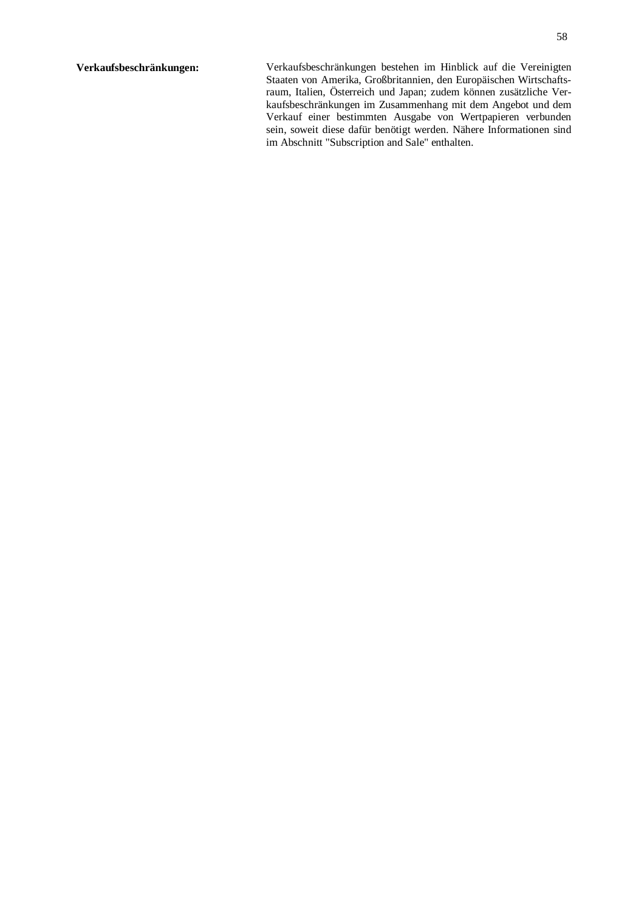**Verkaufsbeschränkungen:** Verkaufsbeschränkungen bestehen im Hinblick auf die Vereinigten Staaten von Amerika, Großbritannien, den Europäischen Wirtschaftsraum, Italien, Österreich und Japan; zudem können zusätzliche Verkaufsbeschränkungen im Zusammenhang mit dem Angebot und dem Verkauf einer bestimmten Ausgabe von Wertpapieren verbunden sein, soweit diese dafür benötigt werden. Nähere Informationen sind im Abschnitt "Subscription and Sale" enthalten.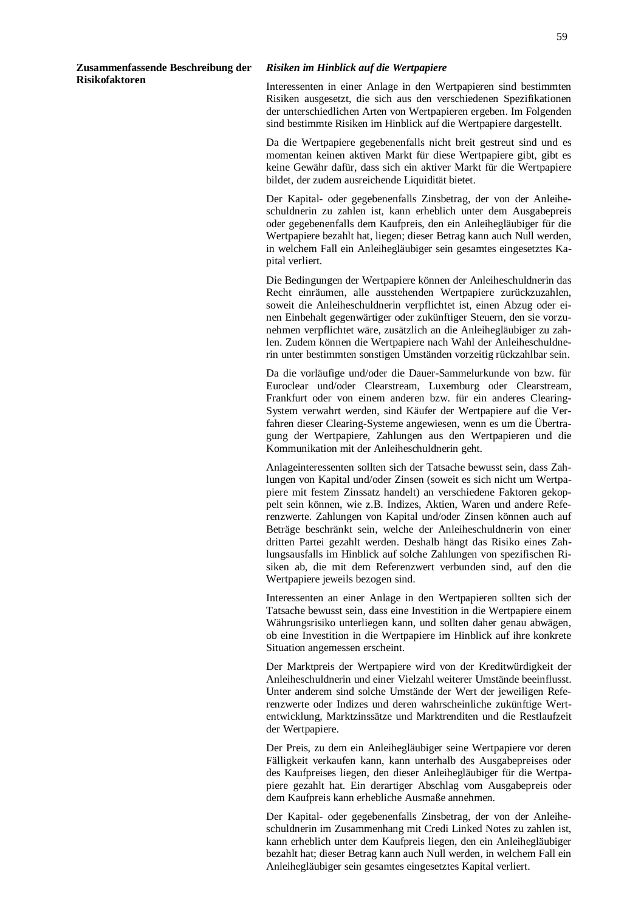**Zusammenfassende Beschreibung der Risikofaktoren** 

#### *Risiken im Hinblick auf die Wertpapiere*

Interessenten in einer Anlage in den Wertpapieren sind bestimmten Risiken ausgesetzt, die sich aus den verschiedenen Spezifikationen der unterschiedlichen Arten von Wertpapieren ergeben. Im Folgenden sind bestimmte Risiken im Hinblick auf die Wertpapiere dargestellt.

Da die Wertpapiere gegebenenfalls nicht breit gestreut sind und es momentan keinen aktiven Markt für diese Wertpapiere gibt, gibt es keine Gewähr dafür, dass sich ein aktiver Markt für die Wertpapiere bildet, der zudem ausreichende Liquidität bietet.

Der Kapital- oder gegebenenfalls Zinsbetrag, der von der Anleiheschuldnerin zu zahlen ist, kann erheblich unter dem Ausgabepreis oder gegebenenfalls dem Kaufpreis, den ein Anleihegläubiger für die Wertpapiere bezahlt hat, liegen; dieser Betrag kann auch Null werden, in welchem Fall ein Anleihegläubiger sein gesamtes eingesetztes Kapital verliert.

Die Bedingungen der Wertpapiere können der Anleiheschuldnerin das Recht einräumen, alle ausstehenden Wertpapiere zurückzuzahlen, soweit die Anleiheschuldnerin verpflichtet ist, einen Abzug oder einen Einbehalt gegenwärtiger oder zukünftiger Steuern, den sie vorzunehmen verpflichtet wäre, zusätzlich an die Anleihegläubiger zu zahlen. Zudem können die Wertpapiere nach Wahl der Anleiheschuldnerin unter bestimmten sonstigen Umständen vorzeitig rückzahlbar sein.

Da die vorläufige und/oder die Dauer-Sammelurkunde von bzw. für Euroclear und/oder Clearstream, Luxemburg oder Clearstream, Frankfurt oder von einem anderen bzw. für ein anderes Clearing-System verwahrt werden, sind Käufer der Wertpapiere auf die Verfahren dieser Clearing-Systeme angewiesen, wenn es um die Übertragung der Wertpapiere, Zahlungen aus den Wertpapieren und die Kommunikation mit der Anleiheschuldnerin geht.

Anlageinteressenten sollten sich der Tatsache bewusst sein, dass Zahlungen von Kapital und/oder Zinsen (soweit es sich nicht um Wertpapiere mit festem Zinssatz handelt) an verschiedene Faktoren gekoppelt sein können, wie z.B. Indizes, Aktien, Waren und andere Referenzwerte. Zahlungen von Kapital und/oder Zinsen können auch auf Beträge beschränkt sein, welche der Anleiheschuldnerin von einer dritten Partei gezahlt werden. Deshalb hängt das Risiko eines Zahlungsausfalls im Hinblick auf solche Zahlungen von spezifischen Risiken ab, die mit dem Referenzwert verbunden sind, auf den die Wertpapiere jeweils bezogen sind.

Interessenten an einer Anlage in den Wertpapieren sollten sich der Tatsache bewusst sein, dass eine Investition in die Wertpapiere einem Währungsrisiko unterliegen kann, und sollten daher genau abwägen, ob eine Investition in die Wertpapiere im Hinblick auf ihre konkrete Situation angemessen erscheint.

Der Marktpreis der Wertpapiere wird von der Kreditwürdigkeit der Anleiheschuldnerin und einer Vielzahl weiterer Umstände beeinflusst. Unter anderem sind solche Umstände der Wert der jeweiligen Referenzwerte oder Indizes und deren wahrscheinliche zukünftige Wertentwicklung, Marktzinssätze und Marktrenditen und die Restlaufzeit der Wertpapiere.

Der Preis, zu dem ein Anleihegläubiger seine Wertpapiere vor deren Fälligkeit verkaufen kann, kann unterhalb des Ausgabepreises oder des Kaufpreises liegen, den dieser Anleihegläubiger für die Wertpapiere gezahlt hat. Ein derartiger Abschlag vom Ausgabepreis oder dem Kaufpreis kann erhebliche Ausmaße annehmen.

Der Kapital- oder gegebenenfalls Zinsbetrag, der von der Anleiheschuldnerin im Zusammenhang mit Credi Linked Notes zu zahlen ist, kann erheblich unter dem Kaufpreis liegen, den ein Anleihegläubiger bezahlt hat; dieser Betrag kann auch Null werden, in welchem Fall ein Anleihegläubiger sein gesamtes eingesetztes Kapital verliert.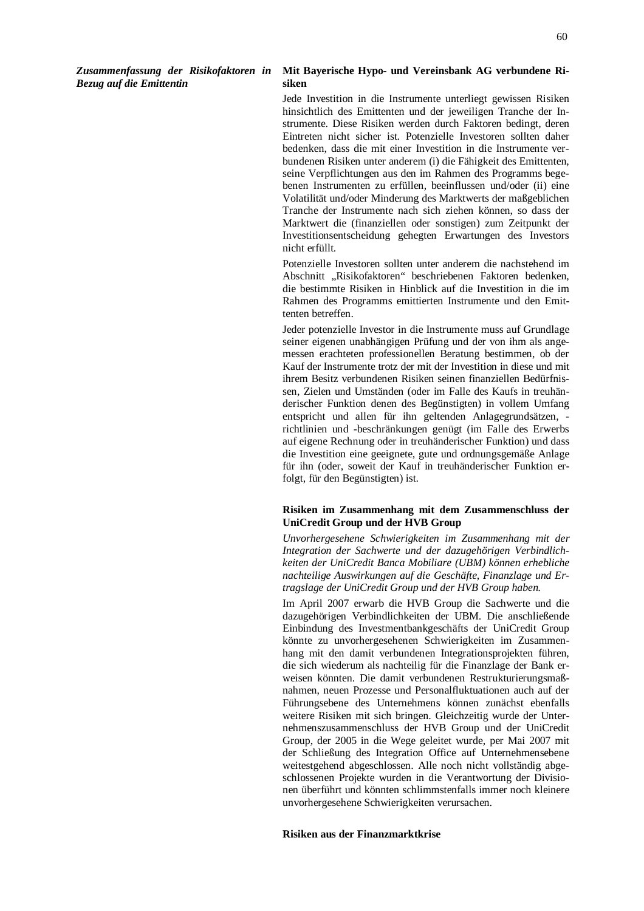*Zusammenfassung der Risikofaktoren in Bezug auf die Emittentin* 

## **Mit Bayerische Hypo- und Vereinsbank AG verbundene Risiken**

Jede Investition in die Instrumente unterliegt gewissen Risiken hinsichtlich des Emittenten und der jeweiligen Tranche der Instrumente. Diese Risiken werden durch Faktoren bedingt, deren Eintreten nicht sicher ist. Potenzielle Investoren sollten daher bedenken, dass die mit einer Investition in die Instrumente verbundenen Risiken unter anderem (i) die Fähigkeit des Emittenten, seine Verpflichtungen aus den im Rahmen des Programms begebenen Instrumenten zu erfüllen, beeinflussen und/oder (ii) eine Volatilität und/oder Minderung des Marktwerts der maßgeblichen Tranche der Instrumente nach sich ziehen können, so dass der Marktwert die (finanziellen oder sonstigen) zum Zeitpunkt der Investitionsentscheidung gehegten Erwartungen des Investors nicht erfüllt.

Potenzielle Investoren sollten unter anderem die nachstehend im Abschnitt "Risikofaktoren" beschriebenen Faktoren bedenken, die bestimmte Risiken in Hinblick auf die Investition in die im Rahmen des Programms emittierten Instrumente und den Emittenten betreffen.

Jeder potenzielle Investor in die Instrumente muss auf Grundlage seiner eigenen unabhängigen Prüfung und der von ihm als angemessen erachteten professionellen Beratung bestimmen, ob der Kauf der Instrumente trotz der mit der Investition in diese und mit ihrem Besitz verbundenen Risiken seinen finanziellen Bedürfnissen, Zielen und Umständen (oder im Falle des Kaufs in treuhänderischer Funktion denen des Begünstigten) in vollem Umfang entspricht und allen für ihn geltenden Anlagegrundsätzen, richtlinien und -beschränkungen genügt (im Falle des Erwerbs auf eigene Rechnung oder in treuhänderischer Funktion) und dass die Investition eine geeignete, gute und ordnungsgemäße Anlage für ihn (oder, soweit der Kauf in treuhänderischer Funktion erfolgt, für den Begünstigten) ist.

## **Risiken im Zusammenhang mit dem Zusammenschluss der UniCredit Group und der HVB Group**

*Unvorhergesehene Schwierigkeiten im Zusammenhang mit der Integration der Sachwerte und der dazugehörigen Verbindlichkeiten der UniCredit Banca Mobiliare (UBM) können erhebliche nachteilige Auswirkungen auf die Geschäfte, Finanzlage und Ertragslage der UniCredit Group und der HVB Group haben.* 

Im April 2007 erwarb die HVB Group die Sachwerte und die dazugehörigen Verbindlichkeiten der UBM. Die anschließende Einbindung des Investmentbankgeschäfts der UniCredit Group könnte zu unvorhergesehenen Schwierigkeiten im Zusammenhang mit den damit verbundenen Integrationsprojekten führen, die sich wiederum als nachteilig für die Finanzlage der Bank erweisen könnten. Die damit verbundenen Restrukturierungsmaßnahmen, neuen Prozesse und Personalfluktuationen auch auf der Führungsebene des Unternehmens können zunächst ebenfalls weitere Risiken mit sich bringen. Gleichzeitig wurde der Unternehmenszusammenschluss der HVB Group und der UniCredit Group, der 2005 in die Wege geleitet wurde, per Mai 2007 mit der Schließung des Integration Office auf Unternehmensebene weitestgehend abgeschlossen. Alle noch nicht vollständig abgeschlossenen Projekte wurden in die Verantwortung der Divisionen überführt und könnten schlimmstenfalls immer noch kleinere unvorhergesehene Schwierigkeiten verursachen.

## **Risiken aus der Finanzmarktkrise**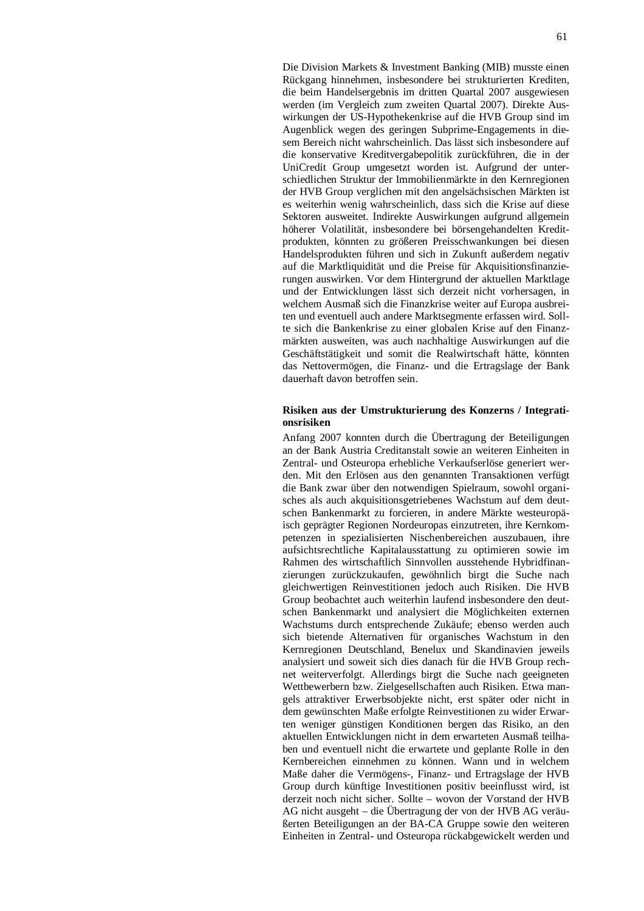Die Division Markets & Investment Banking (MIB) musste einen Rückgang hinnehmen, insbesondere bei strukturierten Krediten, die beim Handelsergebnis im dritten Quartal 2007 ausgewiesen werden (im Vergleich zum zweiten Quartal 2007). Direkte Auswirkungen der US-Hypothekenkrise auf die HVB Group sind im Augenblick wegen des geringen Subprime-Engagements in diesem Bereich nicht wahrscheinlich. Das lässt sich insbesondere auf die konservative Kreditvergabepolitik zurückführen, die in der UniCredit Group umgesetzt worden ist. Aufgrund der unterschiedlichen Struktur der Immobilienmärkte in den Kernregionen der HVB Group verglichen mit den angelsächsischen Märkten ist es weiterhin wenig wahrscheinlich, dass sich die Krise auf diese Sektoren ausweitet. Indirekte Auswirkungen aufgrund allgemein höherer Volatilität, insbesondere bei börsengehandelten Kreditprodukten, könnten zu größeren Preisschwankungen bei diesen Handelsprodukten führen und sich in Zukunft außerdem negativ auf die Marktliquidität und die Preise für Akquisitionsfinanzierungen auswirken. Vor dem Hintergrund der aktuellen Marktlage und der Entwicklungen lässt sich derzeit nicht vorhersagen, in welchem Ausmaß sich die Finanzkrise weiter auf Europa ausbreiten und eventuell auch andere Marktsegmente erfassen wird. Sollte sich die Bankenkrise zu einer globalen Krise auf den Finanzmärkten ausweiten, was auch nachhaltige Auswirkungen auf die Geschäftstätigkeit und somit die Realwirtschaft hätte, könnten das Nettovermögen, die Finanz- und die Ertragslage der Bank dauerhaft davon betroffen sein.

## **Risiken aus der Umstrukturierung des Konzerns / Integrationsrisiken**

Anfang 2007 konnten durch die Übertragung der Beteiligungen an der Bank Austria Creditanstalt sowie an weiteren Einheiten in Zentral- und Osteuropa erhebliche Verkaufserlöse generiert werden. Mit den Erlösen aus den genannten Transaktionen verfügt die Bank zwar über den notwendigen Spielraum, sowohl organisches als auch akquisitionsgetriebenes Wachstum auf dem deutschen Bankenmarkt zu forcieren, in andere Märkte westeuropäisch geprägter Regionen Nordeuropas einzutreten, ihre Kernkompetenzen in spezialisierten Nischenbereichen auszubauen, ihre aufsichtsrechtliche Kapitalausstattung zu optimieren sowie im Rahmen des wirtschaftlich Sinnvollen ausstehende Hybridfinanzierungen zurückzukaufen, gewöhnlich birgt die Suche nach gleichwertigen Reinvestitionen jedoch auch Risiken. Die HVB Group beobachtet auch weiterhin laufend insbesondere den deutschen Bankenmarkt und analysiert die Möglichkeiten externen Wachstums durch entsprechende Zukäufe; ebenso werden auch sich bietende Alternativen für organisches Wachstum in den Kernregionen Deutschland, Benelux und Skandinavien jeweils analysiert und soweit sich dies danach für die HVB Group rechnet weiterverfolgt. Allerdings birgt die Suche nach geeigneten Wettbewerbern bzw. Zielgesellschaften auch Risiken. Etwa mangels attraktiver Erwerbsobjekte nicht, erst später oder nicht in dem gewünschten Maße erfolgte Reinvestitionen zu wider Erwarten weniger günstigen Konditionen bergen das Risiko, an den aktuellen Entwicklungen nicht in dem erwarteten Ausmaß teilhaben und eventuell nicht die erwartete und geplante Rolle in den Kernbereichen einnehmen zu können. Wann und in welchem Maße daher die Vermögens-, Finanz- und Ertragslage der HVB Group durch künftige Investitionen positiv beeinflusst wird, ist derzeit noch nicht sicher. Sollte – wovon der Vorstand der HVB AG nicht ausgeht – die Übertragung der von der HVB AG veräußerten Beteiligungen an der BA-CA Gruppe sowie den weiteren Einheiten in Zentral- und Osteuropa rückabgewickelt werden und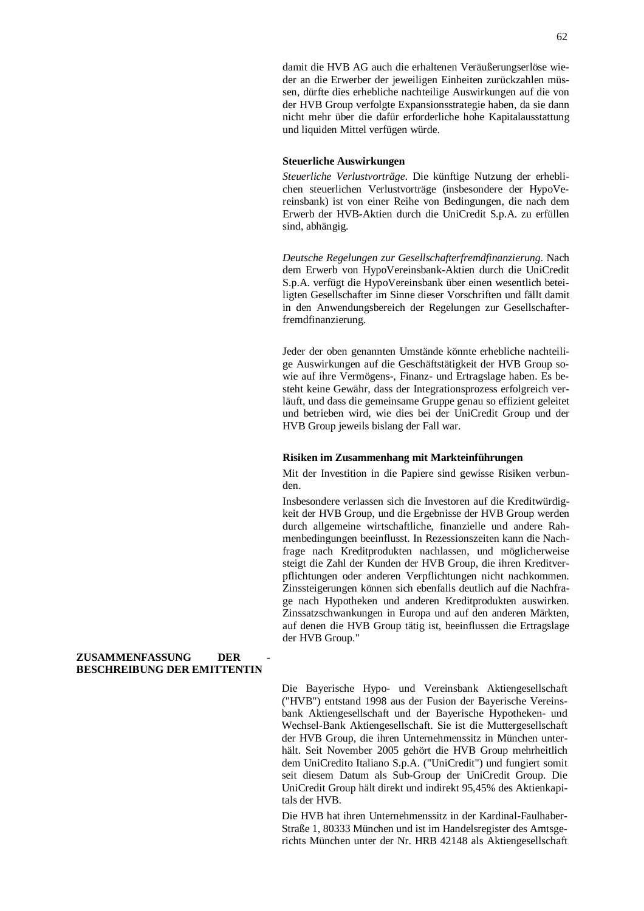damit die HVB AG auch die erhaltenen Veräußerungserlöse wieder an die Erwerber der jeweiligen Einheiten zurückzahlen müssen, dürfte dies erhebliche nachteilige Auswirkungen auf die von der HVB Group verfolgte Expansionsstrategie haben, da sie dann nicht mehr über die dafür erforderliche hohe Kapitalausstattung und liquiden Mittel verfügen würde.

## **Steuerliche Auswirkungen**

*Steuerliche Verlustvorträge*. Die künftige Nutzung der erheblichen steuerlichen Verlustvorträge (insbesondere der HypoVereinsbank) ist von einer Reihe von Bedingungen, die nach dem Erwerb der HVB-Aktien durch die UniCredit S.p.A. zu erfüllen sind, abhängig.

*Deutsche Regelungen zur Gesellschafterfremdfinanzierung*. Nach dem Erwerb von HypoVereinsbank-Aktien durch die UniCredit S.p.A. verfügt die HypoVereinsbank über einen wesentlich beteiligten Gesellschafter im Sinne dieser Vorschriften und fällt damit in den Anwendungsbereich der Regelungen zur Gesellschafterfremdfinanzierung.

Jeder der oben genannten Umstände könnte erhebliche nachteilige Auswirkungen auf die Geschäftstätigkeit der HVB Group sowie auf ihre Vermögens-, Finanz- und Ertragslage haben. Es besteht keine Gewähr, dass der Integrationsprozess erfolgreich verläuft, und dass die gemeinsame Gruppe genau so effizient geleitet und betrieben wird, wie dies bei der UniCredit Group und der HVB Group jeweils bislang der Fall war.

#### **Risiken im Zusammenhang mit Markteinführungen**

Mit der Investition in die Papiere sind gewisse Risiken verbunden.

Insbesondere verlassen sich die Investoren auf die Kreditwürdigkeit der HVB Group, und die Ergebnisse der HVB Group werden durch allgemeine wirtschaftliche, finanzielle und andere Rahmenbedingungen beeinflusst. In Rezessionszeiten kann die Nachfrage nach Kreditprodukten nachlassen, und möglicherweise steigt die Zahl der Kunden der HVB Group, die ihren Kreditverpflichtungen oder anderen Verpflichtungen nicht nachkommen. Zinssteigerungen können sich ebenfalls deutlich auf die Nachfrage nach Hypotheken und anderen Kreditprodukten auswirken. Zinssatzschwankungen in Europa und auf den anderen Märkten, auf denen die HVB Group tätig ist, beeinflussen die Ertragslage der HVB Group."

### $ZUSAMMENFASSUNG$  **DER BESCHREIBUNG DER EMITTENTIN**

Die Bayerische Hypo- und Vereinsbank Aktiengesellschaft ("HVB") entstand 1998 aus der Fusion der Bayerische Vereinsbank Aktiengesellschaft und der Bayerische Hypotheken- und Wechsel-Bank Aktiengesellschaft. Sie ist die Muttergesellschaft der HVB Group, die ihren Unternehmenssitz in München unterhält. Seit November 2005 gehört die HVB Group mehrheitlich dem UniCredito Italiano S.p.A. ("UniCredit") und fungiert somit seit diesem Datum als Sub-Group der UniCredit Group. Die UniCredit Group hält direkt und indirekt 95,45% des Aktienkapitals der HVB.

Die HVB hat ihren Unternehmenssitz in der Kardinal-Faulhaber-Straße 1, 80333 München und ist im Handelsregister des Amtsgerichts München unter der Nr. HRB 42148 als Aktiengesellschaft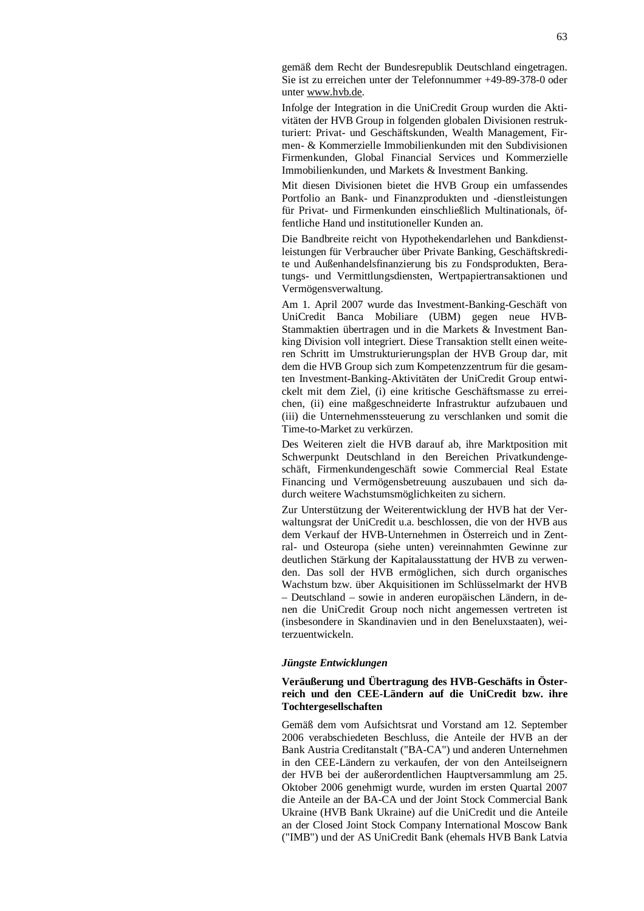gemäß dem Recht der Bundesrepublik Deutschland eingetragen. Sie ist zu erreichen unter der Telefonnummer +49-89-378-0 oder unter [www.hvb.de](http://www.hvb.de).

Infolge der Integration in die UniCredit Group wurden die Aktivitäten der HVB Group in folgenden globalen Divisionen restrukturiert: Privat- und Geschäftskunden, Wealth Management, Firmen- & Kommerzielle Immobilienkunden mit den Subdivisionen Firmenkunden, Global Financial Services und Kommerzielle Immobilienkunden, und Markets & Investment Banking.

Mit diesen Divisionen bietet die HVB Group ein umfassendes Portfolio an Bank- und Finanzprodukten und -dienstleistungen für Privat- und Firmenkunden einschließlich Multinationals, öffentliche Hand und institutioneller Kunden an.

Die Bandbreite reicht von Hypothekendarlehen und Bankdienstleistungen für Verbraucher über Private Banking, Geschäftskredite und Außenhandelsfinanzierung bis zu Fondsprodukten, Beratungs- und Vermittlungsdiensten, Wertpapiertransaktionen und Vermögensverwaltung.

Am 1. April 2007 wurde das Investment-Banking-Geschäft von UniCredit Banca Mobiliare (UBM) gegen neue HVB-Stammaktien übertragen und in die Markets & Investment Banking Division voll integriert. Diese Transaktion stellt einen weiteren Schritt im Umstrukturierungsplan der HVB Group dar, mit dem die HVB Group sich zum Kompetenzzentrum für die gesamten Investment-Banking-Aktivitäten der UniCredit Group entwickelt mit dem Ziel, (i) eine kritische Geschäftsmasse zu erreichen, (ii) eine maßgeschneiderte Infrastruktur aufzubauen und (iii) die Unternehmenssteuerung zu verschlanken und somit die Time-to-Market zu verkürzen.

Des Weiteren zielt die HVB darauf ab, ihre Marktposition mit Schwerpunkt Deutschland in den Bereichen Privatkundengeschäft, Firmenkundengeschäft sowie Commercial Real Estate Financing und Vermögensbetreuung auszubauen und sich dadurch weitere Wachstumsmöglichkeiten zu sichern.

Zur Unterstützung der Weiterentwicklung der HVB hat der Verwaltungsrat der UniCredit u.a. beschlossen, die von der HVB aus dem Verkauf der HVB-Unternehmen in Österreich und in Zentral- und Osteuropa (siehe unten) vereinnahmten Gewinne zur deutlichen Stärkung der Kapitalausstattung der HVB zu verwenden. Das soll der HVB ermöglichen, sich durch organisches Wachstum bzw. über Akquisitionen im Schlüsselmarkt der HVB – Deutschland – sowie in anderen europäischen Ländern, in denen die UniCredit Group noch nicht angemessen vertreten ist (insbesondere in Skandinavien und in den Beneluxstaaten), weiterzuentwickeln.

#### *Jüngste Entwicklungen*

## **Veräußerung und Übertragung des HVB-Geschäfts in Österreich und den CEE-Ländern auf die UniCredit bzw. ihre Tochtergesellschaften**

Gemäß dem vom Aufsichtsrat und Vorstand am 12. September 2006 verabschiedeten Beschluss, die Anteile der HVB an der Bank Austria Creditanstalt ("BA-CA") und anderen Unternehmen in den CEE-Ländern zu verkaufen, der von den Anteilseignern der HVB bei der außerordentlichen Hauptversammlung am 25. Oktober 2006 genehmigt wurde, wurden im ersten Quartal 2007 die Anteile an der BA-CA und der Joint Stock Commercial Bank Ukraine (HVB Bank Ukraine) auf die UniCredit und die Anteile an der Closed Joint Stock Company International Moscow Bank ("IMB") und der AS UniCredit Bank (ehemals HVB Bank Latvia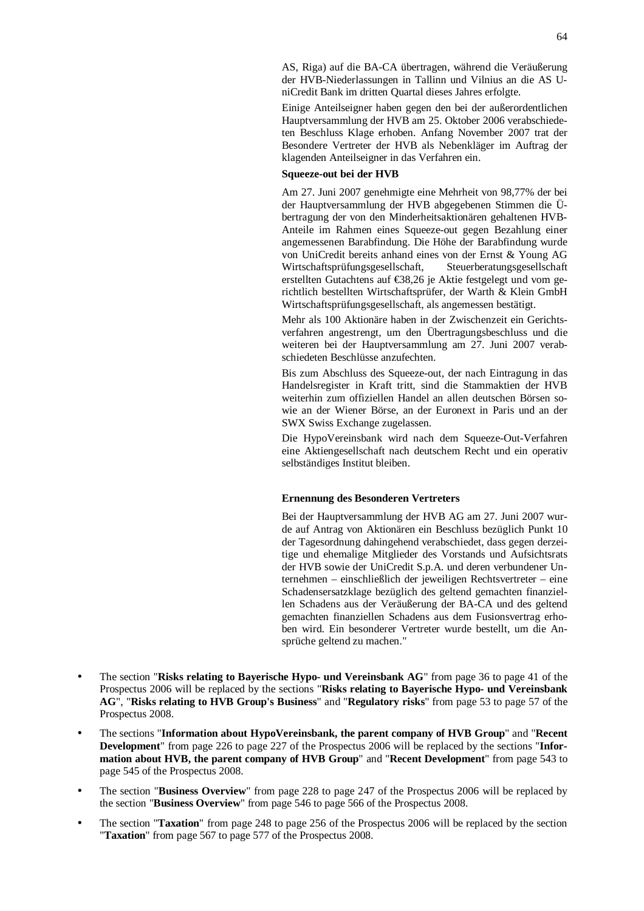AS, Riga) auf die BA-CA übertragen, während die Veräußerung der HVB-Niederlassungen in Tallinn und Vilnius an die AS UniCredit Bank im dritten Quartal dieses Jahres erfolgte.

Einige Anteilseigner haben gegen den bei der außerordentlichen Hauptversammlung der HVB am 25. Oktober 2006 verabschiedeten Beschluss Klage erhoben. Anfang November 2007 trat der Besondere Vertreter der HVB als Nebenkläger im Auftrag der klagenden Anteilseigner in das Verfahren ein.

## **Squeeze-out bei der HVB**

Am 27. Juni 2007 genehmigte eine Mehrheit von 98,77% der bei der Hauptversammlung der HVB abgegebenen Stimmen die Übertragung der von den Minderheitsaktionären gehaltenen HVB-Anteile im Rahmen eines Squeeze-out gegen Bezahlung einer angemessenen Barabfindung. Die Höhe der Barabfindung wurde von UniCredit bereits anhand eines von der Ernst & Young AG Wirtschaftsprüfungsgesellschaft, Steuerberatungsgesellschaft erstellten Gutachtens auf €38,26 je Aktie festgelegt und vom gerichtlich bestellten Wirtschaftsprüfer, der Warth & Klein GmbH Wirtschaftsprüfungsgesellschaft, als angemessen bestätigt.

Mehr als 100 Aktionäre haben in der Zwischenzeit ein Gerichtsverfahren angestrengt, um den Übertragungsbeschluss und die weiteren bei der Hauptversammlung am 27. Juni 2007 verabschiedeten Beschlüsse anzufechten.

Bis zum Abschluss des Squeeze-out, der nach Eintragung in das Handelsregister in Kraft tritt, sind die Stammaktien der HVB weiterhin zum offiziellen Handel an allen deutschen Börsen sowie an der Wiener Börse, an der Euronext in Paris und an der SWX Swiss Exchange zugelassen.

Die HypoVereinsbank wird nach dem Squeeze-Out-Verfahren eine Aktiengesellschaft nach deutschem Recht und ein operativ selbständiges Institut bleiben.

### **Ernennung des Besonderen Vertreters**

Bei der Hauptversammlung der HVB AG am 27. Juni 2007 wurde auf Antrag von Aktionären ein Beschluss bezüglich Punkt 10 der Tagesordnung dahingehend verabschiedet, dass gegen derzeitige und ehemalige Mitglieder des Vorstands und Aufsichtsrats der HVB sowie der UniCredit S.p.A. und deren verbundener Unternehmen – einschließlich der jeweiligen Rechtsvertreter – eine Schadensersatzklage bezüglich des geltend gemachten finanziellen Schadens aus der Veräußerung der BA-CA und des geltend gemachten finanziellen Schadens aus dem Fusionsvertrag erhoben wird. Ein besonderer Vertreter wurde bestellt, um die Ansprüche geltend zu machen."

- The section "**Risks relating to Bayerische Hypo- und Vereinsbank AG**" from page 36 to page 41 of the Prospectus 2006 will be replaced by the sections "**Risks relating to Bayerische Hypo- und Vereinsbank AG**", "**Risks relating to HVB Group's Business**" and "**Regulatory risks**" from page 53 to page 57 of the Prospectus 2008.
- The sections "**Information about HypoVereinsbank, the parent company of HVB Group**" and "**Recent Development**" from page 226 to page 227 of the Prospectus 2006 will be replaced by the sections "**Information about HVB, the parent company of HVB Group**" and "**Recent Development**" from page 543 to page 545 of the Prospectus 2008.
- The section "**Business Overview**" from page 228 to page 247 of the Prospectus 2006 will be replaced by the section "**Business Overview**" from page 546 to page 566 of the Prospectus 2008.
- The section "**Taxation**" from page 248 to page 256 of the Prospectus 2006 will be replaced by the section "**Taxation**" from page 567 to page 577 of the Prospectus 2008.